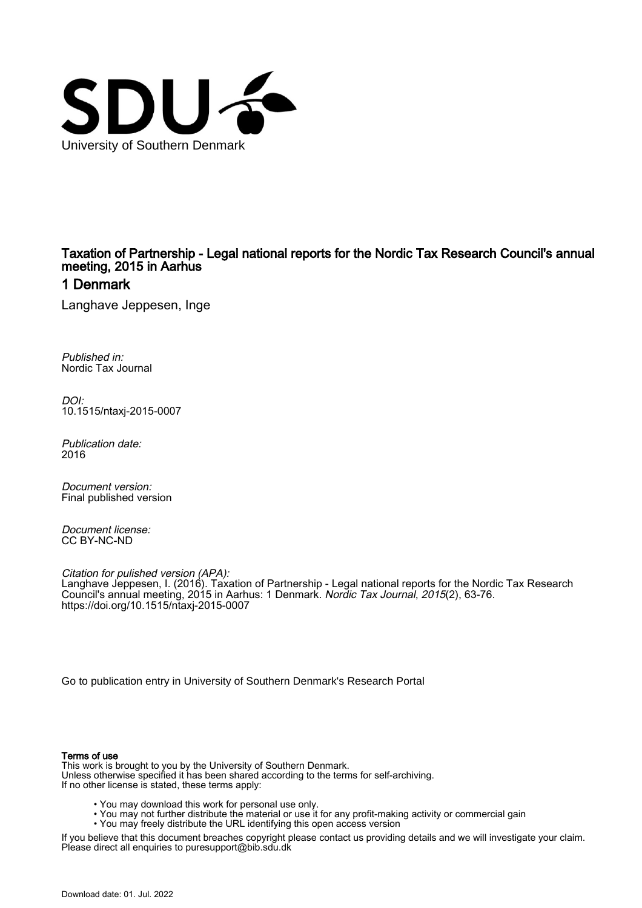

## Taxation of Partnership - Legal national reports for the Nordic Tax Research Council's annual meeting, 2015 in Aarhus

## 1 Denmark

Langhave Jeppesen, Inge

Published in: Nordic Tax Journal

DOI: [10.1515/ntaxj-2015-0007](https://doi.org/10.1515/ntaxj-2015-0007)

Publication date: 2016

Document version: Final published version

Document license: CC BY-NC-ND

Citation for pulished version (APA): Langhave Jeppesen, I. (2016). Taxation of Partnership - Legal national reports for the Nordic Tax Research Council's annual meeting, 2015 in Aarhus: 1 Denmark. *Nordic Tax Journal*, *2015*(2), 63-76. <https://doi.org/10.1515/ntaxj-2015-0007>

[Go to publication entry in University of Southern Denmark's Research Portal](https://portal.findresearcher.sdu.dk/en/publications/08affd50-f4fd-43ed-b6f1-b66707ea47ee)

#### Terms of use

This work is brought to you by the University of Southern Denmark. Unless otherwise specified it has been shared according to the terms for self-archiving. If no other license is stated, these terms apply:

- You may download this work for personal use only.
- You may not further distribute the material or use it for any profit-making activity or commercial gain
	- You may freely distribute the URL identifying this open access version

If you believe that this document breaches copyright please contact us providing details and we will investigate your claim. Please direct all enquiries to puresupport@bib.sdu.dk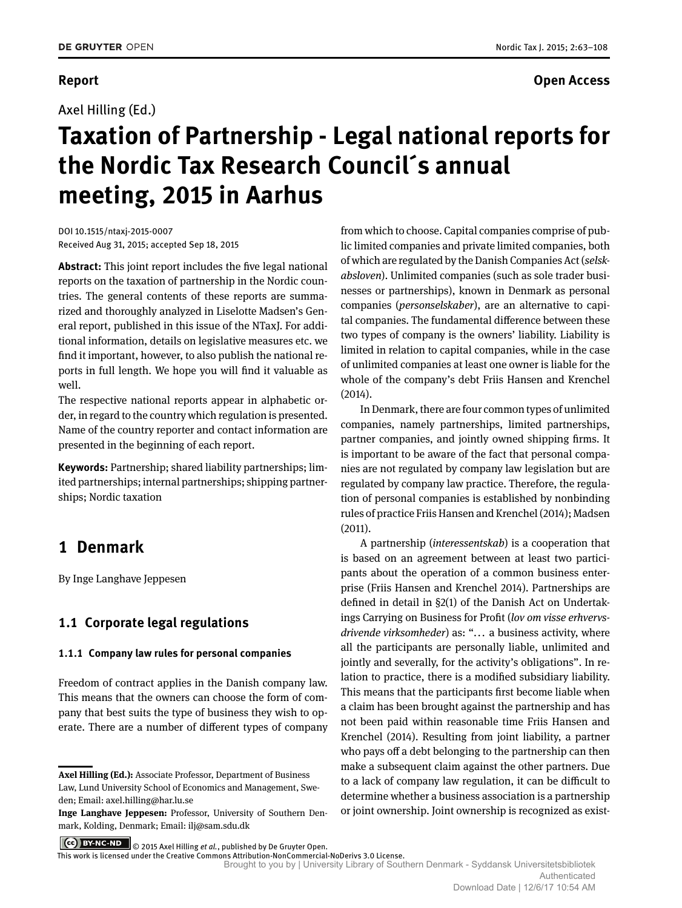Axel Hilling (Ed.)

## **Report Open Access**

# **Taxation of Partnership - Legal national reports for the Nordic Tax Research Council´s annual meeting, 2015 in Aarhus**

DOI 10.1515/ntaxj-2015-0007 Received Aug 31, 2015; accepted Sep 18, 2015

**Abstract:** This joint report includes the five legal national reports on the taxation of partnership in the Nordic countries. The general contents of these reports are summarized and thoroughly analyzed in Liselotte Madsen's General report, published in this issue of the NTaxJ. For additional information, details on legislative measures etc. we find it important, however, to also publish the national reports in full length. We hope you will find it valuable as well.

The respective national reports appear in alphabetic order, in regard to the country which regulation is presented. Name of the country reporter and contact information are presented in the beginning of each report.

**Keywords:** Partnership; shared liability partnerships; limited partnerships; internal partnerships; shipping partnerships; Nordic taxation

## **1 Denmark**

By Inge Langhave Jeppesen

## **1.1 Corporate legal regulations**

### **1.1.1 Company law rules for personal companies**

Freedom of contract applies in the Danish company law. This means that the owners can choose the form of company that best suits the type of business they wish to operate. There are a number of different types of company

from which to choose. Capital companies comprise of public limited companies and private limited companies, both of which are regulated by the Danish Companies Act (*selskabsloven*). Unlimited companies (such as sole trader businesses or partnerships), known in Denmark as personal companies (*personselskaber*), are an alternative to capital companies. The fundamental difference between these two types of company is the owners' liability. Liability is limited in relation to capital companies, while in the case of unlimited companies at least one owner is liable for the whole of the company's debt Friis Hansen and Krenchel (2014).

In Denmark, there are four common types of unlimited companies, namely partnerships, limited partnerships, partner companies, and jointly owned shipping firms. It is important to be aware of the fact that personal companies are not regulated by company law legislation but are regulated by company law practice. Therefore, the regulation of personal companies is established by nonbinding rules of practice Friis Hansen and Krenchel (2014); Madsen (2011).

A partnership (*interessentskab*) is a cooperation that is based on an agreement between at least two participants about the operation of a common business enterprise (Friis Hansen and Krenchel 2014). Partnerships are defined in detail in §2(1) of the Danish Act on Undertakings Carrying on Business for Profit (*lov om visse erhvervsdrivende virksomheder*) as: "... a business activity, where all the participants are personally liable, unlimited and jointly and severally, for the activity's obligations". In relation to practice, there is a modified subsidiary liability. This means that the participants first become liable when a claim has been brought against the partnership and has not been paid within reasonable time Friis Hansen and Krenchel (2014). Resulting from joint liability, a partner who pays off a debt belonging to the partnership can then make a subsequent claim against the other partners. Due to a lack of company law regulation, it can be difficult to determine whether a business association is a partnership or joint ownership. Joint ownership is recognized as exist-

**CC BY-NC-ND**  $\bigcirc$  2015 Axel Hilling *et al.*, published by De Gruyter Open. This work is licensed under the Creative Commons Attribution-NonCommercial-NoDerivs 3.0 License.

Brought to you by | University Library of Southern Denmark - Syddansk Universitetsbibliotek Authenticated

**Axel Hilling (Ed.):** Associate Professor, Department of Business Law, Lund University School of Economics and Management, Sweden; Email: axel.hilling@har.lu.se

**Inge Langhave Jeppesen:** Professor, University of Southern Denmark, Kolding, Denmark; Email: ilj@sam.sdu.dk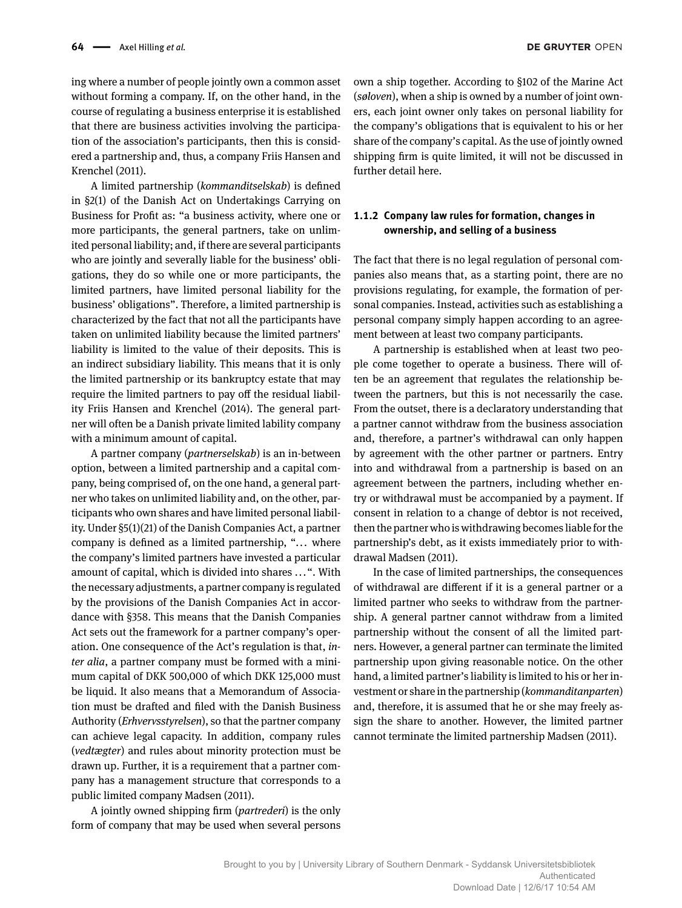ing where a number of people jointly own a common asset without forming a company. If, on the other hand, in the course of regulating a business enterprise it is established that there are business activities involving the participation of the association's participants, then this is considered a partnership and, thus, a company Friis Hansen and Krenchel (2011).

A limited partnership (*kommanditselskab*) is defined in §2(1) of the Danish Act on Undertakings Carrying on Business for Profit as: "a business activity, where one or more participants, the general partners, take on unlimited personal liability; and, if there are several participants who are jointly and severally liable for the business' obligations, they do so while one or more participants, the limited partners, have limited personal liability for the business' obligations". Therefore, a limited partnership is characterized by the fact that not all the participants have taken on unlimited liability because the limited partners' liability is limited to the value of their deposits. This is an indirect subsidiary liability. This means that it is only the limited partnership or its bankruptcy estate that may require the limited partners to pay off the residual liability Friis Hansen and Krenchel (2014). The general partner will often be a Danish private limited lability company with a minimum amount of capital.

A partner company (*partnerselskab*) is an in-between option, between a limited partnership and a capital company, being comprised of, on the one hand, a general partner who takes on unlimited liability and, on the other, participants who own shares and have limited personal liability. Under §5(1)(21) of the Danish Companies Act, a partner company is defined as a limited partnership, "... where the company's limited partners have invested a particular amount of capital, which is divided into shares ...". With the necessary adjustments, a partner company is regulated by the provisions of the Danish Companies Act in accordance with §358. This means that the Danish Companies Act sets out the framework for a partner company's operation. One consequence of the Act's regulation is that, *inter alia*, a partner company must be formed with a minimum capital of DKK 500,000 of which DKK 125,000 must be liquid. It also means that a Memorandum of Association must be drafted and filed with the Danish Business Authority (*Erhvervsstyrelsen*), so that the partner company can achieve legal capacity. In addition, company rules (*vedtægter*) and rules about minority protection must be drawn up. Further, it is a requirement that a partner company has a management structure that corresponds to a public limited company Madsen (2011).

A jointly owned shipping firm (*partrederi*) is the only form of company that may be used when several persons own a ship together. According to §102 of the Marine Act (*søloven*), when a ship is owned by a number of joint owners, each joint owner only takes on personal liability for the company's obligations that is equivalent to his or her share of the company's capital. As the use of jointly owned shipping firm is quite limited, it will not be discussed in further detail here.

## **1.1.2 Company law rules for formation, changes in ownership, and selling of a business**

The fact that there is no legal regulation of personal companies also means that, as a starting point, there are no provisions regulating, for example, the formation of personal companies. Instead, activities such as establishing a personal company simply happen according to an agreement between at least two company participants.

A partnership is established when at least two people come together to operate a business. There will often be an agreement that regulates the relationship between the partners, but this is not necessarily the case. From the outset, there is a declaratory understanding that a partner cannot withdraw from the business association and, therefore, a partner's withdrawal can only happen by agreement with the other partner or partners. Entry into and withdrawal from a partnership is based on an agreement between the partners, including whether entry or withdrawal must be accompanied by a payment. If consent in relation to a change of debtor is not received, then the partner who is withdrawing becomes liable for the partnership's debt, as it exists immediately prior to withdrawal Madsen (2011).

In the case of limited partnerships, the consequences of withdrawal are different if it is a general partner or a limited partner who seeks to withdraw from the partnership. A general partner cannot withdraw from a limited partnership without the consent of all the limited partners. However, a general partner can terminate the limited partnership upon giving reasonable notice. On the other hand, a limited partner's liability is limited to his or her investment or share in the partnership (*kommanditanparten*) and, therefore, it is assumed that he or she may freely assign the share to another. However, the limited partner cannot terminate the limited partnership Madsen (2011).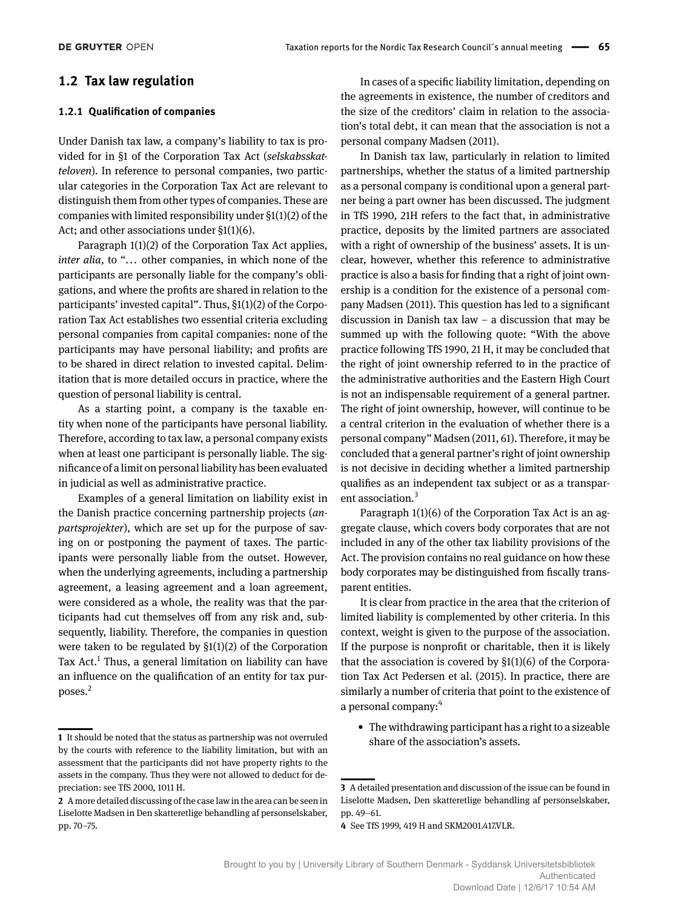## **1.2 Tax law regulation**

#### **1.2.1 Qualification of companies**

Under Danish tax law, a company's liability to tax is provided for in §1 of the Corporation Tax Act (*selskabsskatteloven*). In reference to personal companies, two particular categories in the Corporation Tax Act are relevant to distinguish them from other types of companies. These are companies with limited responsibility under §1(1)(2) of the Act; and other associations under §1(1)(6).

Paragraph 1(1)(2) of the Corporation Tax Act applies, *inter alia*, to "... other companies, in which none of the participants are personally liable for the company's obligations, and where the profits are shared in relation to the participants' invested capital". Thus, §1(1)(2) of the Corporation Tax Act establishes two essential criteria excluding personal companies from capital companies: none of the participants may have personal liability; and profits are to be shared in direct relation to invested capital. Delimitation that is more detailed occurs in practice, where the question of personal liability is central.

As a starting point, a company is the taxable entity when none of the participants have personal liability. Therefore, according to tax law, a personal company exists when at least one participant is personally liable. The significance of a limit on personal liability has been evaluated in judicial as well as administrative practice.

Examples of a general limitation on liability exist in the Danish practice concerning partnership projects (*anpartsprojekter*), which are set up for the purpose of saving on or postponing the payment of taxes. The participants were personally liable from the outset. However, when the underlying agreements, including a partnership agreement, a leasing agreement and a loan agreement, were considered as a whole, the reality was that the participants had cut themselves off from any risk and, subsequently, liability. Therefore, the companies in question were taken to be regulated by §1(1)(2) of the Corporation Tax Act.<sup>1</sup> Thus, a general limitation on liability can have an influence on the qualification of an entity for tax purposes.2

In cases of a specific liability limitation, depending on the agreements in existence, the number of creditors and the size of the creditors' claim in relation to the association's total debt, it can mean that the association is not a personal company Madsen (2011).

In Danish tax law, particularly in relation to limited partnerships, whether the status of a limited partnership as a personal company is conditional upon a general partner being a part owner has been discussed. The judgment in TfS 1990, 21H refers to the fact that, in administrative practice, deposits by the limited partners are associated with a right of ownership of the business' assets. It is unclear, however, whether this reference to administrative practice is also a basis for finding that a right of joint ownership is a condition for the existence of a personal company Madsen (2011). This question has led to a significant discussion in Danish tax law – a discussion that may be summed up with the following quote: "With the above practice following TfS 1990, 21 H, it may be concluded that the right of joint ownership referred to in the practice of the administrative authorities and the Eastern High Court is not an indispensable requirement of a general partner. The right of joint ownership, however, will continue to be a central criterion in the evaluation of whether there is a personal company" Madsen (2011, 61). Therefore, it may be concluded that a general partner's right of joint ownership is not decisive in deciding whether a limited partnership qualifies as an independent tax subject or as a transparent association.<sup>3</sup>

Paragraph 1(1)(6) of the Corporation Tax Act is an aggregate clause, which covers body corporates that are not included in any of the other tax liability provisions of the Act. The provision contains no real guidance on how these body corporates may be distinguished from fiscally transparent entities.

It is clear from practice in the area that the criterion of limited liability is complemented by other criteria. In this context, weight is given to the purpose of the association. If the purpose is nonprofit or charitable, then it is likely that the association is covered by  $\S1(1)(6)$  of the Corporation Tax Act Pedersen et al. (2015). In practice, there are similarly a number of criteria that point to the existence of a personal company:4

• The withdrawing participant has a right to a sizeable share of the association's assets.

**<sup>1</sup>** It should be noted that the status as partnership was not overruled by the courts with reference to the liability limitation, but with an assessment that the participants did not have property rights to the assets in the company. Thus they were not allowed to deduct for depreciation: see TfS 2000, 1011 H.

**<sup>2</sup>** A more detailed discussing of the case law in the area can be seen in Liselotte Madsen in Den skatteretlige behandling af personselskaber, pp. 70–75.

**<sup>3</sup>** A detailed presentation and discussion of the issue can be found in Liselotte Madsen, Den skatteretlige behandling af personselskaber, pp. 49–61.

**<sup>4</sup>** See TfS 1999, 419 H and SKM2001.417.VLR.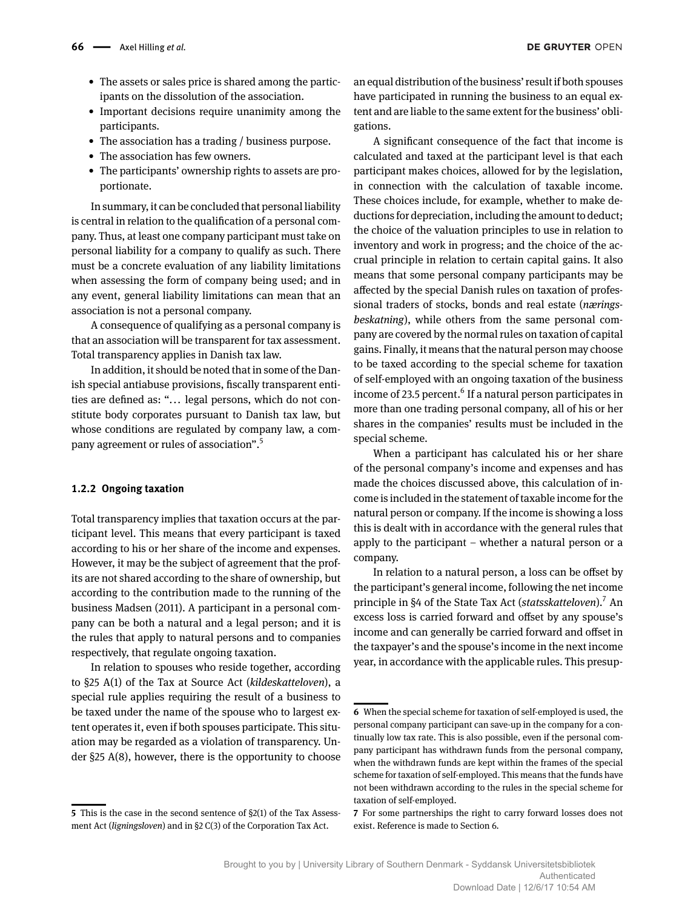- The assets or sales price is shared among the participants on the dissolution of the association.
- Important decisions require unanimity among the participants.
- The association has a trading / business purpose.
- The association has few owners.
- The participants' ownership rights to assets are proportionate.

In summary, it can be concluded that personal liability is central in relation to the qualification of a personal company. Thus, at least one company participant must take on personal liability for a company to qualify as such. There must be a concrete evaluation of any liability limitations when assessing the form of company being used; and in any event, general liability limitations can mean that an association is not a personal company.

A consequence of qualifying as a personal company is that an association will be transparent for tax assessment. Total transparency applies in Danish tax law.

In addition, it should be noted that in some of the Danish special antiabuse provisions, fiscally transparent entities are defined as: "... legal persons, which do not constitute body corporates pursuant to Danish tax law, but whose conditions are regulated by company law, a company agreement or rules of association".5

#### **1.2.2 Ongoing taxation**

Total transparency implies that taxation occurs at the participant level. This means that every participant is taxed according to his or her share of the income and expenses. However, it may be the subject of agreement that the profits are not shared according to the share of ownership, but according to the contribution made to the running of the business Madsen (2011). A participant in a personal company can be both a natural and a legal person; and it is the rules that apply to natural persons and to companies respectively, that regulate ongoing taxation.

In relation to spouses who reside together, according to §25 A(1) of the Tax at Source Act (*kildeskatteloven*), a special rule applies requiring the result of a business to be taxed under the name of the spouse who to largest extent operates it, even if both spouses participate. This situation may be regarded as a violation of transparency. Under §25 A(8), however, there is the opportunity to choose

an equal distribution of the business' result if both spouses have participated in running the business to an equal extent and are liable to the same extent for the business' obligations.

A significant consequence of the fact that income is calculated and taxed at the participant level is that each participant makes choices, allowed for by the legislation, in connection with the calculation of taxable income. These choices include, for example, whether to make deductions for depreciation, including the amount to deduct; the choice of the valuation principles to use in relation to inventory and work in progress; and the choice of the accrual principle in relation to certain capital gains. It also means that some personal company participants may be affected by the special Danish rules on taxation of professional traders of stocks, bonds and real estate (*næringsbeskatning*), while others from the same personal company are covered by the normal rules on taxation of capital gains. Finally, it means that the natural person may choose to be taxed according to the special scheme for taxation of self-employed with an ongoing taxation of the business income of 23.5 percent.<sup>6</sup> If a natural person participates in more than one trading personal company, all of his or her shares in the companies' results must be included in the special scheme.

When a participant has calculated his or her share of the personal company's income and expenses and has made the choices discussed above, this calculation of income is included in the statement of taxable income for the natural person or company. If the income is showing a loss this is dealt with in accordance with the general rules that apply to the participant – whether a natural person or a company.

In relation to a natural person, a loss can be offset by the participant's general income, following the net income principle in §4 of the State Tax Act (*statsskatteloven*).7 An excess loss is carried forward and offset by any spouse's income and can generally be carried forward and offset in the taxpayer's and the spouse's income in the next income year, in accordance with the applicable rules. This presup-

**<sup>5</sup>** This is the case in the second sentence of §2(1) of the Tax Assessment Act (*ligningsloven*) and in §2 C(3) of the Corporation Tax Act.

**<sup>6</sup>** When the special scheme for taxation of self-employed is used, the personal company participant can save-up in the company for a continually low tax rate. This is also possible, even if the personal company participant has withdrawn funds from the personal company, when the withdrawn funds are kept within the frames of the special scheme for taxation of self-employed. This means that the funds have not been withdrawn according to the rules in the special scheme for taxation of self-employed.

**<sup>7</sup>** For some partnerships the right to carry forward losses does not exist. Reference is made to Section 6.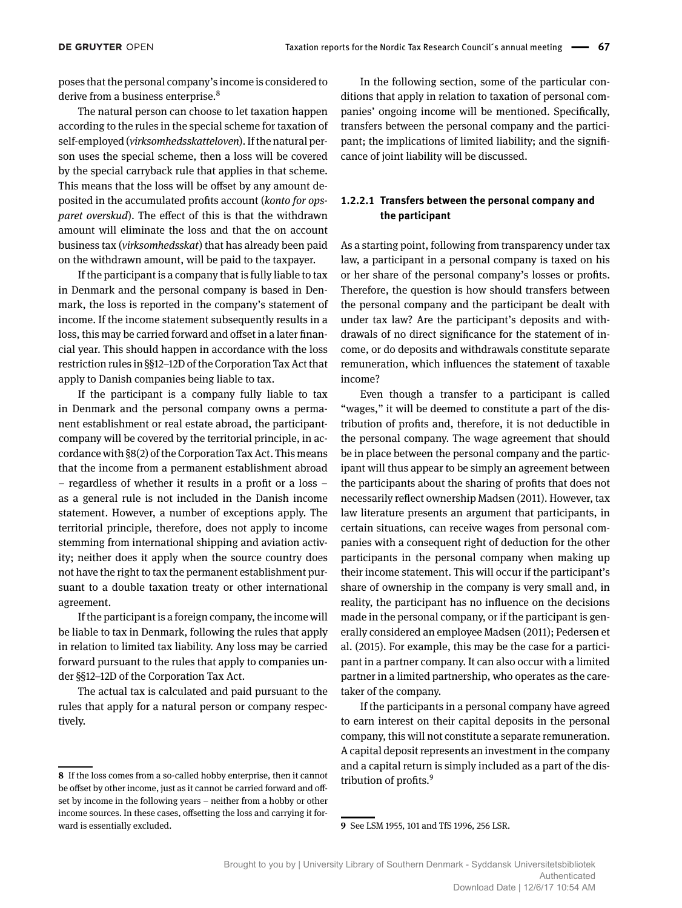poses that the personal company's income is considered to derive from a business enterprise.<sup>8</sup>

The natural person can choose to let taxation happen according to the rules in the special scheme for taxation of self-employed (*virksomhedsskatteloven*). If the natural person uses the special scheme, then a loss will be covered by the special carryback rule that applies in that scheme. This means that the loss will be offset by any amount deposited in the accumulated profits account (*konto for opsparet overskud*). The effect of this is that the withdrawn amount will eliminate the loss and that the on account business tax (*virksomhedsskat*) that has already been paid on the withdrawn amount, will be paid to the taxpayer.

If the participant is a company that is fully liable to tax in Denmark and the personal company is based in Denmark, the loss is reported in the company's statement of income. If the income statement subsequently results in a loss, this may be carried forward and offset in a later financial year. This should happen in accordance with the loss restriction rules in §§12–12D of the Corporation Tax Act that apply to Danish companies being liable to tax.

If the participant is a company fully liable to tax in Denmark and the personal company owns a permanent establishment or real estate abroad, the participantcompany will be covered by the territorial principle, in accordance with §8(2) of the Corporation Tax Act. This means that the income from a permanent establishment abroad – regardless of whether it results in a profit or a loss – as a general rule is not included in the Danish income statement. However, a number of exceptions apply. The territorial principle, therefore, does not apply to income stemming from international shipping and aviation activity; neither does it apply when the source country does not have the right to tax the permanent establishment pursuant to a double taxation treaty or other international agreement.

If the participant is a foreign company, the income will be liable to tax in Denmark, following the rules that apply in relation to limited tax liability. Any loss may be carried forward pursuant to the rules that apply to companies under §§12–12D of the Corporation Tax Act.

The actual tax is calculated and paid pursuant to the rules that apply for a natural person or company respectively.

In the following section, some of the particular conditions that apply in relation to taxation of personal companies' ongoing income will be mentioned. Specifically, transfers between the personal company and the participant; the implications of limited liability; and the significance of joint liability will be discussed.

## **1.2.2.1 Transfers between the personal company and the participant**

As a starting point, following from transparency under tax law, a participant in a personal company is taxed on his or her share of the personal company's losses or profits. Therefore, the question is how should transfers between the personal company and the participant be dealt with under tax law? Are the participant's deposits and withdrawals of no direct significance for the statement of income, or do deposits and withdrawals constitute separate remuneration, which influences the statement of taxable income?

Even though a transfer to a participant is called "wages," it will be deemed to constitute a part of the distribution of profits and, therefore, it is not deductible in the personal company. The wage agreement that should be in place between the personal company and the participant will thus appear to be simply an agreement between the participants about the sharing of profits that does not necessarily reflect ownership Madsen (2011). However, tax law literature presents an argument that participants, in certain situations, can receive wages from personal companies with a consequent right of deduction for the other participants in the personal company when making up their income statement. This will occur if the participant's share of ownership in the company is very small and, in reality, the participant has no influence on the decisions made in the personal company, or if the participant is generally considered an employee Madsen (2011); Pedersen et al. (2015). For example, this may be the case for a participant in a partner company. It can also occur with a limited partner in a limited partnership, who operates as the caretaker of the company.

If the participants in a personal company have agreed to earn interest on their capital deposits in the personal company, this will not constitute a separate remuneration. A capital deposit represents an investment in the company and a capital return is simply included as a part of the distribution of profits.<sup>9</sup>

**9** See LSM 1955, 101 and TfS 1996, 256 LSR.

**<sup>8</sup>** If the loss comes from a so-called hobby enterprise, then it cannot be offset by other income, just as it cannot be carried forward and offset by income in the following years – neither from a hobby or other income sources. In these cases, offsetting the loss and carrying it forward is essentially excluded.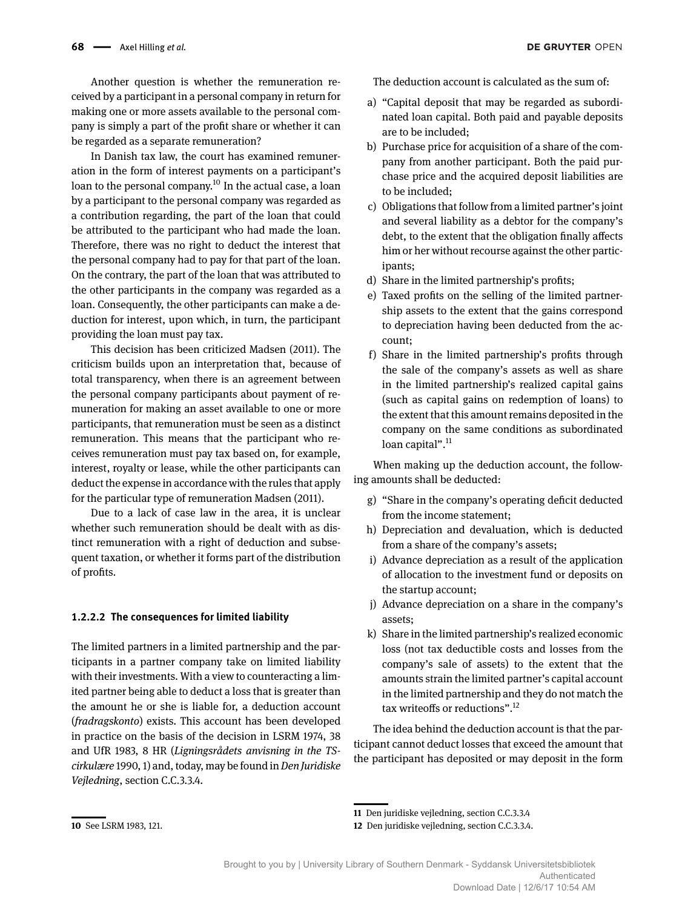Another question is whether the remuneration received by a participant in a personal company in return for making one or more assets available to the personal company is simply a part of the profit share or whether it can be regarded as a separate remuneration?

In Danish tax law, the court has examined remuneration in the form of interest payments on a participant's loan to the personal company.<sup>10</sup> In the actual case, a loan by a participant to the personal company was regarded as a contribution regarding, the part of the loan that could be attributed to the participant who had made the loan. Therefore, there was no right to deduct the interest that the personal company had to pay for that part of the loan. On the contrary, the part of the loan that was attributed to the other participants in the company was regarded as a loan. Consequently, the other participants can make a deduction for interest, upon which, in turn, the participant providing the loan must pay tax.

This decision has been criticized Madsen (2011). The criticism builds upon an interpretation that, because of total transparency, when there is an agreement between the personal company participants about payment of remuneration for making an asset available to one or more participants, that remuneration must be seen as a distinct remuneration. This means that the participant who receives remuneration must pay tax based on, for example, interest, royalty or lease, while the other participants can deduct the expense in accordance with the rules that apply for the particular type of remuneration Madsen (2011).

Due to a lack of case law in the area, it is unclear whether such remuneration should be dealt with as distinct remuneration with a right of deduction and subsequent taxation, or whether it forms part of the distribution of profits.

### **1.2.2.2 The consequences for limited liability**

The limited partners in a limited partnership and the participants in a partner company take on limited liability with their investments. With a view to counteracting a limited partner being able to deduct a loss that is greater than the amount he or she is liable for, a deduction account (*fradragskonto*) exists. This account has been developed in practice on the basis of the decision in LSRM 1974, 38 and UfR 1983, 8 HR (*Ligningsrådets anvisning in the TScirkulære* 1990, 1) and, today, may be found in*Den Juridiske Vejledning*, section C.C.3.3.4.

The deduction account is calculated as the sum of:

- a) "Capital deposit that may be regarded as subordinated loan capital. Both paid and payable deposits are to be included;
- b) Purchase price for acquisition of a share of the company from another participant. Both the paid purchase price and the acquired deposit liabilities are to be included;
- c) Obligations that follow from a limited partner's joint and several liability as a debtor for the company's debt, to the extent that the obligation finally affects him or her without recourse against the other participants;
- d) Share in the limited partnership's profits;
- e) Taxed profits on the selling of the limited partnership assets to the extent that the gains correspond to depreciation having been deducted from the account;
- f) Share in the limited partnership's profits through the sale of the company's assets as well as share in the limited partnership's realized capital gains (such as capital gains on redemption of loans) to the extent that this amount remains deposited in the company on the same conditions as subordinated loan capital".<sup>11</sup>

When making up the deduction account, the following amounts shall be deducted:

- g) "Share in the company's operating deficit deducted from the income statement;
- h) Depreciation and devaluation, which is deducted from a share of the company's assets;
- i) Advance depreciation as a result of the application of allocation to the investment fund or deposits on the startup account;
- j) Advance depreciation on a share in the company's assets;
- k) Share in the limited partnership's realized economic loss (not tax deductible costs and losses from the company's sale of assets) to the extent that the amounts strain the limited partner's capital account in the limited partnership and they do not match the tax writeoffs or reductions".12

The idea behind the deduction account is that the participant cannot deduct losses that exceed the amount that the participant has deposited or may deposit in the form

**<sup>10</sup>** See LSRM 1983, 121.

**<sup>11</sup>** Den juridiske vejledning, section C.C.3.3.4

**<sup>12</sup>** Den juridiske vejledning, section C.C.3.3.4.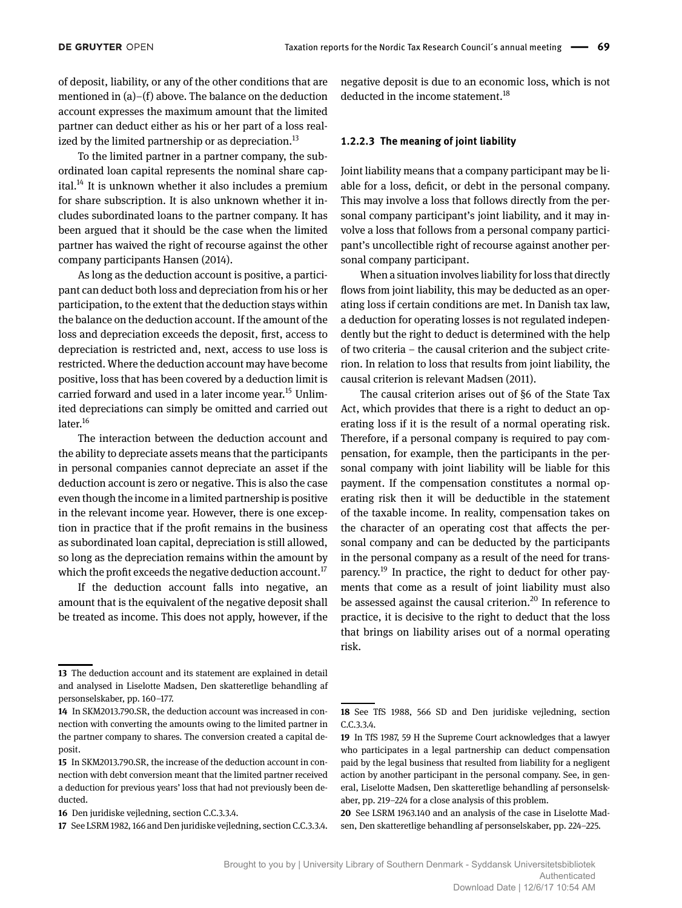of deposit, liability, or any of the other conditions that are mentioned in (a)–(f) above. The balance on the deduction account expresses the maximum amount that the limited partner can deduct either as his or her part of a loss realized by the limited partnership or as depreciation.<sup>13</sup>

To the limited partner in a partner company, the subordinated loan capital represents the nominal share capital. $14$  It is unknown whether it also includes a premium for share subscription. It is also unknown whether it includes subordinated loans to the partner company. It has been argued that it should be the case when the limited partner has waived the right of recourse against the other company participants Hansen (2014).

As long as the deduction account is positive, a participant can deduct both loss and depreciation from his or her participation, to the extent that the deduction stays within the balance on the deduction account. If the amount of the loss and depreciation exceeds the deposit, first, access to depreciation is restricted and, next, access to use loss is restricted. Where the deduction account may have become positive, loss that has been covered by a deduction limit is carried forward and used in a later income year.<sup>15</sup> Unlimited depreciations can simply be omitted and carried out later.<sup>16</sup>

The interaction between the deduction account and the ability to depreciate assets means that the participants in personal companies cannot depreciate an asset if the deduction account is zero or negative. This is also the case even though the income in a limited partnership is positive in the relevant income year. However, there is one exception in practice that if the profit remains in the business as subordinated loan capital, depreciation is still allowed, so long as the depreciation remains within the amount by which the profit exceeds the negative deduction account.<sup>17</sup>

If the deduction account falls into negative, an amount that is the equivalent of the negative deposit shall be treated as income. This does not apply, however, if the negative deposit is due to an economic loss, which is not deducted in the income statement.<sup>18</sup>

#### **1.2.2.3 The meaning of joint liability**

Joint liability means that a company participant may be liable for a loss, deficit, or debt in the personal company. This may involve a loss that follows directly from the personal company participant's joint liability, and it may involve a loss that follows from a personal company participant's uncollectible right of recourse against another personal company participant.

When a situation involves liability for loss that directly flows from joint liability, this may be deducted as an operating loss if certain conditions are met. In Danish tax law, a deduction for operating losses is not regulated independently but the right to deduct is determined with the help of two criteria – the causal criterion and the subject criterion. In relation to loss that results from joint liability, the causal criterion is relevant Madsen (2011).

The causal criterion arises out of §6 of the State Tax Act, which provides that there is a right to deduct an operating loss if it is the result of a normal operating risk. Therefore, if a personal company is required to pay compensation, for example, then the participants in the personal company with joint liability will be liable for this payment. If the compensation constitutes a normal operating risk then it will be deductible in the statement of the taxable income. In reality, compensation takes on the character of an operating cost that affects the personal company and can be deducted by the participants in the personal company as a result of the need for transparency.<sup>19</sup> In practice, the right to deduct for other payments that come as a result of joint liability must also be assessed against the causal criterion.<sup>20</sup> In reference to practice, it is decisive to the right to deduct that the loss that brings on liability arises out of a normal operating risk.

**<sup>13</sup>** The deduction account and its statement are explained in detail and analysed in Liselotte Madsen, Den skatteretlige behandling af personselskaber, pp. 160–177.

**<sup>14</sup>** In SKM2013.790.SR, the deduction account was increased in connection with converting the amounts owing to the limited partner in the partner company to shares. The conversion created a capital deposit.

**<sup>15</sup>** In SKM2013.790.SR, the increase of the deduction account in connection with debt conversion meant that the limited partner received a deduction for previous years' loss that had not previously been deducted.

**<sup>16</sup>** Den juridiske vejledning, section C.C.3.3.4.

**<sup>17</sup>** See LSRM 1982, 166 and Den juridiske vejledning, section C.C.3.3.4.

**<sup>18</sup>** See TfS 1988, 566 SD and Den juridiske vejledning, section C.C.3.3.4.

**<sup>19</sup>** In TfS 1987, 59 H the Supreme Court acknowledges that a lawyer who participates in a legal partnership can deduct compensation paid by the legal business that resulted from liability for a negligent action by another participant in the personal company. See, in general, Liselotte Madsen, Den skatteretlige behandling af personselskaber, pp. 219–224 for a close analysis of this problem.

**<sup>20</sup>** See LSRM 1963.140 and an analysis of the case in Liselotte Madsen, Den skatteretlige behandling af personselskaber, pp. 224–225.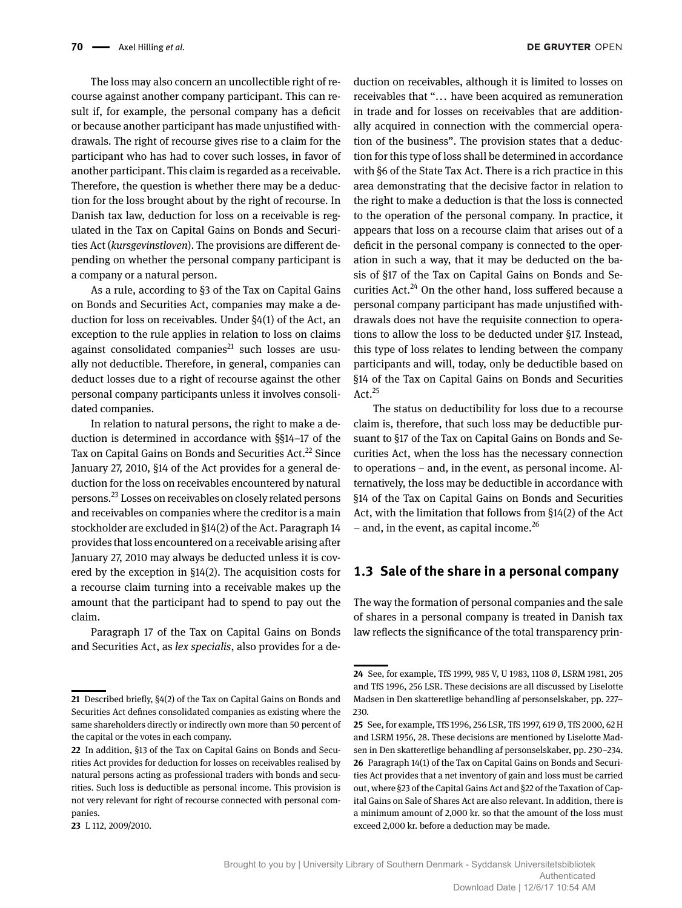The loss may also concern an uncollectible right of recourse against another company participant. This can result if, for example, the personal company has a deficit or because another participant has made unjustified withdrawals. The right of recourse gives rise to a claim for the participant who has had to cover such losses, in favor of another participant. This claim is regarded as a receivable. Therefore, the question is whether there may be a deduction for the loss brought about by the right of recourse. In Danish tax law, deduction for loss on a receivable is regulated in the Tax on Capital Gains on Bonds and Securities Act (*kursgevinstloven*). The provisions are different depending on whether the personal company participant is a company or a natural person.

As a rule, according to §3 of the Tax on Capital Gains on Bonds and Securities Act, companies may make a deduction for loss on receivables. Under §4(1) of the Act, an exception to the rule applies in relation to loss on claims against consolidated companies $^{21}$  such losses are usually not deductible. Therefore, in general, companies can deduct losses due to a right of recourse against the other personal company participants unless it involves consolidated companies.

In relation to natural persons, the right to make a deduction is determined in accordance with §§14–17 of the Tax on Capital Gains on Bonds and Securities Act.<sup>22</sup> Since January 27, 2010, §14 of the Act provides for a general deduction for the loss on receivables encountered by natural persons.23 Losses on receivables on closely related persons and receivables on companies where the creditor is a main stockholder are excluded in §14(2) of the Act. Paragraph 14 provides that loss encountered on a receivable arising after January 27, 2010 may always be deducted unless it is covered by the exception in §14(2). The acquisition costs for a recourse claim turning into a receivable makes up the amount that the participant had to spend to pay out the claim.

Paragraph 17 of the Tax on Capital Gains on Bonds and Securities Act, as *lex specialis*, also provides for a deduction on receivables, although it is limited to losses on receivables that "... have been acquired as remuneration in trade and for losses on receivables that are additionally acquired in connection with the commercial operation of the business". The provision states that a deduction for this type of loss shall be determined in accordance with §6 of the State Tax Act. There is a rich practice in this area demonstrating that the decisive factor in relation to the right to make a deduction is that the loss is connected to the operation of the personal company. In practice, it appears that loss on a recourse claim that arises out of a deficit in the personal company is connected to the operation in such a way, that it may be deducted on the basis of §17 of the Tax on Capital Gains on Bonds and Securities Act.<sup>24</sup> On the other hand, loss suffered because a personal company participant has made unjustified withdrawals does not have the requisite connection to operations to allow the loss to be deducted under §17. Instead, this type of loss relates to lending between the company participants and will, today, only be deductible based on §14 of the Tax on Capital Gains on Bonds and Securities Act. $^{25}$ 

The status on deductibility for loss due to a recourse claim is, therefore, that such loss may be deductible pursuant to §17 of the Tax on Capital Gains on Bonds and Securities Act, when the loss has the necessary connection to operations – and, in the event, as personal income. Alternatively, the loss may be deductible in accordance with §14 of the Tax on Capital Gains on Bonds and Securities Act, with the limitation that follows from §14(2) of the Act – and, in the event, as capital income.<sup>26</sup>

## **1.3 Sale of the share in a personal company**

The way the formation of personal companies and the sale of shares in a personal company is treated in Danish tax law reflects the significance of the total transparency prin-

**<sup>21</sup>** Described briefly, §4(2) of the Tax on Capital Gains on Bonds and Securities Act defines consolidated companies as existing where the same shareholders directly or indirectly own more than 50 percent of the capital or the votes in each company.

**<sup>22</sup>** In addition, §13 of the Tax on Capital Gains on Bonds and Securities Act provides for deduction for losses on receivables realised by natural persons acting as professional traders with bonds and securities. Such loss is deductible as personal income. This provision is not very relevant for right of recourse connected with personal companies.

**<sup>23</sup>** L 112, 2009/2010.

**<sup>24</sup>** See, for example, TfS 1999, 985 V, U 1983, 1108 Ø, LSRM 1981, 205 and TfS 1996, 256 LSR. These decisions are all discussed by Liselotte Madsen in Den skatteretlige behandling af personselskaber, pp. 227– 230.

**<sup>25</sup>** See, for example, TfS 1996, 256 LSR, TfS 1997, 619 Ø, TfS 2000, 62 H and LSRM 1956, 28. These decisions are mentioned by Liselotte Madsen in Den skatteretlige behandling af personselskaber, pp. 230–234. **26** Paragraph 14(1) of the Tax on Capital Gains on Bonds and Securities Act provides that a net inventory of gain and loss must be carried out, where §23 of the Capital Gains Act and §22 of the Taxation of Capital Gains on Sale of Shares Act are also relevant. In addition, there is a minimum amount of 2,000 kr. so that the amount of the loss must exceed 2,000 kr. before a deduction may be made.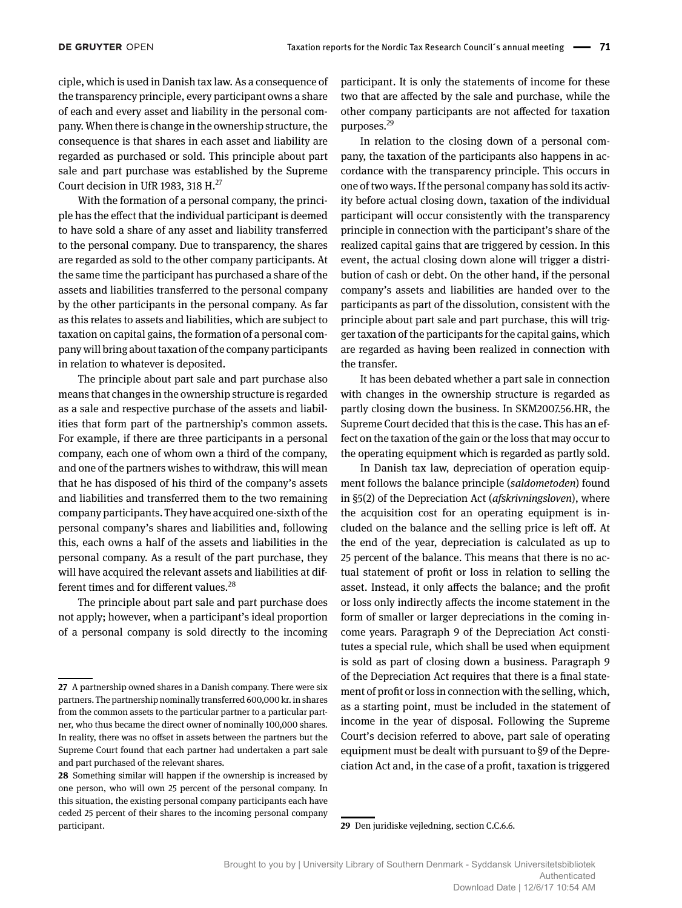ciple, which is used in Danish tax law. As a consequence of the transparency principle, every participant owns a share of each and every asset and liability in the personal company. When there is change in the ownership structure, the consequence is that shares in each asset and liability are regarded as purchased or sold. This principle about part sale and part purchase was established by the Supreme Court decision in UfR 1983, 318 H.<sup>27</sup>

With the formation of a personal company, the principle has the effect that the individual participant is deemed to have sold a share of any asset and liability transferred to the personal company. Due to transparency, the shares are regarded as sold to the other company participants. At the same time the participant has purchased a share of the assets and liabilities transferred to the personal company by the other participants in the personal company. As far as this relates to assets and liabilities, which are subject to taxation on capital gains, the formation of a personal company will bring about taxation of the company participants in relation to whatever is deposited.

The principle about part sale and part purchase also means that changes in the ownership structure is regarded as a sale and respective purchase of the assets and liabilities that form part of the partnership's common assets. For example, if there are three participants in a personal company, each one of whom own a third of the company, and one of the partners wishes to withdraw, this will mean that he has disposed of his third of the company's assets and liabilities and transferred them to the two remaining company participants. They have acquired one-sixth of the personal company's shares and liabilities and, following this, each owns a half of the assets and liabilities in the personal company. As a result of the part purchase, they will have acquired the relevant assets and liabilities at different times and for different values.<sup>28</sup>

The principle about part sale and part purchase does not apply; however, when a participant's ideal proportion of a personal company is sold directly to the incoming participant. It is only the statements of income for these two that are affected by the sale and purchase, while the other company participants are not affected for taxation purposes.29

In relation to the closing down of a personal company, the taxation of the participants also happens in accordance with the transparency principle. This occurs in one of two ways. If the personal company has sold its activity before actual closing down, taxation of the individual participant will occur consistently with the transparency principle in connection with the participant's share of the realized capital gains that are triggered by cession. In this event, the actual closing down alone will trigger a distribution of cash or debt. On the other hand, if the personal company's assets and liabilities are handed over to the participants as part of the dissolution, consistent with the principle about part sale and part purchase, this will trigger taxation of the participants for the capital gains, which are regarded as having been realized in connection with the transfer.

It has been debated whether a part sale in connection with changes in the ownership structure is regarded as partly closing down the business. In SKM2007.56.HR, the Supreme Court decided that this is the case. This has an effect on the taxation of the gain or the loss that may occur to the operating equipment which is regarded as partly sold.

In Danish tax law, depreciation of operation equipment follows the balance principle (*saldometoden*) found in §5(2) of the Depreciation Act (*afskrivningsloven*), where the acquisition cost for an operating equipment is included on the balance and the selling price is left off. At the end of the year, depreciation is calculated as up to 25 percent of the balance. This means that there is no actual statement of profit or loss in relation to selling the asset. Instead, it only affects the balance; and the profit or loss only indirectly affects the income statement in the form of smaller or larger depreciations in the coming income years. Paragraph 9 of the Depreciation Act constitutes a special rule, which shall be used when equipment is sold as part of closing down a business. Paragraph 9 of the Depreciation Act requires that there is a final statement of profit or loss in connection with the selling, which, as a starting point, must be included in the statement of income in the year of disposal. Following the Supreme Court's decision referred to above, part sale of operating equipment must be dealt with pursuant to §9 of the Depreciation Act and, in the case of a profit, taxation is triggered

**29** Den juridiske vejledning, section C.C.6.6.

**<sup>27</sup>** A partnership owned shares in a Danish company. There were six partners. The partnership nominally transferred 600,000 kr. in shares from the common assets to the particular partner to a particular partner, who thus became the direct owner of nominally 100,000 shares. In reality, there was no offset in assets between the partners but the Supreme Court found that each partner had undertaken a part sale and part purchased of the relevant shares.

**<sup>28</sup>** Something similar will happen if the ownership is increased by one person, who will own 25 percent of the personal company. In this situation, the existing personal company participants each have ceded 25 percent of their shares to the incoming personal company participant.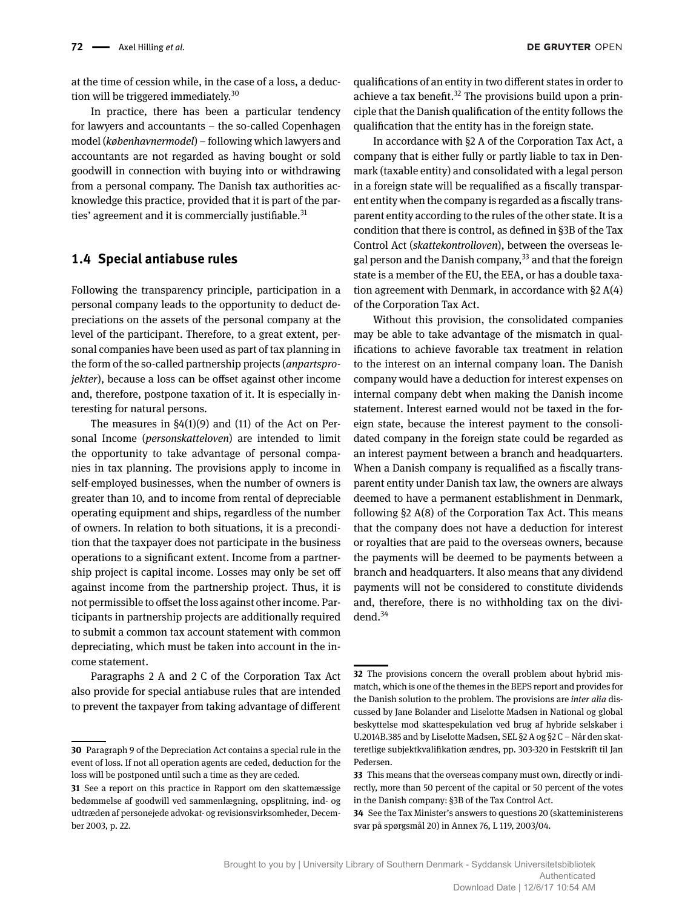at the time of cession while, in the case of a loss, a deduction will be triggered immediately.<sup>30</sup>

In practice, there has been a particular tendency for lawyers and accountants – the so-called Copenhagen model (*københavnermodel*) – following which lawyers and accountants are not regarded as having bought or sold goodwill in connection with buying into or withdrawing from a personal company. The Danish tax authorities acknowledge this practice, provided that it is part of the parties' agreement and it is commercially justifiable.<sup>31</sup>

## **1.4 Special antiabuse rules**

Following the transparency principle, participation in a personal company leads to the opportunity to deduct depreciations on the assets of the personal company at the level of the participant. Therefore, to a great extent, personal companies have been used as part of tax planning in the form of the so-called partnership projects (*anpartsprojekter*), because a loss can be offset against other income and, therefore, postpone taxation of it. It is especially interesting for natural persons.

The measures in  $\S4(1)(9)$  and (11) of the Act on Personal Income (*personskatteloven*) are intended to limit the opportunity to take advantage of personal companies in tax planning. The provisions apply to income in self-employed businesses, when the number of owners is greater than 10, and to income from rental of depreciable operating equipment and ships, regardless of the number of owners. In relation to both situations, it is a precondition that the taxpayer does not participate in the business operations to a significant extent. Income from a partnership project is capital income. Losses may only be set off against income from the partnership project. Thus, it is not permissible to offset the loss against other income. Participants in partnership projects are additionally required to submit a common tax account statement with common depreciating, which must be taken into account in the income statement.

Paragraphs 2 A and 2 C of the Corporation Tax Act also provide for special antiabuse rules that are intended to prevent the taxpayer from taking advantage of different

qualifications of an entity in two different states in order to achieve a tax benefit.<sup>32</sup> The provisions build upon a principle that the Danish qualification of the entity follows the qualification that the entity has in the foreign state.

In accordance with §2 A of the Corporation Tax Act, a company that is either fully or partly liable to tax in Denmark (taxable entity) and consolidated with a legal person in a foreign state will be requalified as a fiscally transparent entity when the company is regarded as a fiscally transparent entity according to the rules of the other state. It is a condition that there is control, as defined in §3B of the Tax Control Act (*skattekontrolloven*), between the overseas legal person and the Danish company,<sup>33</sup> and that the foreign state is a member of the EU, the EEA, or has a double taxation agreement with Denmark, in accordance with §2 A(4) of the Corporation Tax Act.

Without this provision, the consolidated companies may be able to take advantage of the mismatch in qualifications to achieve favorable tax treatment in relation to the interest on an internal company loan. The Danish company would have a deduction for interest expenses on internal company debt when making the Danish income statement. Interest earned would not be taxed in the foreign state, because the interest payment to the consolidated company in the foreign state could be regarded as an interest payment between a branch and headquarters. When a Danish company is requalified as a fiscally transparent entity under Danish tax law, the owners are always deemed to have a permanent establishment in Denmark, following §2 A(8) of the Corporation Tax Act. This means that the company does not have a deduction for interest or royalties that are paid to the overseas owners, because the payments will be deemed to be payments between a branch and headquarters. It also means that any dividend payments will not be considered to constitute dividends and, therefore, there is no withholding tax on the dividend. $34$ 

**<sup>30</sup>** Paragraph 9 of the Depreciation Act contains a special rule in the event of loss. If not all operation agents are ceded, deduction for the loss will be postponed until such a time as they are ceded.

**<sup>31</sup>** See a report on this practice in Rapport om den skattemæssige bedømmelse af goodwill ved sammenlægning, opsplitning, ind- og udtræden af personejede advokat- og revisionsvirksomheder, December 2003, p. 22.

**<sup>32</sup>** The provisions concern the overall problem about hybrid mismatch, which is one of the themes in the BEPS report and provides for the Danish solution to the problem. The provisions are *inter alia* discussed by Jane Bolander and Liselotte Madsen in National og global beskyttelse mod skattespekulation ved brug af hybride selskaber i U.2014B.385 and by Liselotte Madsen, SEL §2 A og §2 C – Når den skatteretlige subjektkvalifikation ændres, pp. 303-320 in Festskrift til Jan Pedersen.

**<sup>33</sup>** This means that the overseas company must own, directly or indirectly, more than 50 percent of the capital or 50 percent of the votes in the Danish company: §3B of the Tax Control Act.

**<sup>34</sup>** See the Tax Minister's answers to questions 20 (skatteministerens svar på spørgsmål 20) in Annex 76, L 119, 2003/04.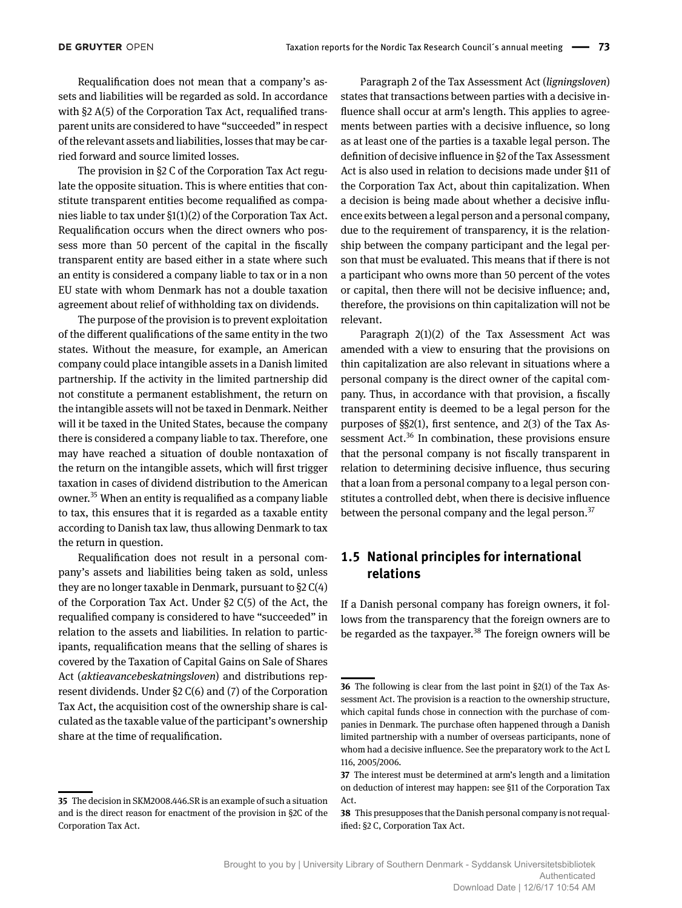Requalification does not mean that a company's assets and liabilities will be regarded as sold. In accordance with §2 A(5) of the Corporation Tax Act, requalified transparent units are considered to have "succeeded" in respect of the relevant assets and liabilities, losses that may be carried forward and source limited losses.

The provision in §2 C of the Corporation Tax Act regulate the opposite situation. This is where entities that constitute transparent entities become requalified as companies liable to tax under §1(1)(2) of the Corporation Tax Act. Requalification occurs when the direct owners who possess more than 50 percent of the capital in the fiscally transparent entity are based either in a state where such an entity is considered a company liable to tax or in a non EU state with whom Denmark has not a double taxation agreement about relief of withholding tax on dividends.

The purpose of the provision is to prevent exploitation of the different qualifications of the same entity in the two states. Without the measure, for example, an American company could place intangible assets in a Danish limited partnership. If the activity in the limited partnership did not constitute a permanent establishment, the return on the intangible assets will not be taxed in Denmark. Neither will it be taxed in the United States, because the company there is considered a company liable to tax. Therefore, one may have reached a situation of double nontaxation of the return on the intangible assets, which will first trigger taxation in cases of dividend distribution to the American owner.35 When an entity is requalified as a company liable to tax, this ensures that it is regarded as a taxable entity according to Danish tax law, thus allowing Denmark to tax the return in question.

Requalification does not result in a personal company's assets and liabilities being taken as sold, unless they are no longer taxable in Denmark, pursuant to §2 C(4) of the Corporation Tax Act. Under §2 C(5) of the Act, the requalified company is considered to have "succeeded" in relation to the assets and liabilities. In relation to participants, requalification means that the selling of shares is covered by the Taxation of Capital Gains on Sale of Shares Act (*aktieavancebeskatningsloven*) and distributions represent dividends. Under §2 C(6) and (7) of the Corporation Tax Act, the acquisition cost of the ownership share is calculated as the taxable value of the participant's ownership share at the time of requalification.

Paragraph 2 of the Tax Assessment Act (*ligningsloven*) states that transactions between parties with a decisive influence shall occur at arm's length. This applies to agreements between parties with a decisive influence, so long as at least one of the parties is a taxable legal person. The definition of decisive influence in §2 of the Tax Assessment Act is also used in relation to decisions made under §11 of the Corporation Tax Act, about thin capitalization. When a decision is being made about whether a decisive influence exits between a legal person and a personal company, due to the requirement of transparency, it is the relationship between the company participant and the legal person that must be evaluated. This means that if there is not a participant who owns more than 50 percent of the votes or capital, then there will not be decisive influence; and, therefore, the provisions on thin capitalization will not be relevant.

Paragraph 2(1)(2) of the Tax Assessment Act was amended with a view to ensuring that the provisions on thin capitalization are also relevant in situations where a personal company is the direct owner of the capital company. Thus, in accordance with that provision, a fiscally transparent entity is deemed to be a legal person for the purposes of §§2(1), first sentence, and 2(3) of the Tax Assessment Act. $36$  In combination, these provisions ensure that the personal company is not fiscally transparent in relation to determining decisive influence, thus securing that a loan from a personal company to a legal person constitutes a controlled debt, when there is decisive influence between the personal company and the legal person. $37$ 

## **1.5 National principles for international relations**

If a Danish personal company has foreign owners, it follows from the transparency that the foreign owners are to be regarded as the taxpayer.<sup>38</sup> The foreign owners will be

**<sup>35</sup>** The decision in SKM2008.446.SR is an example of such a situation and is the direct reason for enactment of the provision in §2C of the Corporation Tax Act.

**<sup>36</sup>** The following is clear from the last point in §2(1) of the Tax Assessment Act. The provision is a reaction to the ownership structure, which capital funds chose in connection with the purchase of companies in Denmark. The purchase often happened through a Danish limited partnership with a number of overseas participants, none of whom had a decisive influence. See the preparatory work to the Act L 116, 2005/2006.

**<sup>37</sup>** The interest must be determined at arm's length and a limitation on deduction of interest may happen: see §11 of the Corporation Tax Act.

**<sup>38</sup>** This presupposes that the Danish personal company is not requalified: §2 C, Corporation Tax Act.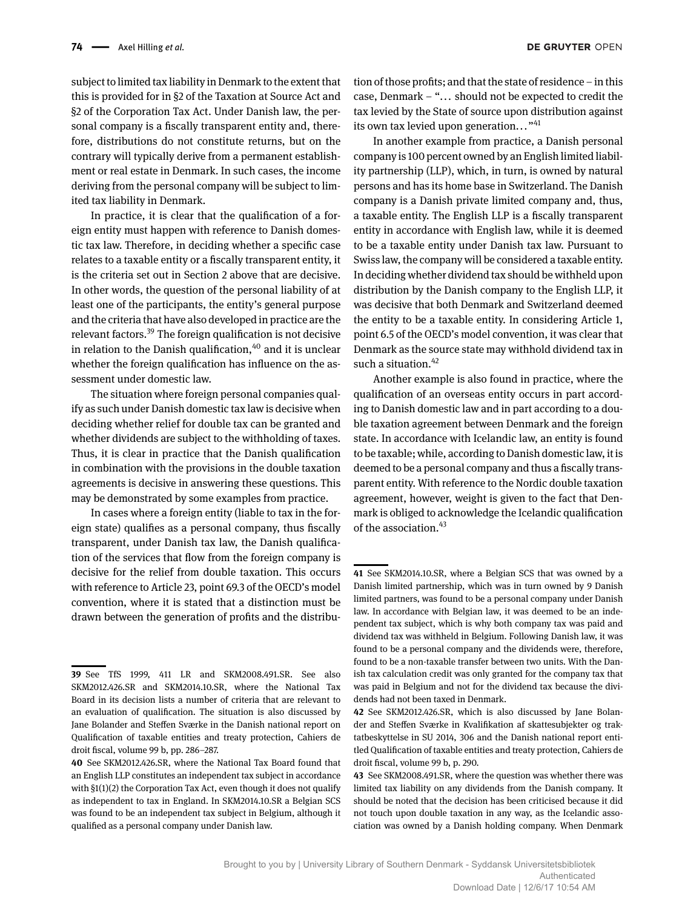subject to limited tax liability in Denmark to the extent that this is provided for in §2 of the Taxation at Source Act and §2 of the Corporation Tax Act. Under Danish law, the personal company is a fiscally transparent entity and, therefore, distributions do not constitute returns, but on the contrary will typically derive from a permanent establishment or real estate in Denmark. In such cases, the income deriving from the personal company will be subject to limited tax liability in Denmark.

In practice, it is clear that the qualification of a foreign entity must happen with reference to Danish domestic tax law. Therefore, in deciding whether a specific case relates to a taxable entity or a fiscally transparent entity, it is the criteria set out in Section 2 above that are decisive. In other words, the question of the personal liability of at least one of the participants, the entity's general purpose and the criteria that have also developed in practice are the relevant factors.<sup>39</sup> The foreign qualification is not decisive in relation to the Danish qualification, $40$  and it is unclear whether the foreign qualification has influence on the assessment under domestic law.

The situation where foreign personal companies qualify as such under Danish domestic tax law is decisive when deciding whether relief for double tax can be granted and whether dividends are subject to the withholding of taxes. Thus, it is clear in practice that the Danish qualification in combination with the provisions in the double taxation agreements is decisive in answering these questions. This may be demonstrated by some examples from practice.

In cases where a foreign entity (liable to tax in the foreign state) qualifies as a personal company, thus fiscally transparent, under Danish tax law, the Danish qualification of the services that flow from the foreign company is decisive for the relief from double taxation. This occurs with reference to Article 23, point 69.3 of the OECD's model convention, where it is stated that a distinction must be drawn between the generation of profits and the distribu-

tion of those profits; and that the state of residence – in this case, Denmark – "... should not be expected to credit the tax levied by the State of source upon distribution against its own tax levied upon generation..."<sup>41</sup>

In another example from practice, a Danish personal company is 100 percent owned by an English limited liability partnership (LLP), which, in turn, is owned by natural persons and has its home base in Switzerland. The Danish company is a Danish private limited company and, thus, a taxable entity. The English LLP is a fiscally transparent entity in accordance with English law, while it is deemed to be a taxable entity under Danish tax law. Pursuant to Swiss law, the company will be considered a taxable entity. In deciding whether dividend tax should be withheld upon distribution by the Danish company to the English LLP, it was decisive that both Denmark and Switzerland deemed the entity to be a taxable entity. In considering Article 1, point 6.5 of the OECD's model convention, it was clear that Denmark as the source state may withhold dividend tax in such a situation. $42$ 

Another example is also found in practice, where the qualification of an overseas entity occurs in part according to Danish domestic law and in part according to a double taxation agreement between Denmark and the foreign state. In accordance with Icelandic law, an entity is found to be taxable; while, according to Danish domestic law, it is deemed to be a personal company and thus a fiscally transparent entity. With reference to the Nordic double taxation agreement, however, weight is given to the fact that Denmark is obliged to acknowledge the Icelandic qualification of the association.<sup>43</sup>

**<sup>39</sup>** See TfS 1999, 411 LR and SKM2008.491.SR. See also SKM2012.426.SR and SKM2014.10.SR, where the National Tax Board in its decision lists a number of criteria that are relevant to an evaluation of qualification. The situation is also discussed by Jane Bolander and Steffen Sværke in the Danish national report on Qualification of taxable entities and treaty protection, Cahiers de droit fiscal, volume 99 b, pp. 286–287.

**<sup>40</sup>** See SKM2012.426.SR, where the National Tax Board found that an English LLP constitutes an independent tax subject in accordance with §1(1)(2) the Corporation Tax Act, even though it does not qualify as independent to tax in England. In SKM2014.10.SR a Belgian SCS was found to be an independent tax subject in Belgium, although it qualified as a personal company under Danish law.

**<sup>41</sup>** See SKM2014.10.SR, where a Belgian SCS that was owned by a Danish limited partnership, which was in turn owned by 9 Danish limited partners, was found to be a personal company under Danish law. In accordance with Belgian law, it was deemed to be an independent tax subject, which is why both company tax was paid and dividend tax was withheld in Belgium. Following Danish law, it was found to be a personal company and the dividends were, therefore, found to be a non-taxable transfer between two units. With the Danish tax calculation credit was only granted for the company tax that was paid in Belgium and not for the dividend tax because the dividends had not been taxed in Denmark.

**<sup>42</sup>** See SKM2012.426.SR, which is also discussed by Jane Bolander and Steffen Sværke in Kvalifikation af skattesubjekter og traktatbeskyttelse in SU 2014, 306 and the Danish national report entitled Qualification of taxable entities and treaty protection, Cahiers de droit fiscal, volume 99 b, p. 290.

**<sup>43</sup>** See SKM2008.491.SR, where the question was whether there was limited tax liability on any dividends from the Danish company. It should be noted that the decision has been criticised because it did not touch upon double taxation in any way, as the Icelandic association was owned by a Danish holding company. When Denmark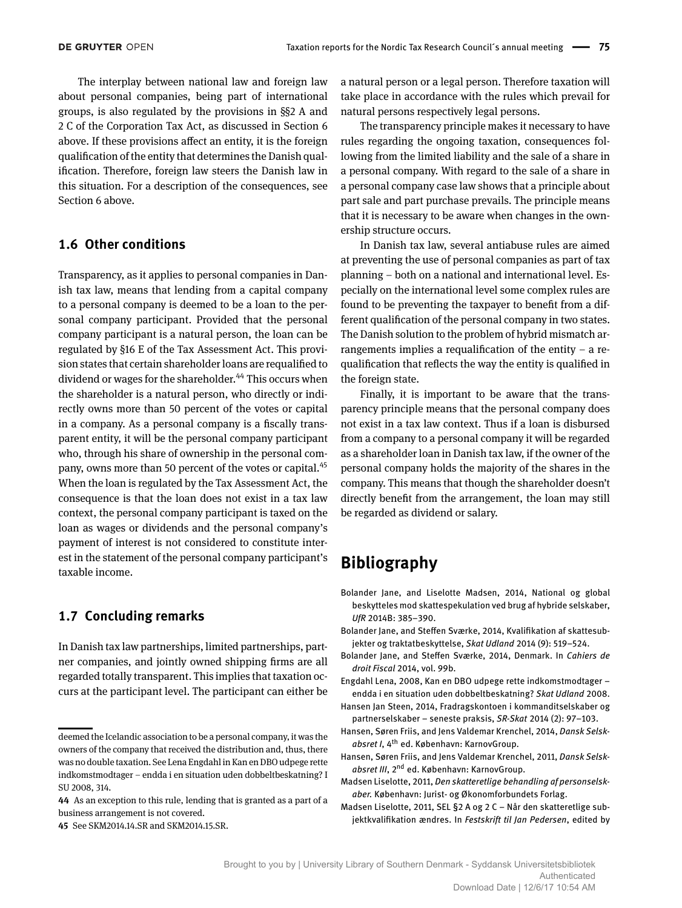The interplay between national law and foreign law about personal companies, being part of international groups, is also regulated by the provisions in §§2 A and 2 C of the Corporation Tax Act, as discussed in Section 6 above. If these provisions affect an entity, it is the foreign qualification of the entity that determines the Danish qualification. Therefore, foreign law steers the Danish law in this situation. For a description of the consequences, see Section 6 above.

## **1.6 Other conditions**

Transparency, as it applies to personal companies in Danish tax law, means that lending from a capital company to a personal company is deemed to be a loan to the personal company participant. Provided that the personal company participant is a natural person, the loan can be regulated by §16 E of the Tax Assessment Act. This provision states that certain shareholder loans are requalified to dividend or wages for the shareholder.<sup>44</sup> This occurs when the shareholder is a natural person, who directly or indirectly owns more than 50 percent of the votes or capital in a company. As a personal company is a fiscally transparent entity, it will be the personal company participant who, through his share of ownership in the personal company, owns more than 50 percent of the votes or capital.<sup>45</sup> When the loan is regulated by the Tax Assessment Act, the consequence is that the loan does not exist in a tax law context, the personal company participant is taxed on the loan as wages or dividends and the personal company's payment of interest is not considered to constitute interest in the statement of the personal company participant's taxable income.

## **1.7 Concluding remarks**

In Danish tax law partnerships, limited partnerships, partner companies, and jointly owned shipping firms are all regarded totally transparent. This implies that taxation occurs at the participant level. The participant can either be

**44** As an exception to this rule, lending that is granted as a part of a business arrangement is not covered.

**45** See SKM2014.14.SR and SKM2014.15.SR.

a natural person or a legal person. Therefore taxation will take place in accordance with the rules which prevail for natural persons respectively legal persons.

The transparency principle makes it necessary to have rules regarding the ongoing taxation, consequences following from the limited liability and the sale of a share in a personal company. With regard to the sale of a share in a personal company case law shows that a principle about part sale and part purchase prevails. The principle means that it is necessary to be aware when changes in the ownership structure occurs.

In Danish tax law, several antiabuse rules are aimed at preventing the use of personal companies as part of tax planning – both on a national and international level. Especially on the international level some complex rules are found to be preventing the taxpayer to benefit from a different qualification of the personal company in two states. The Danish solution to the problem of hybrid mismatch arrangements implies a requalification of the entity – a requalification that reflects the way the entity is qualified in the foreign state.

Finally, it is important to be aware that the transparency principle means that the personal company does not exist in a tax law context. Thus if a loan is disbursed from a company to a personal company it will be regarded as a shareholder loan in Danish tax law, if the owner of the personal company holds the majority of the shares in the company. This means that though the shareholder doesn't directly benefit from the arrangement, the loan may still be regarded as dividend or salary.

## **Bibliography**

- Bolander Jane, and Liselotte Madsen, 2014, National og global beskytteles mod skattespekulation ved brug af hybride selskaber, *UfR* 2014B: 385–390.
- Bolander Jane, and Steffen Sværke, 2014, Kvalifikation af skattesubjekter og traktatbeskyttelse, *Skat Udland* 2014 (9): 519–524.
- Bolander Jane, and Steffen Sværke, 2014, Denmark. In *Cahiers de droit Fiscal* 2014, vol. 99b.

Engdahl Lena, 2008, Kan en DBO udpege rette indkomstmodtager – endda i en situation uden dobbeltbeskatning? *Skat Udland* 2008.

- Hansen Jan Steen, 2014, Fradragskontoen i kommanditselskaber og partnerselskaber – seneste praksis, *SR-Skat* 2014 (2): 97–103.
- Hansen, Søren Friis, and Jens Valdemar Krenchel, 2014, *Dansk Selskabsret I*, 4th ed. København: KarnovGroup.
- Hansen, Søren Friis, and Jens Valdemar Krenchel, 2011, *Dansk Selskabsret III*, 2nd ed. København: KarnovGroup.
- Madsen Liselotte, 2011, *Den skatteretlige behandling af personselskaber.* København: Jurist- og Økonomforbundets Forlag.
- Madsen Liselotte, 2011, SEL §2 A og 2 C Når den skatteretlige subjektkvalifikation ændres. In *Festskrift til Jan Pedersen*, edited by

deemed the Icelandic association to be a personal company, it was the owners of the company that received the distribution and, thus, there was no double taxation. See Lena Engdahl in Kan en DBO udpege rette indkomstmodtager – endda i en situation uden dobbeltbeskatning? I SU 2008, 314.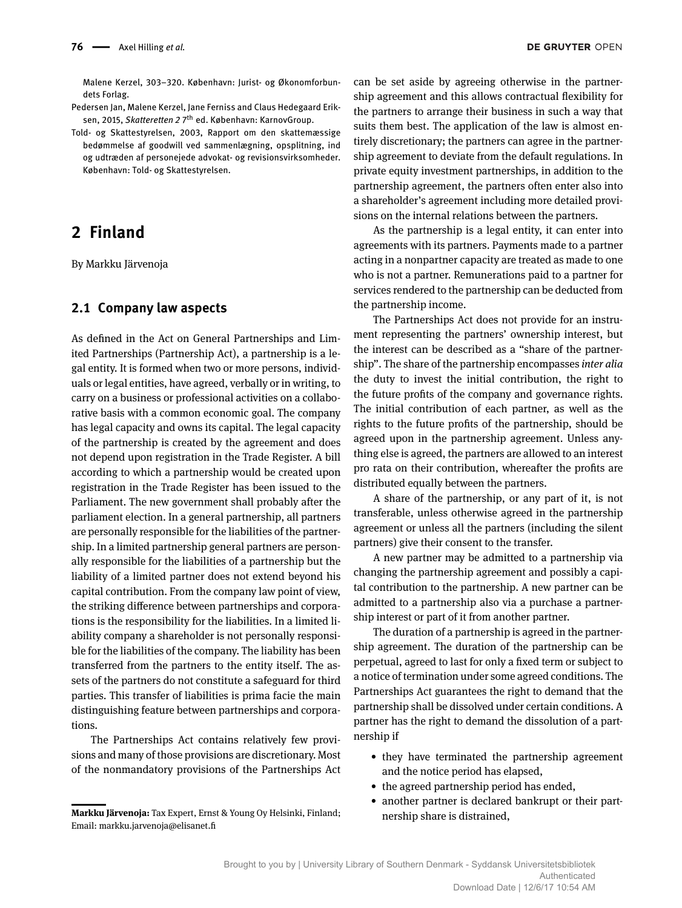Malene Kerzel, 303–320. København: Jurist- og Økonomforbundets Forlag.

Pedersen Jan, Malene Kerzel, Jane Ferniss and Claus Hedegaard Eriksen, 2015, *Skatteretten 2* 7<sup>th</sup> ed. København: KarnovGroup.

Told- og Skattestyrelsen, 2003, Rapport om den skattemæssige bedømmelse af goodwill ved sammenlægning, opsplitning, ind og udtræden af personejede advokat- og revisionsvirksomheder. København: Told- og Skattestyrelsen.

## **2 Finland**

By Markku Järvenoja

## **2.1 Company law aspects**

As defined in the Act on General Partnerships and Limited Partnerships (Partnership Act), a partnership is a legal entity. It is formed when two or more persons, individuals or legal entities, have agreed, verbally or in writing, to carry on a business or professional activities on a collaborative basis with a common economic goal. The company has legal capacity and owns its capital. The legal capacity of the partnership is created by the agreement and does not depend upon registration in the Trade Register. A bill according to which a partnership would be created upon registration in the Trade Register has been issued to the Parliament. The new government shall probably after the parliament election. In a general partnership, all partners are personally responsible for the liabilities of the partnership. In a limited partnership general partners are personally responsible for the liabilities of a partnership but the liability of a limited partner does not extend beyond his capital contribution. From the company law point of view, the striking difference between partnerships and corporations is the responsibility for the liabilities. In a limited liability company a shareholder is not personally responsible for the liabilities of the company. The liability has been transferred from the partners to the entity itself. The assets of the partners do not constitute a safeguard for third parties. This transfer of liabilities is prima facie the main distinguishing feature between partnerships and corporations.

The Partnerships Act contains relatively few provisions and many of those provisions are discretionary. Most of the nonmandatory provisions of the Partnerships Act

can be set aside by agreeing otherwise in the partnership agreement and this allows contractual flexibility for the partners to arrange their business in such a way that suits them best. The application of the law is almost entirely discretionary; the partners can agree in the partnership agreement to deviate from the default regulations. In private equity investment partnerships, in addition to the partnership agreement, the partners often enter also into a shareholder's agreement including more detailed provisions on the internal relations between the partners.

As the partnership is a legal entity, it can enter into agreements with its partners. Payments made to a partner acting in a nonpartner capacity are treated as made to one who is not a partner. Remunerations paid to a partner for services rendered to the partnership can be deducted from the partnership income.

The Partnerships Act does not provide for an instrument representing the partners' ownership interest, but the interest can be described as a "share of the partnership". The share of the partnership encompasses *inter alia* the duty to invest the initial contribution, the right to the future profits of the company and governance rights. The initial contribution of each partner, as well as the rights to the future profits of the partnership, should be agreed upon in the partnership agreement. Unless anything else is agreed, the partners are allowed to an interest pro rata on their contribution, whereafter the profits are distributed equally between the partners.

A share of the partnership, or any part of it, is not transferable, unless otherwise agreed in the partnership agreement or unless all the partners (including the silent partners) give their consent to the transfer.

A new partner may be admitted to a partnership via changing the partnership agreement and possibly a capital contribution to the partnership. A new partner can be admitted to a partnership also via a purchase a partnership interest or part of it from another partner.

The duration of a partnership is agreed in the partnership agreement. The duration of the partnership can be perpetual, agreed to last for only a fixed term or subject to a notice of termination under some agreed conditions. The Partnerships Act guarantees the right to demand that the partnership shall be dissolved under certain conditions. A partner has the right to demand the dissolution of a partnership if

- they have terminated the partnership agreement and the notice period has elapsed,
- the agreed partnership period has ended,
- another partner is declared bankrupt or their partnership share is distrained,

**Markku Järvenoja:** Tax Expert, Ernst & Young Oy Helsinki, Finland; Email: markku.jarvenoja@elisanet.fi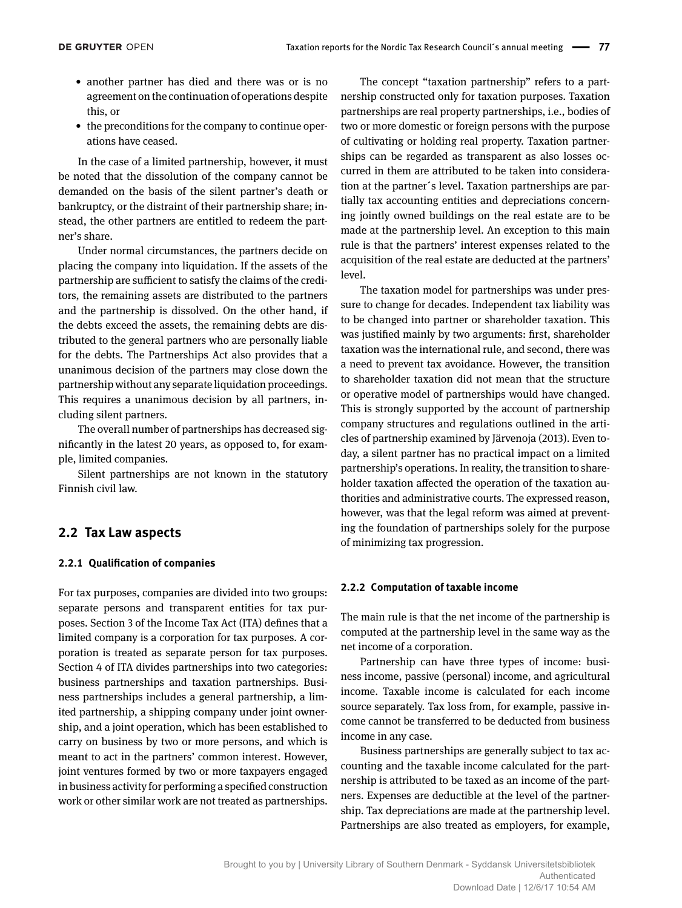- another partner has died and there was or is no agreement on the continuation of operations despite this, or
- the preconditions for the company to continue operations have ceased.

In the case of a limited partnership, however, it must be noted that the dissolution of the company cannot be demanded on the basis of the silent partner's death or bankruptcy, or the distraint of their partnership share; instead, the other partners are entitled to redeem the partner's share.

Under normal circumstances, the partners decide on placing the company into liquidation. If the assets of the partnership are sufficient to satisfy the claims of the creditors, the remaining assets are distributed to the partners and the partnership is dissolved. On the other hand, if the debts exceed the assets, the remaining debts are distributed to the general partners who are personally liable for the debts. The Partnerships Act also provides that a unanimous decision of the partners may close down the partnership without any separate liquidation proceedings. This requires a unanimous decision by all partners, including silent partners.

The overall number of partnerships has decreased significantly in the latest 20 years, as opposed to, for example, limited companies.

Silent partnerships are not known in the statutory Finnish civil law.

## **2.2 Tax Law aspects**

### **2.2.1 Qualification of companies**

For tax purposes, companies are divided into two groups: separate persons and transparent entities for tax purposes. Section 3 of the Income Tax Act (ITA) defines that a limited company is a corporation for tax purposes. A corporation is treated as separate person for tax purposes. Section 4 of ITA divides partnerships into two categories: business partnerships and taxation partnerships. Business partnerships includes a general partnership, a limited partnership, a shipping company under joint ownership, and a joint operation, which has been established to carry on business by two or more persons, and which is meant to act in the partners' common interest. However, joint ventures formed by two or more taxpayers engaged in business activity for performing a specified construction work or other similar work are not treated as partnerships.

The concept "taxation partnership" refers to a partnership constructed only for taxation purposes. Taxation partnerships are real property partnerships, i.e., bodies of two or more domestic or foreign persons with the purpose of cultivating or holding real property. Taxation partnerships can be regarded as transparent as also losses occurred in them are attributed to be taken into consideration at the partner´s level. Taxation partnerships are partially tax accounting entities and depreciations concerning jointly owned buildings on the real estate are to be made at the partnership level. An exception to this main rule is that the partners' interest expenses related to the acquisition of the real estate are deducted at the partners' level.

The taxation model for partnerships was under pressure to change for decades. Independent tax liability was to be changed into partner or shareholder taxation. This was justified mainly by two arguments: first, shareholder taxation was the international rule, and second, there was a need to prevent tax avoidance. However, the transition to shareholder taxation did not mean that the structure or operative model of partnerships would have changed. This is strongly supported by the account of partnership company structures and regulations outlined in the articles of partnership examined by Järvenoja (2013). Even today, a silent partner has no practical impact on a limited partnership's operations. In reality, the transition to shareholder taxation affected the operation of the taxation authorities and administrative courts. The expressed reason, however, was that the legal reform was aimed at preventing the foundation of partnerships solely for the purpose of minimizing tax progression.

### **2.2.2 Computation of taxable income**

The main rule is that the net income of the partnership is computed at the partnership level in the same way as the net income of a corporation.

Partnership can have three types of income: business income, passive (personal) income, and agricultural income. Taxable income is calculated for each income source separately. Tax loss from, for example, passive income cannot be transferred to be deducted from business income in any case.

Business partnerships are generally subject to tax accounting and the taxable income calculated for the partnership is attributed to be taxed as an income of the partners. Expenses are deductible at the level of the partnership. Tax depreciations are made at the partnership level. Partnerships are also treated as employers, for example,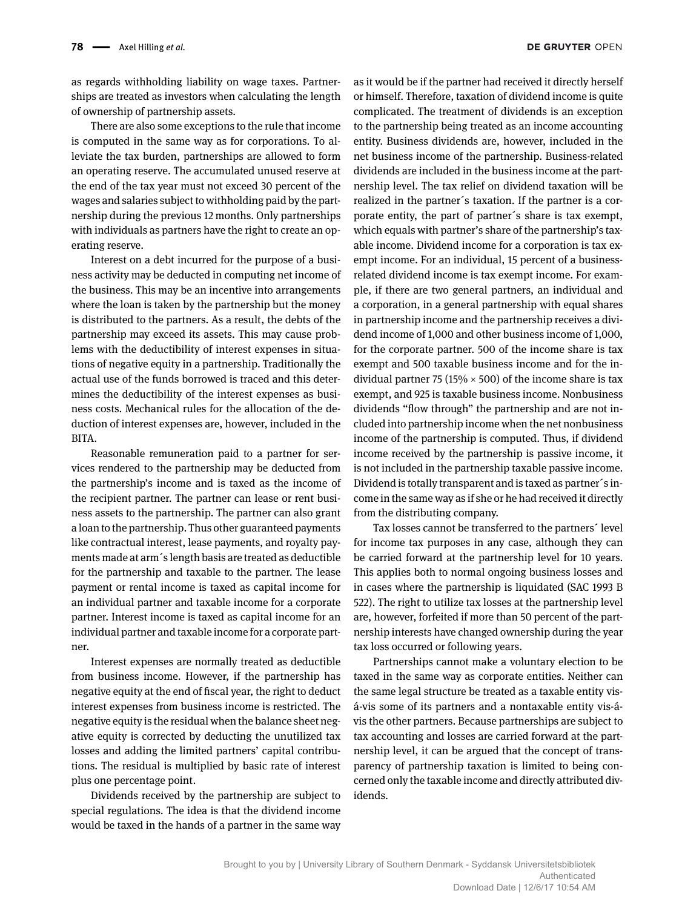as regards withholding liability on wage taxes. Partnerships are treated as investors when calculating the length of ownership of partnership assets.

There are also some exceptions to the rule that income is computed in the same way as for corporations. To alleviate the tax burden, partnerships are allowed to form an operating reserve. The accumulated unused reserve at the end of the tax year must not exceed 30 percent of the wages and salaries subject to withholding paid by the partnership during the previous 12 months. Only partnerships with individuals as partners have the right to create an operating reserve.

Interest on a debt incurred for the purpose of a business activity may be deducted in computing net income of the business. This may be an incentive into arrangements where the loan is taken by the partnership but the money is distributed to the partners. As a result, the debts of the partnership may exceed its assets. This may cause problems with the deductibility of interest expenses in situations of negative equity in a partnership. Traditionally the actual use of the funds borrowed is traced and this determines the deductibility of the interest expenses as business costs. Mechanical rules for the allocation of the deduction of interest expenses are, however, included in the BITA.

Reasonable remuneration paid to a partner for services rendered to the partnership may be deducted from the partnership's income and is taxed as the income of the recipient partner. The partner can lease or rent business assets to the partnership. The partner can also grant a loan to the partnership. Thus other guaranteed payments like contractual interest, lease payments, and royalty payments made at arm´s length basis are treated as deductible for the partnership and taxable to the partner. The lease payment or rental income is taxed as capital income for an individual partner and taxable income for a corporate partner. Interest income is taxed as capital income for an individual partner and taxable income for a corporate partner.

Interest expenses are normally treated as deductible from business income. However, if the partnership has negative equity at the end of fiscal year, the right to deduct interest expenses from business income is restricted. The negative equity is the residual when the balance sheet negative equity is corrected by deducting the unutilized tax losses and adding the limited partners' capital contributions. The residual is multiplied by basic rate of interest plus one percentage point.

Dividends received by the partnership are subject to special regulations. The idea is that the dividend income would be taxed in the hands of a partner in the same way as it would be if the partner had received it directly herself or himself. Therefore, taxation of dividend income is quite complicated. The treatment of dividends is an exception to the partnership being treated as an income accounting entity. Business dividends are, however, included in the net business income of the partnership. Business-related dividends are included in the business income at the partnership level. The tax relief on dividend taxation will be realized in the partner´s taxation. If the partner is a corporate entity, the part of partner´s share is tax exempt, which equals with partner's share of the partnership's taxable income. Dividend income for a corporation is tax exempt income. For an individual, 15 percent of a businessrelated dividend income is tax exempt income. For example, if there are two general partners, an individual and a corporation, in a general partnership with equal shares in partnership income and the partnership receives a dividend income of 1,000 and other business income of 1,000, for the corporate partner. 500 of the income share is tax exempt and 500 taxable business income and for the individual partner 75 (15%  $\times$  500) of the income share is tax exempt, and 925 is taxable business income. Nonbusiness dividends "flow through" the partnership and are not included into partnership income when the net nonbusiness income of the partnership is computed. Thus, if dividend income received by the partnership is passive income, it is not included in the partnership taxable passive income. Dividend is totally transparent and is taxed as partner´s income in the same way as if she or he had received it directly from the distributing company.

Tax losses cannot be transferred to the partners´ level for income tax purposes in any case, although they can be carried forward at the partnership level for 10 years. This applies both to normal ongoing business losses and in cases where the partnership is liquidated (SAC 1993 B 522). The right to utilize tax losses at the partnership level are, however, forfeited if more than 50 percent of the partnership interests have changed ownership during the year tax loss occurred or following years.

Partnerships cannot make a voluntary election to be taxed in the same way as corporate entities. Neither can the same legal structure be treated as a taxable entity visá-vis some of its partners and a nontaxable entity vis-ávis the other partners. Because partnerships are subject to tax accounting and losses are carried forward at the partnership level, it can be argued that the concept of transparency of partnership taxation is limited to being concerned only the taxable income and directly attributed dividends.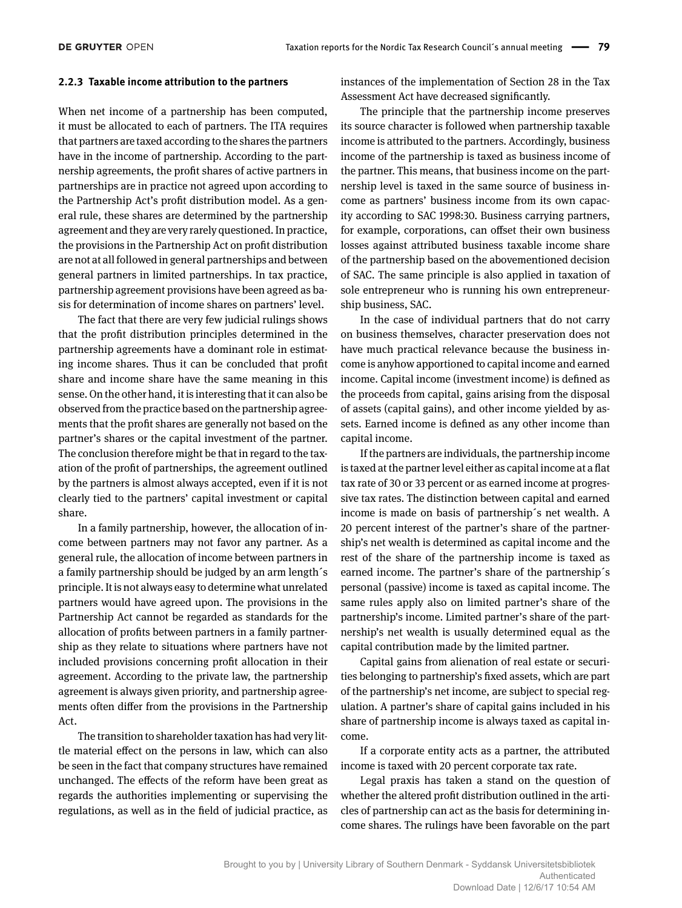#### **2.2.3 Taxable income attribution to the partners**

When net income of a partnership has been computed, it must be allocated to each of partners. The ITA requires that partners are taxed according to the shares the partners have in the income of partnership. According to the partnership agreements, the profit shares of active partners in partnerships are in practice not agreed upon according to the Partnership Act's profit distribution model. As a general rule, these shares are determined by the partnership agreement and they are very rarely questioned. In practice, the provisions in the Partnership Act on profit distribution are not at all followed in general partnerships and between general partners in limited partnerships. In tax practice, partnership agreement provisions have been agreed as basis for determination of income shares on partners' level.

The fact that there are very few judicial rulings shows that the profit distribution principles determined in the partnership agreements have a dominant role in estimating income shares. Thus it can be concluded that profit share and income share have the same meaning in this sense. On the other hand, it is interesting that it can also be observed from the practice based on the partnership agreements that the profit shares are generally not based on the partner's shares or the capital investment of the partner. The conclusion therefore might be that in regard to the taxation of the profit of partnerships, the agreement outlined by the partners is almost always accepted, even if it is not clearly tied to the partners' capital investment or capital share.

In a family partnership, however, the allocation of income between partners may not favor any partner. As a general rule, the allocation of income between partners in a family partnership should be judged by an arm length´s principle. It is not always easy to determine what unrelated partners would have agreed upon. The provisions in the Partnership Act cannot be regarded as standards for the allocation of profits between partners in a family partnership as they relate to situations where partners have not included provisions concerning profit allocation in their agreement. According to the private law, the partnership agreement is always given priority, and partnership agreements often differ from the provisions in the Partnership Act.

The transition to shareholder taxation has had very little material effect on the persons in law, which can also be seen in the fact that company structures have remained unchanged. The effects of the reform have been great as regards the authorities implementing or supervising the regulations, as well as in the field of judicial practice, as instances of the implementation of Section 28 in the Tax Assessment Act have decreased significantly.

The principle that the partnership income preserves its source character is followed when partnership taxable income is attributed to the partners. Accordingly, business income of the partnership is taxed as business income of the partner. This means, that business income on the partnership level is taxed in the same source of business income as partners' business income from its own capacity according to SAC 1998:30. Business carrying partners, for example, corporations, can offset their own business losses against attributed business taxable income share of the partnership based on the abovementioned decision of SAC. The same principle is also applied in taxation of sole entrepreneur who is running his own entrepreneurship business, SAC.

In the case of individual partners that do not carry on business themselves, character preservation does not have much practical relevance because the business income is anyhow apportioned to capital income and earned income. Capital income (investment income) is defined as the proceeds from capital, gains arising from the disposal of assets (capital gains), and other income yielded by assets. Earned income is defined as any other income than capital income.

If the partners are individuals, the partnership income is taxed at the partner level either as capital income at a flat tax rate of 30 or 33 percent or as earned income at progressive tax rates. The distinction between capital and earned income is made on basis of partnership´s net wealth. A 20 percent interest of the partner's share of the partnership's net wealth is determined as capital income and the rest of the share of the partnership income is taxed as earned income. The partner's share of the partnership´s personal (passive) income is taxed as capital income. The same rules apply also on limited partner's share of the partnership's income. Limited partner's share of the partnership's net wealth is usually determined equal as the capital contribution made by the limited partner.

Capital gains from alienation of real estate or securities belonging to partnership's fixed assets, which are part of the partnership's net income, are subject to special regulation. A partner's share of capital gains included in his share of partnership income is always taxed as capital income.

If a corporate entity acts as a partner, the attributed income is taxed with 20 percent corporate tax rate.

Legal praxis has taken a stand on the question of whether the altered profit distribution outlined in the articles of partnership can act as the basis for determining income shares. The rulings have been favorable on the part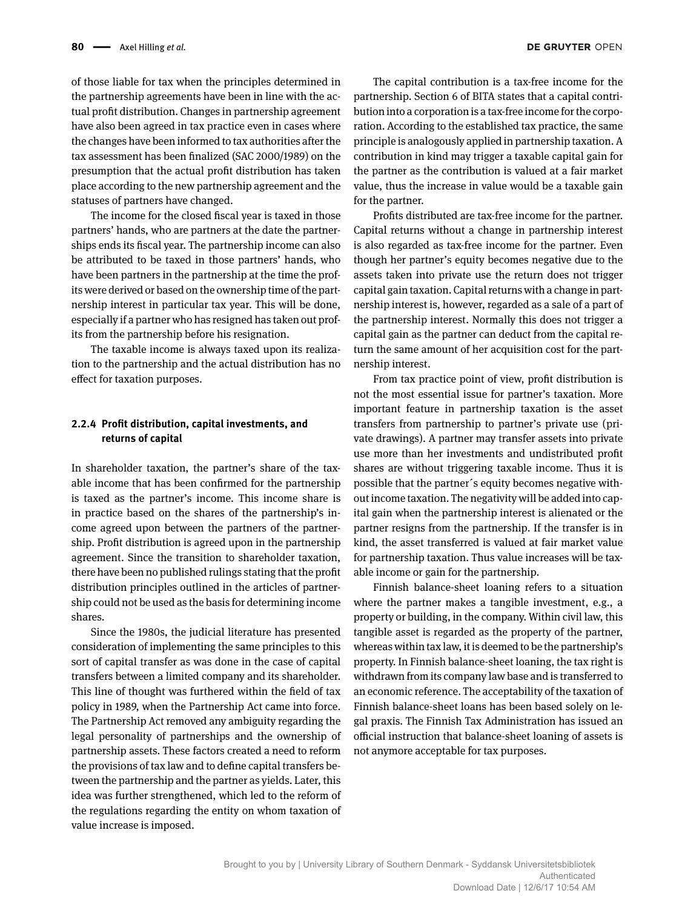of those liable for tax when the principles determined in the partnership agreements have been in line with the actual profit distribution. Changes in partnership agreement have also been agreed in tax practice even in cases where the changes have been informed to tax authorities after the tax assessment has been finalized (SAC 2000/1989) on the presumption that the actual profit distribution has taken place according to the new partnership agreement and the statuses of partners have changed.

The income for the closed fiscal year is taxed in those partners' hands, who are partners at the date the partnerships ends its fiscal year. The partnership income can also be attributed to be taxed in those partners' hands, who have been partners in the partnership at the time the profits were derived or based on the ownership time of the partnership interest in particular tax year. This will be done, especially if a partner who has resigned has taken out profits from the partnership before his resignation.

The taxable income is always taxed upon its realization to the partnership and the actual distribution has no effect for taxation purposes.

## **2.2.4 Profit distribution, capital investments, and returns of capital**

In shareholder taxation, the partner's share of the taxable income that has been confirmed for the partnership is taxed as the partner's income. This income share is in practice based on the shares of the partnership's income agreed upon between the partners of the partnership. Profit distribution is agreed upon in the partnership agreement. Since the transition to shareholder taxation, there have been no published rulings stating that the profit distribution principles outlined in the articles of partnership could not be used as the basis for determining income shares.

Since the 1980s, the judicial literature has presented consideration of implementing the same principles to this sort of capital transfer as was done in the case of capital transfers between a limited company and its shareholder. This line of thought was furthered within the field of tax policy in 1989, when the Partnership Act came into force. The Partnership Act removed any ambiguity regarding the legal personality of partnerships and the ownership of partnership assets. These factors created a need to reform the provisions of tax law and to define capital transfers between the partnership and the partner as yields. Later, this idea was further strengthened, which led to the reform of the regulations regarding the entity on whom taxation of value increase is imposed.

The capital contribution is a tax-free income for the partnership. Section 6 of BITA states that a capital contribution into a corporation is a tax-free income for the corporation. According to the established tax practice, the same principle is analogously applied in partnership taxation. A contribution in kind may trigger a taxable capital gain for the partner as the contribution is valued at a fair market value, thus the increase in value would be a taxable gain for the partner.

Profits distributed are tax-free income for the partner. Capital returns without a change in partnership interest is also regarded as tax-free income for the partner. Even though her partner's equity becomes negative due to the assets taken into private use the return does not trigger capital gain taxation. Capital returns with a change in partnership interest is, however, regarded as a sale of a part of the partnership interest. Normally this does not trigger a capital gain as the partner can deduct from the capital return the same amount of her acquisition cost for the partnership interest.

From tax practice point of view, profit distribution is not the most essential issue for partner's taxation. More important feature in partnership taxation is the asset transfers from partnership to partner's private use (private drawings). A partner may transfer assets into private use more than her investments and undistributed profit shares are without triggering taxable income. Thus it is possible that the partner´s equity becomes negative without income taxation. The negativity will be added into capital gain when the partnership interest is alienated or the partner resigns from the partnership. If the transfer is in kind, the asset transferred is valued at fair market value for partnership taxation. Thus value increases will be taxable income or gain for the partnership.

Finnish balance-sheet loaning refers to a situation where the partner makes a tangible investment, e.g., a property or building, in the company. Within civil law, this tangible asset is regarded as the property of the partner, whereas within tax law, it is deemed to be the partnership's property. In Finnish balance-sheet loaning, the tax right is withdrawn from its company law base and is transferred to an economic reference. The acceptability of the taxation of Finnish balance-sheet loans has been based solely on legal praxis. The Finnish Tax Administration has issued an official instruction that balance-sheet loaning of assets is not anymore acceptable for tax purposes.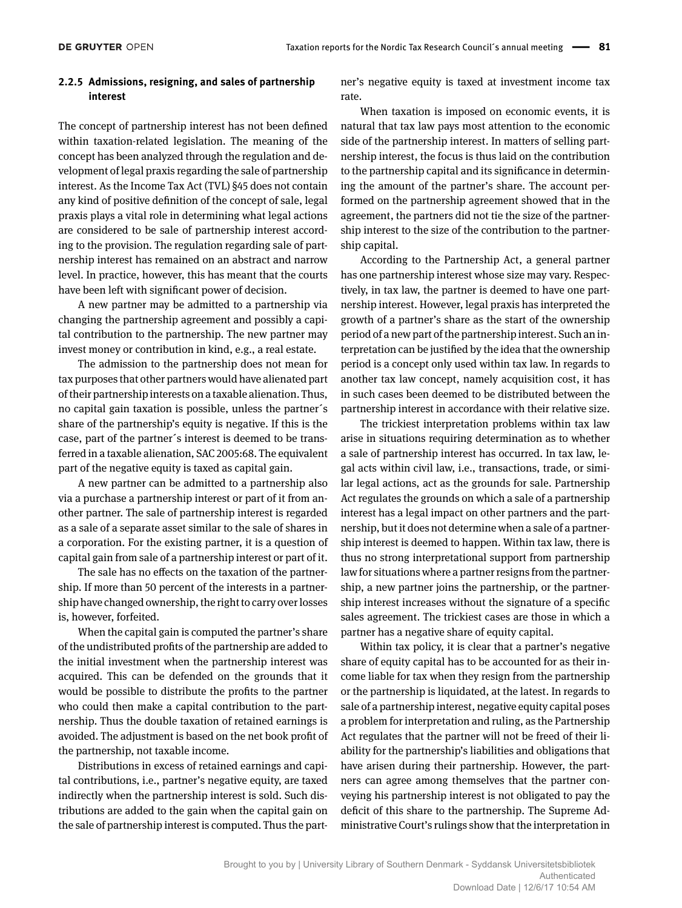## **2.2.5 Admissions, resigning, and sales of partnership interest**

The concept of partnership interest has not been defined within taxation-related legislation. The meaning of the concept has been analyzed through the regulation and development of legal praxis regarding the sale of partnership interest. As the Income Tax Act (TVL) §45 does not contain any kind of positive definition of the concept of sale, legal praxis plays a vital role in determining what legal actions are considered to be sale of partnership interest according to the provision. The regulation regarding sale of partnership interest has remained on an abstract and narrow level. In practice, however, this has meant that the courts have been left with significant power of decision.

A new partner may be admitted to a partnership via changing the partnership agreement and possibly a capital contribution to the partnership. The new partner may invest money or contribution in kind, e.g., a real estate.

The admission to the partnership does not mean for tax purposes that other partners would have alienated part of their partnership interests on a taxable alienation. Thus, no capital gain taxation is possible, unless the partner´s share of the partnership's equity is negative. If this is the case, part of the partner´s interest is deemed to be transferred in a taxable alienation, SAC 2005:68. The equivalent part of the negative equity is taxed as capital gain.

A new partner can be admitted to a partnership also via a purchase a partnership interest or part of it from another partner. The sale of partnership interest is regarded as a sale of a separate asset similar to the sale of shares in a corporation. For the existing partner, it is a question of capital gain from sale of a partnership interest or part of it.

The sale has no effects on the taxation of the partnership. If more than 50 percent of the interests in a partnership have changed ownership, the right to carry over losses is, however, forfeited.

When the capital gain is computed the partner's share of the undistributed profits of the partnership are added to the initial investment when the partnership interest was acquired. This can be defended on the grounds that it would be possible to distribute the profits to the partner who could then make a capital contribution to the partnership. Thus the double taxation of retained earnings is avoided. The adjustment is based on the net book profit of the partnership, not taxable income.

Distributions in excess of retained earnings and capital contributions, i.e., partner's negative equity, are taxed indirectly when the partnership interest is sold. Such distributions are added to the gain when the capital gain on the sale of partnership interest is computed. Thus the partner's negative equity is taxed at investment income tax rate.

When taxation is imposed on economic events, it is natural that tax law pays most attention to the economic side of the partnership interest. In matters of selling partnership interest, the focus is thus laid on the contribution to the partnership capital and its significance in determining the amount of the partner's share. The account performed on the partnership agreement showed that in the agreement, the partners did not tie the size of the partnership interest to the size of the contribution to the partnership capital.

According to the Partnership Act, a general partner has one partnership interest whose size may vary. Respectively, in tax law, the partner is deemed to have one partnership interest. However, legal praxis has interpreted the growth of a partner's share as the start of the ownership period of a new part of the partnership interest. Such an interpretation can be justified by the idea that the ownership period is a concept only used within tax law. In regards to another tax law concept, namely acquisition cost, it has in such cases been deemed to be distributed between the partnership interest in accordance with their relative size.

The trickiest interpretation problems within tax law arise in situations requiring determination as to whether a sale of partnership interest has occurred. In tax law, legal acts within civil law, i.e., transactions, trade, or similar legal actions, act as the grounds for sale. Partnership Act regulates the grounds on which a sale of a partnership interest has a legal impact on other partners and the partnership, but it does not determine when a sale of a partnership interest is deemed to happen. Within tax law, there is thus no strong interpretational support from partnership law for situations where a partner resigns from the partnership, a new partner joins the partnership, or the partnership interest increases without the signature of a specific sales agreement. The trickiest cases are those in which a partner has a negative share of equity capital.

Within tax policy, it is clear that a partner's negative share of equity capital has to be accounted for as their income liable for tax when they resign from the partnership or the partnership is liquidated, at the latest. In regards to sale of a partnership interest, negative equity capital poses a problem for interpretation and ruling, as the Partnership Act regulates that the partner will not be freed of their liability for the partnership's liabilities and obligations that have arisen during their partnership. However, the partners can agree among themselves that the partner conveying his partnership interest is not obligated to pay the deficit of this share to the partnership. The Supreme Administrative Court's rulings show that the interpretation in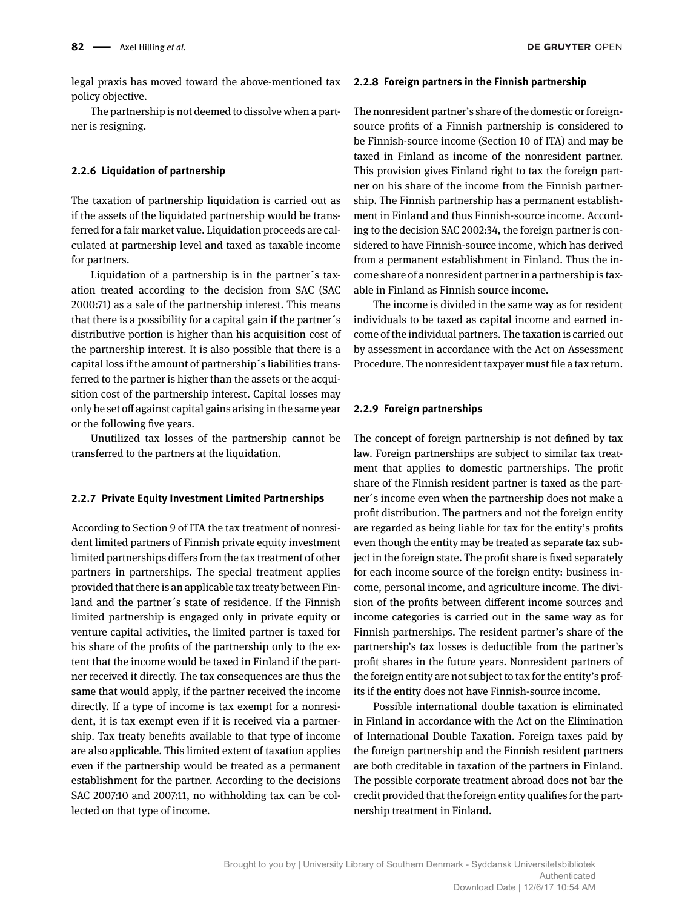legal praxis has moved toward the above-mentioned tax policy objective.

The partnership is not deemed to dissolve when a partner is resigning.

### **2.2.6 Liquidation of partnership**

The taxation of partnership liquidation is carried out as if the assets of the liquidated partnership would be transferred for a fair market value. Liquidation proceeds are calculated at partnership level and taxed as taxable income for partners.

Liquidation of a partnership is in the partner´s taxation treated according to the decision from SAC (SAC 2000:71) as a sale of the partnership interest. This means that there is a possibility for a capital gain if the partner´s distributive portion is higher than his acquisition cost of the partnership interest. It is also possible that there is a capital loss if the amount of partnership´s liabilities transferred to the partner is higher than the assets or the acquisition cost of the partnership interest. Capital losses may only be set off against capital gains arising in the same year or the following five years.

Unutilized tax losses of the partnership cannot be transferred to the partners at the liquidation.

#### **2.2.7 Private Equity Investment Limited Partnerships**

According to Section 9 of ITA the tax treatment of nonresident limited partners of Finnish private equity investment limited partnerships differs from the tax treatment of other partners in partnerships. The special treatment applies provided that there is an applicable tax treaty between Finland and the partner´s state of residence. If the Finnish limited partnership is engaged only in private equity or venture capital activities, the limited partner is taxed for his share of the profits of the partnership only to the extent that the income would be taxed in Finland if the partner received it directly. The tax consequences are thus the same that would apply, if the partner received the income directly. If a type of income is tax exempt for a nonresident, it is tax exempt even if it is received via a partnership. Tax treaty benefits available to that type of income are also applicable. This limited extent of taxation applies even if the partnership would be treated as a permanent establishment for the partner. According to the decisions SAC 2007:10 and 2007:11, no withholding tax can be collected on that type of income.

#### **2.2.8 Foreign partners in the Finnish partnership**

The nonresident partner's share of the domestic or foreignsource profits of a Finnish partnership is considered to be Finnish-source income (Section 10 of ITA) and may be taxed in Finland as income of the nonresident partner. This provision gives Finland right to tax the foreign partner on his share of the income from the Finnish partnership. The Finnish partnership has a permanent establishment in Finland and thus Finnish-source income. According to the decision SAC 2002:34, the foreign partner is considered to have Finnish-source income, which has derived from a permanent establishment in Finland. Thus the income share of a nonresident partner in a partnership is taxable in Finland as Finnish source income.

The income is divided in the same way as for resident individuals to be taxed as capital income and earned income of the individual partners. The taxation is carried out by assessment in accordance with the Act on Assessment Procedure. The nonresident taxpayer must file a tax return.

#### **2.2.9 Foreign partnerships**

The concept of foreign partnership is not defined by tax law. Foreign partnerships are subject to similar tax treatment that applies to domestic partnerships. The profit share of the Finnish resident partner is taxed as the partner´s income even when the partnership does not make a profit distribution. The partners and not the foreign entity are regarded as being liable for tax for the entity's profits even though the entity may be treated as separate tax subject in the foreign state. The profit share is fixed separately for each income source of the foreign entity: business income, personal income, and agriculture income. The division of the profits between different income sources and income categories is carried out in the same way as for Finnish partnerships. The resident partner's share of the partnership's tax losses is deductible from the partner's profit shares in the future years. Nonresident partners of the foreign entity are not subject to tax for the entity's profits if the entity does not have Finnish-source income.

Possible international double taxation is eliminated in Finland in accordance with the Act on the Elimination of International Double Taxation. Foreign taxes paid by the foreign partnership and the Finnish resident partners are both creditable in taxation of the partners in Finland. The possible corporate treatment abroad does not bar the credit provided that the foreign entity qualifies for the partnership treatment in Finland.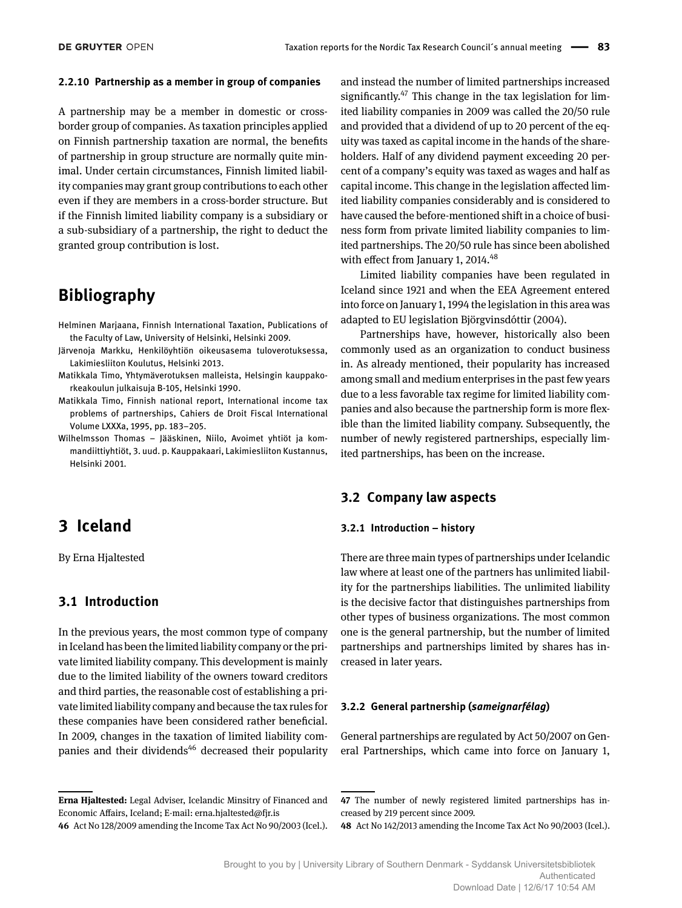#### **2.2.10 Partnership as a member in group of companies**

A partnership may be a member in domestic or crossborder group of companies. As taxation principles applied on Finnish partnership taxation are normal, the benefits of partnership in group structure are normally quite minimal. Under certain circumstances, Finnish limited liability companies may grant group contributions to each other even if they are members in a cross-border structure. But if the Finnish limited liability company is a subsidiary or a sub-subsidiary of a partnership, the right to deduct the granted group contribution is lost.

## **Bibliography**

- Helminen Marjaana, Finnish International Taxation, Publications of the Faculty of Law, University of Helsinki, Helsinki 2009.
- Järvenoja Markku, Henkilöyhtiön oikeusasema tuloverotuksessa, Lakimiesliiton Koulutus, Helsinki 2013.
- Matikkala Timo, Yhtymäverotuksen malleista, Helsingin kauppakorkeakoulun julkaisuja B-105, Helsinki 1990.
- Matikkala Timo, Finnish national report, International income tax problems of partnerships, Cahiers de Droit Fiscal International Volume LXXXa, 1995, pp. 183–205.
- Wilhelmsson Thomas Jääskinen, Niilo, Avoimet yhtiöt ja kommandiittiyhtiöt, 3. uud. p. Kauppakaari, Lakimiesliiton Kustannus, Helsinki 2001.

## **3 Iceland**

By Erna Hjaltested

## **3.1 Introduction**

In the previous years, the most common type of company in Iceland has been the limited liability company or the private limited liability company. This development is mainly due to the limited liability of the owners toward creditors and third parties, the reasonable cost of establishing a private limited liability company and because the tax rules for these companies have been considered rather beneficial. In 2009, changes in the taxation of limited liability companies and their dividends<sup>46</sup> decreased their popularity

**Erna Hjaltested:** Legal Adviser, Icelandic Minsitry of Financed and Economic Affairs, Iceland; E-mail: erna.hjaltested@fjr.is **46** Act No 128/2009 amending the Income Tax Act No 90/2003 (Icel.). and instead the number of limited partnerships increased significantly.<sup>47</sup> This change in the tax legislation for limited liability companies in 2009 was called the 20/50 rule and provided that a dividend of up to 20 percent of the equity was taxed as capital income in the hands of the shareholders. Half of any dividend payment exceeding 20 percent of a company's equity was taxed as wages and half as capital income. This change in the legislation affected limited liability companies considerably and is considered to have caused the before-mentioned shift in a choice of business form from private limited liability companies to limited partnerships. The 20/50 rule has since been abolished with effect from January 1,  $2014.<sup>48</sup>$ 

Limited liability companies have been regulated in Iceland since 1921 and when the EEA Agreement entered into force on January 1, 1994 the legislation in this area was adapted to EU legislation Björgvinsdóttir (2004).

Partnerships have, however, historically also been commonly used as an organization to conduct business in. As already mentioned, their popularity has increased among small and medium enterprises in the past few years due to a less favorable tax regime for limited liability companies and also because the partnership form is more flexible than the limited liability company. Subsequently, the number of newly registered partnerships, especially limited partnerships, has been on the increase.

## **3.2 Company law aspects**

#### **3.2.1 Introduction – history**

There are three main types of partnerships under Icelandic law where at least one of the partners has unlimited liability for the partnerships liabilities. The unlimited liability is the decisive factor that distinguishes partnerships from other types of business organizations. The most common one is the general partnership, but the number of limited partnerships and partnerships limited by shares has increased in later years.

### **3.2.2 General partnership (***sameignarfélag***)**

General partnerships are regulated by Act 50/2007 on General Partnerships, which came into force on January 1,

**<sup>47</sup>** The number of newly registered limited partnerships has increased by 219 percent since 2009.

**<sup>48</sup>** Act No 142/2013 amending the Income Tax Act No 90/2003 (Icel.).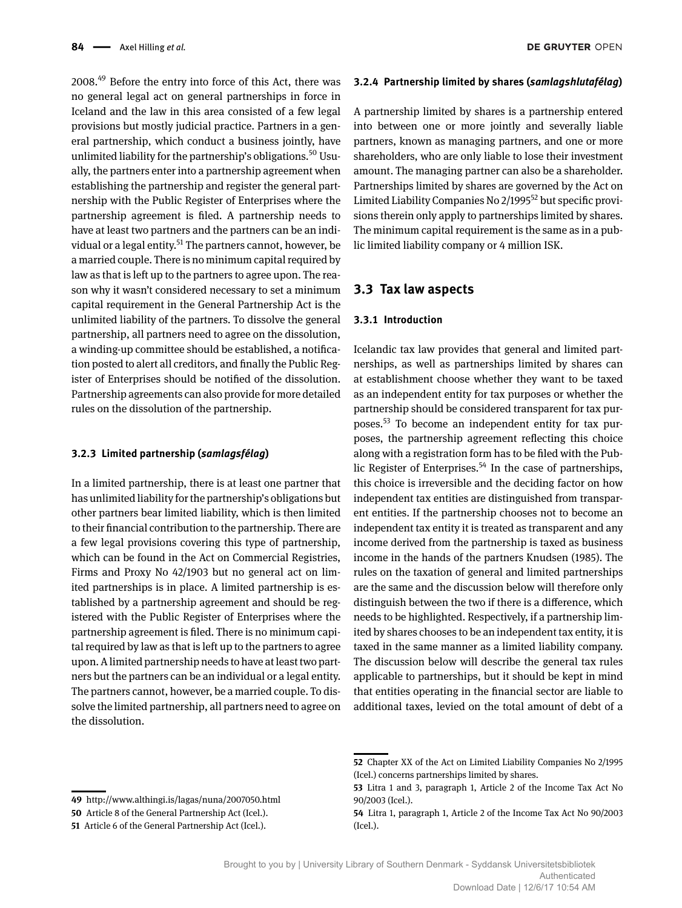2008.49 Before the entry into force of this Act, there was no general legal act on general partnerships in force in Iceland and the law in this area consisted of a few legal provisions but mostly judicial practice. Partners in a general partnership, which conduct a business jointly, have unlimited liability for the partnership's obligations.<sup>50</sup> Usually, the partners enter into a partnership agreement when establishing the partnership and register the general partnership with the Public Register of Enterprises where the partnership agreement is filed. A partnership needs to have at least two partners and the partners can be an individual or a legal entity.<sup>51</sup> The partners cannot, however, be a married couple. There is no minimum capital required by law as that is left up to the partners to agree upon. The reason why it wasn't considered necessary to set a minimum capital requirement in the General Partnership Act is the unlimited liability of the partners. To dissolve the general partnership, all partners need to agree on the dissolution, a winding-up committee should be established, a notification posted to alert all creditors, and finally the Public Register of Enterprises should be notified of the dissolution. Partnership agreements can also provide for more detailed rules on the dissolution of the partnership.

### **3.2.3 Limited partnership (***samlagsfélag***)**

In a limited partnership, there is at least one partner that has unlimited liability for the partnership's obligations but other partners bear limited liability, which is then limited to their financial contribution to the partnership. There are a few legal provisions covering this type of partnership, which can be found in the Act on Commercial Registries, Firms and Proxy No 42/1903 but no general act on limited partnerships is in place. A limited partnership is established by a partnership agreement and should be registered with the Public Register of Enterprises where the partnership agreement is filed. There is no minimum capital required by law as that is left up to the partners to agree upon. A limited partnership needs to have at least two partners but the partners can be an individual or a legal entity. The partners cannot, however, be a married couple. To dissolve the limited partnership, all partners need to agree on the dissolution.

#### **3.2.4 Partnership limited by shares (***samlagshlutafélag***)**

A partnership limited by shares is a partnership entered into between one or more jointly and severally liable partners, known as managing partners, and one or more shareholders, who are only liable to lose their investment amount. The managing partner can also be a shareholder. Partnerships limited by shares are governed by the Act on Limited Liability Companies No 2/1995<sup>52</sup> but specific provisions therein only apply to partnerships limited by shares. The minimum capital requirement is the same as in a public limited liability company or 4 million ISK.

## **3.3 Tax law aspects**

#### **3.3.1 Introduction**

Icelandic tax law provides that general and limited partnerships, as well as partnerships limited by shares can at establishment choose whether they want to be taxed as an independent entity for tax purposes or whether the partnership should be considered transparent for tax purposes.53 To become an independent entity for tax purposes, the partnership agreement reflecting this choice along with a registration form has to be filed with the Public Register of Enterprises.<sup>54</sup> In the case of partnerships, this choice is irreversible and the deciding factor on how independent tax entities are distinguished from transparent entities. If the partnership chooses not to become an independent tax entity it is treated as transparent and any income derived from the partnership is taxed as business income in the hands of the partners Knudsen (1985). The rules on the taxation of general and limited partnerships are the same and the discussion below will therefore only distinguish between the two if there is a difference, which needs to be highlighted. Respectively, if a partnership limited by shares chooses to be an independent tax entity, it is taxed in the same manner as a limited liability company. The discussion below will describe the general tax rules applicable to partnerships, but it should be kept in mind that entities operating in the financial sector are liable to additional taxes, levied on the total amount of debt of a

**DE GRUYTER OPEN** 

**<sup>49</sup>** <http://www.althingi.is/lagas/nuna/2007050.html>

**<sup>50</sup>** Article 8 of the General Partnership Act (Icel.).

**<sup>51</sup>** Article 6 of the General Partnership Act (Icel.).

**<sup>52</sup>** Chapter XX of the Act on Limited Liability Companies No 2/1995 (Icel.) concerns partnerships limited by shares.

**<sup>53</sup>** Litra 1 and 3, paragraph 1, Article 2 of the Income Tax Act No 90/2003 (Icel.).

**<sup>54</sup>** Litra 1, paragraph 1, Article 2 of the Income Tax Act No 90/2003 (Icel.).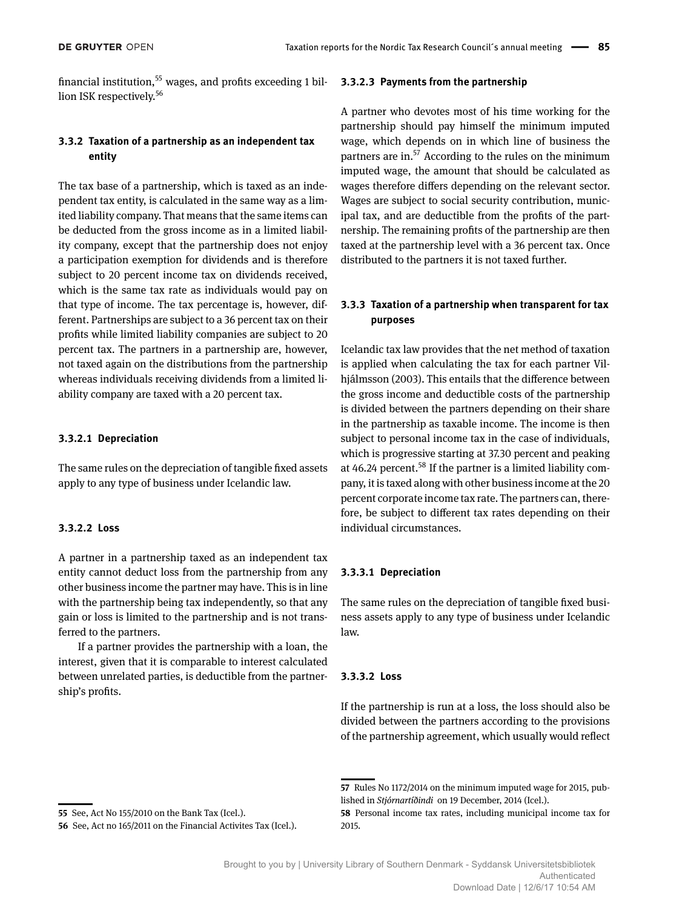financial institution,  $55$  wages, and profits exceeding 1 billion ISK respectively.<sup>56</sup>

## **3.3.2 Taxation of a partnership as an independent tax entity**

The tax base of a partnership, which is taxed as an independent tax entity, is calculated in the same way as a limited liability company. That means that the same items can be deducted from the gross income as in a limited liability company, except that the partnership does not enjoy a participation exemption for dividends and is therefore subject to 20 percent income tax on dividends received, which is the same tax rate as individuals would pay on that type of income. The tax percentage is, however, different. Partnerships are subject to a 36 percent tax on their profits while limited liability companies are subject to 20 percent tax. The partners in a partnership are, however, not taxed again on the distributions from the partnership whereas individuals receiving dividends from a limited liability company are taxed with a 20 percent tax.

## **3.3.2.1 Depreciation**

The same rules on the depreciation of tangible fixed assets apply to any type of business under Icelandic law.

## **3.3.2.2 Loss**

A partner in a partnership taxed as an independent tax entity cannot deduct loss from the partnership from any other business income the partner may have. This is in line with the partnership being tax independently, so that any gain or loss is limited to the partnership and is not transferred to the partners.

If a partner provides the partnership with a loan, the interest, given that it is comparable to interest calculated between unrelated parties, is deductible from the partnership's profits.

## **3.3.2.3 Payments from the partnership**

A partner who devotes most of his time working for the partnership should pay himself the minimum imputed wage, which depends on in which line of business the partners are in.<sup>57</sup> According to the rules on the minimum imputed wage, the amount that should be calculated as wages therefore differs depending on the relevant sector. Wages are subject to social security contribution, municipal tax, and are deductible from the profits of the partnership. The remaining profits of the partnership are then taxed at the partnership level with a 36 percent tax. Once distributed to the partners it is not taxed further.

## **3.3.3 Taxation of a partnership when transparent for tax purposes**

Icelandic tax law provides that the net method of taxation is applied when calculating the tax for each partner Vilhjálmsson (2003). This entails that the difference between the gross income and deductible costs of the partnership is divided between the partners depending on their share in the partnership as taxable income. The income is then subject to personal income tax in the case of individuals, which is progressive starting at 37.30 percent and peaking at 46.24 percent.<sup>58</sup> If the partner is a limited liability company, it is taxed along with other business income at the 20 percent corporate income tax rate. The partners can, therefore, be subject to different tax rates depending on their individual circumstances.

### **3.3.3.1 Depreciation**

The same rules on the depreciation of tangible fixed business assets apply to any type of business under Icelandic law.

### **3.3.3.2 Loss**

If the partnership is run at a loss, the loss should also be divided between the partners according to the provisions of the partnership agreement, which usually would reflect

**<sup>55</sup>** See, Act No 155/2010 on the Bank Tax (Icel.).

**<sup>56</sup>** See, Act no 165/2011 on the Financial Activites Tax (Icel.).

**<sup>57</sup>** Rules No 1172/2014 on the minimum imputed wage for 2015, published in *Stjórnartíðindi* on 19 December, 2014 (Icel.).

**<sup>58</sup>** Personal income tax rates, including municipal income tax for 2015.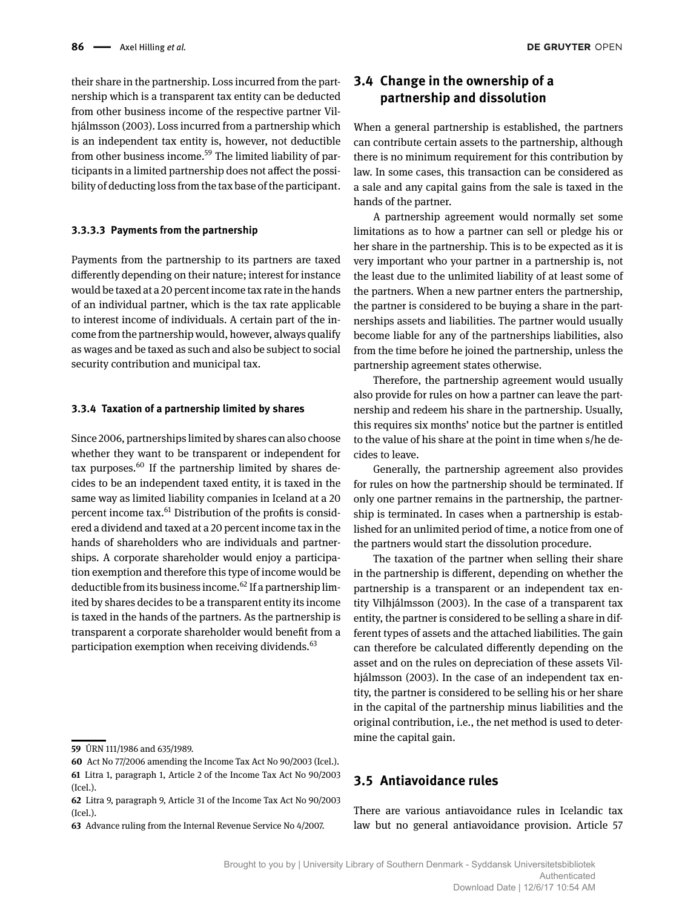their share in the partnership. Loss incurred from the partnership which is a transparent tax entity can be deducted from other business income of the respective partner Vilhjálmsson (2003). Loss incurred from a partnership which is an independent tax entity is, however, not deductible from other business income.<sup>59</sup> The limited liability of participants in a limited partnership does not affect the possibility of deducting loss from the tax base of the participant.

## **3.3.3.3 Payments from the partnership**

Payments from the partnership to its partners are taxed differently depending on their nature; interest for instance would be taxed at a 20 percent income tax rate in the hands of an individual partner, which is the tax rate applicable to interest income of individuals. A certain part of the income from the partnership would, however, always qualify as wages and be taxed as such and also be subject to social security contribution and municipal tax.

## **3.3.4 Taxation of a partnership limited by shares**

Since 2006, partnerships limited by shares can also choose whether they want to be transparent or independent for tax purposes. $60$  If the partnership limited by shares decides to be an independent taxed entity, it is taxed in the same way as limited liability companies in Iceland at a 20 percent income tax.61 Distribution of the profits is considered a dividend and taxed at a 20 percent income tax in the hands of shareholders who are individuals and partnerships. A corporate shareholder would enjoy a participation exemption and therefore this type of income would be deductible from its business income.<sup>62</sup> If a partnership limited by shares decides to be a transparent entity its income is taxed in the hands of the partners. As the partnership is transparent a corporate shareholder would benefit from a participation exemption when receiving dividends.<sup>63</sup>

## **3.4 Change in the ownership of a partnership and dissolution**

When a general partnership is established, the partners can contribute certain assets to the partnership, although there is no minimum requirement for this contribution by law. In some cases, this transaction can be considered as a sale and any capital gains from the sale is taxed in the hands of the partner.

A partnership agreement would normally set some limitations as to how a partner can sell or pledge his or her share in the partnership. This is to be expected as it is very important who your partner in a partnership is, not the least due to the unlimited liability of at least some of the partners. When a new partner enters the partnership, the partner is considered to be buying a share in the partnerships assets and liabilities. The partner would usually become liable for any of the partnerships liabilities, also from the time before he joined the partnership, unless the partnership agreement states otherwise.

Therefore, the partnership agreement would usually also provide for rules on how a partner can leave the partnership and redeem his share in the partnership. Usually, this requires six months' notice but the partner is entitled to the value of his share at the point in time when s/he decides to leave.

Generally, the partnership agreement also provides for rules on how the partnership should be terminated. If only one partner remains in the partnership, the partnership is terminated. In cases when a partnership is established for an unlimited period of time, a notice from one of the partners would start the dissolution procedure.

The taxation of the partner when selling their share in the partnership is different, depending on whether the partnership is a transparent or an independent tax entity Vilhjálmsson (2003). In the case of a transparent tax entity, the partner is considered to be selling a share in different types of assets and the attached liabilities. The gain can therefore be calculated differently depending on the asset and on the rules on depreciation of these assets Vilhjálmsson (2003). In the case of an independent tax entity, the partner is considered to be selling his or her share in the capital of the partnership minus liabilities and the original contribution, i.e., the net method is used to determine the capital gain.

## **3.5 Antiavoidance rules**

There are various antiavoidance rules in Icelandic tax law but no general antiavoidance provision. Article 57

**<sup>59</sup>** ÚRN 111/1986 and 635/1989.

**<sup>60</sup>** Act No 77/2006 amending the Income Tax Act No 90/2003 (Icel.). **61** Litra 1, paragraph 1, Article 2 of the Income Tax Act No 90/2003 (Icel.).

**<sup>62</sup>** Litra 9, paragraph 9, Article 31 of the Income Tax Act No 90/2003 (Icel.).

**<sup>63</sup>** Advance ruling from the Internal Revenue Service No 4/2007.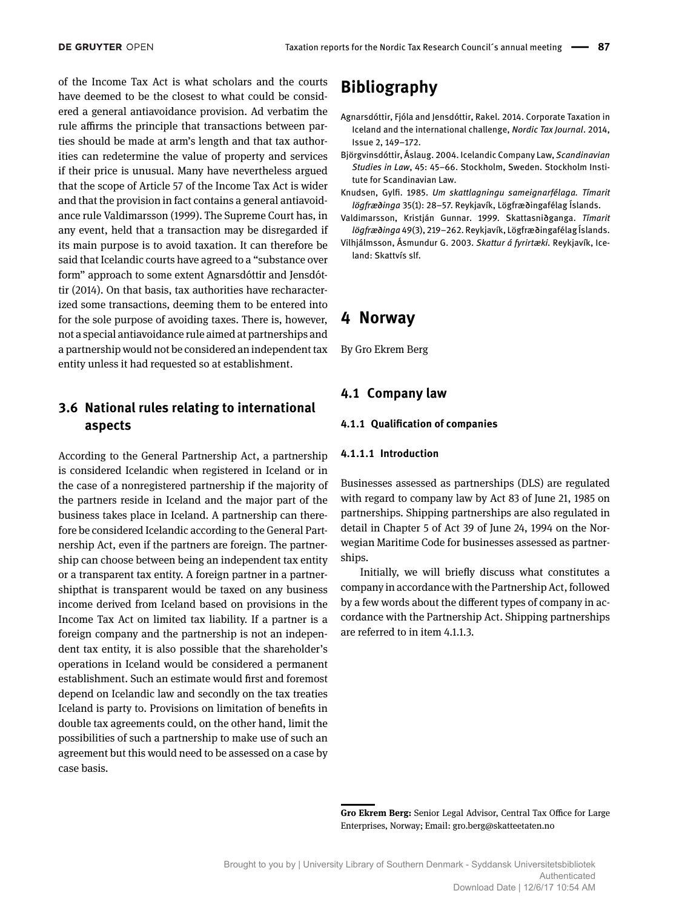of the Income Tax Act is what scholars and the courts have deemed to be the closest to what could be considered a general antiavoidance provision. Ad verbatim the rule affirms the principle that transactions between parties should be made at arm's length and that tax authorities can redetermine the value of property and services if their price is unusual. Many have nevertheless argued that the scope of Article 57 of the Income Tax Act is wider and that the provision in fact contains a general antiavoidance rule Valdimarsson (1999). The Supreme Court has, in any event, held that a transaction may be disregarded if its main purpose is to avoid taxation. It can therefore be said that Icelandic courts have agreed to a "substance over form" approach to some extent Agnarsdóttir and Jensdóttir (2014). On that basis, tax authorities have recharacterized some transactions, deeming them to be entered into for the sole purpose of avoiding taxes. There is, however, not a special antiavoidance rule aimed at partnerships and a partnership would not be considered an independent tax entity unless it had requested so at establishment.

## **3.6 National rules relating to international aspects**

According to the General Partnership Act, a partnership is considered Icelandic when registered in Iceland or in the case of a nonregistered partnership if the majority of the partners reside in Iceland and the major part of the business takes place in Iceland. A partnership can therefore be considered Icelandic according to the General Partnership Act, even if the partners are foreign. The partnership can choose between being an independent tax entity or a transparent tax entity. A foreign partner in a partnershipthat is transparent would be taxed on any business income derived from Iceland based on provisions in the Income Tax Act on limited tax liability. If a partner is a foreign company and the partnership is not an independent tax entity, it is also possible that the shareholder's operations in Iceland would be considered a permanent establishment. Such an estimate would first and foremost depend on Icelandic law and secondly on the tax treaties Iceland is party to. Provisions on limitation of benefits in double tax agreements could, on the other hand, limit the possibilities of such a partnership to make use of such an agreement but this would need to be assessed on a case by case basis.

## **Bibliography**

- Agnarsdóttir, Fjóla and Jensdóttir, Rakel. 2014. Corporate Taxation in Iceland and the international challenge, *Nordic Tax Journal*. 2014, Issue 2, 149–172.
- Björgvinsdóttir, Áslaug. 2004. Icelandic Company Law, *Scandinavian Studies in Law*, 45: 45–66. Stockholm, Sweden. Stockholm Institute for Scandinavian Law.
- Knudsen, Gylfi. 1985. *Um skattlagningu sameignarfélaga. Tímarit lögfræðinga* 35(1): 28–57. Reykjavík, Lögfræðingafélag Íslands.
- Valdimarsson, Kristján Gunnar. 1999. Skattasniðganga. *Tímarit lögfræðinga* 49(3), 219–262. Reykjavík, Lögfræðingafélag Íslands.
- Vilhjálmsson, Ásmundur G. 2003. *Skattur á fyrirtæki.* Reykjavík, Iceland: Skattvís slf.

## **4 Norway**

By Gro Ekrem Berg

## **4.1 Company law**

## **4.1.1 Qualification of companies**

#### **4.1.1.1 Introduction**

Businesses assessed as partnerships (DLS) are regulated with regard to company law by Act 83 of June 21, 1985 on partnerships. Shipping partnerships are also regulated in detail in Chapter 5 of Act 39 of June 24, 1994 on the Norwegian Maritime Code for businesses assessed as partnerships.

Initially, we will briefly discuss what constitutes a company in accordance with the Partnership Act, followed by a few words about the different types of company in accordance with the Partnership Act. Shipping partnerships are referred to in item 4.1.1.3.

**Gro Ekrem Berg:** Senior Legal Advisor, Central Tax Office for Large Enterprises, Norway; Email: gro.berg@skatteetaten.no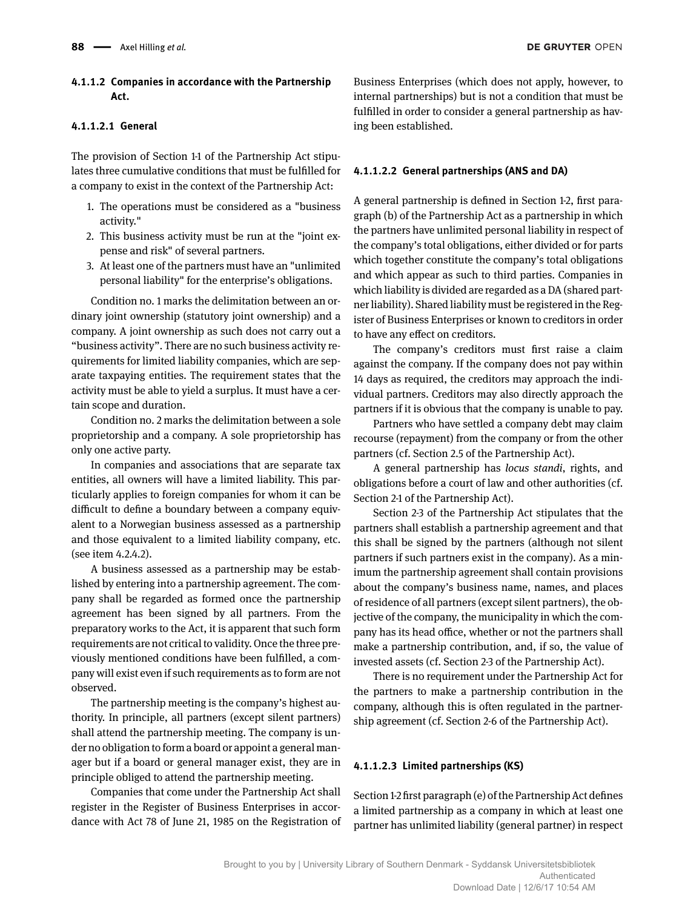## **4.1.1.2 Companies in accordance with the Partnership Act.**

## **4.1.1.2.1 General**

The provision of Section 1-1 of the Partnership Act stipulates three cumulative conditions that must be fulfilled for a company to exist in the context of the Partnership Act:

- 1. The operations must be considered as a "business activity."
- 2. This business activity must be run at the "joint expense and risk" of several partners.
- 3. At least one of the partners must have an "unlimited personal liability" for the enterprise's obligations.

Condition no. 1 marks the delimitation between an ordinary joint ownership (statutory joint ownership) and a company. A joint ownership as such does not carry out a "business activity". There are no such business activity requirements for limited liability companies, which are separate taxpaying entities. The requirement states that the activity must be able to yield a surplus. It must have a certain scope and duration.

Condition no. 2 marks the delimitation between a sole proprietorship and a company. A sole proprietorship has only one active party.

In companies and associations that are separate tax entities, all owners will have a limited liability. This particularly applies to foreign companies for whom it can be difficult to define a boundary between a company equivalent to a Norwegian business assessed as a partnership and those equivalent to a limited liability company, etc. (see item 4.2.4.2).

A business assessed as a partnership may be established by entering into a partnership agreement. The company shall be regarded as formed once the partnership agreement has been signed by all partners. From the preparatory works to the Act, it is apparent that such form requirements are not critical to validity. Once the three previously mentioned conditions have been fulfilled, a company will exist even if such requirements as to form are not observed.

The partnership meeting is the company's highest authority. In principle, all partners (except silent partners) shall attend the partnership meeting. The company is under no obligation to form a board or appoint a general manager but if a board or general manager exist, they are in principle obliged to attend the partnership meeting.

Companies that come under the Partnership Act shall register in the Register of Business Enterprises in accordance with Act 78 of June 21, 1985 on the Registration of

Business Enterprises (which does not apply, however, to internal partnerships) but is not a condition that must be fulfilled in order to consider a general partnership as having been established.

## **4.1.1.2.2 General partnerships (ANS and DA)**

A general partnership is defined in Section 1-2, first paragraph (b) of the Partnership Act as a partnership in which the partners have unlimited personal liability in respect of the company's total obligations, either divided or for parts which together constitute the company's total obligations and which appear as such to third parties. Companies in which liability is divided are regarded as a DA (shared partner liability). Shared liability must be registered in the Register of Business Enterprises or known to creditors in order to have any effect on creditors.

The company's creditors must first raise a claim against the company. If the company does not pay within 14 days as required, the creditors may approach the individual partners. Creditors may also directly approach the partners if it is obvious that the company is unable to pay.

Partners who have settled a company debt may claim recourse (repayment) from the company or from the other partners (cf. Section 2.5 of the Partnership Act).

A general partnership has *locus standi*, rights, and obligations before a court of law and other authorities (cf. Section 2-1 of the Partnership Act).

Section 2-3 of the Partnership Act stipulates that the partners shall establish a partnership agreement and that this shall be signed by the partners (although not silent partners if such partners exist in the company). As a minimum the partnership agreement shall contain provisions about the company's business name, names, and places of residence of all partners (except silent partners), the objective of the company, the municipality in which the company has its head office, whether or not the partners shall make a partnership contribution, and, if so, the value of invested assets (cf. Section 2-3 of the Partnership Act).

There is no requirement under the Partnership Act for the partners to make a partnership contribution in the company, although this is often regulated in the partnership agreement (cf. Section 2-6 of the Partnership Act).

### **4.1.1.2.3 Limited partnerships (KS)**

Section 1-2 first paragraph (e) of the Partnership Act defines a limited partnership as a company in which at least one partner has unlimited liability (general partner) in respect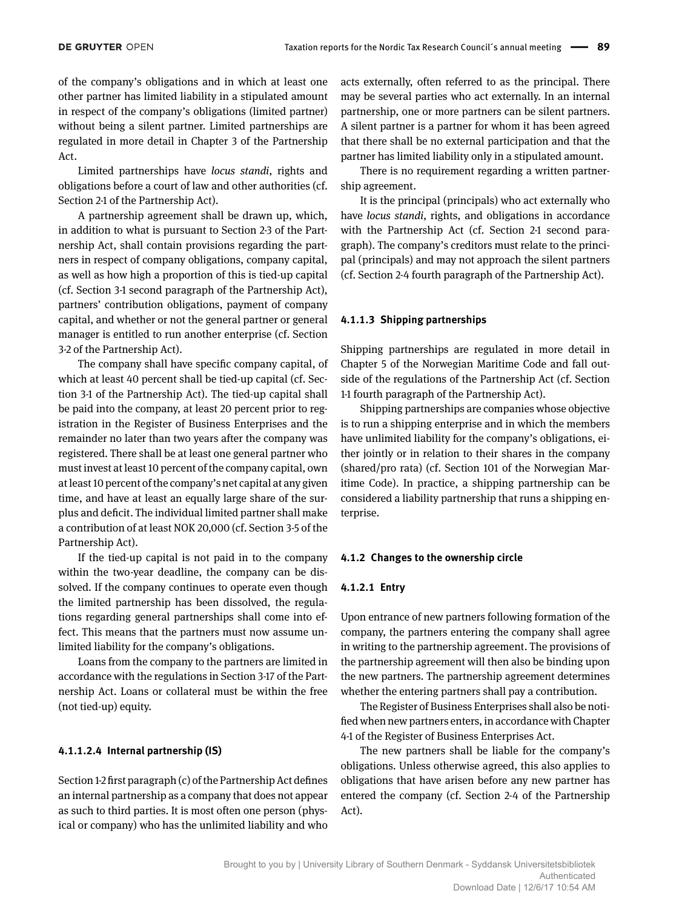of the company's obligations and in which at least one other partner has limited liability in a stipulated amount in respect of the company's obligations (limited partner) without being a silent partner. Limited partnerships are regulated in more detail in Chapter 3 of the Partnership Act.

Limited partnerships have *locus standi*, rights and obligations before a court of law and other authorities (cf. Section 2-1 of the Partnership Act).

A partnership agreement shall be drawn up, which, in addition to what is pursuant to Section 2-3 of the Partnership Act, shall contain provisions regarding the partners in respect of company obligations, company capital, as well as how high a proportion of this is tied-up capital (cf. Section 3-1 second paragraph of the Partnership Act), partners' contribution obligations, payment of company capital, and whether or not the general partner or general manager is entitled to run another enterprise (cf. Section 3-2 of the Partnership Act).

The company shall have specific company capital, of which at least 40 percent shall be tied-up capital (cf. Section 3-1 of the Partnership Act). The tied-up capital shall be paid into the company, at least 20 percent prior to registration in the Register of Business Enterprises and the remainder no later than two years after the company was registered. There shall be at least one general partner who must invest at least 10 percent of the company capital, own at least 10 percent of the company's net capital at any given time, and have at least an equally large share of the surplus and deficit. The individual limited partner shall make a contribution of at least NOK 20,000 (cf. Section 3-5 of the Partnership Act).

If the tied-up capital is not paid in to the company within the two-year deadline, the company can be dissolved. If the company continues to operate even though the limited partnership has been dissolved, the regulations regarding general partnerships shall come into effect. This means that the partners must now assume unlimited liability for the company's obligations.

Loans from the company to the partners are limited in accordance with the regulations in Section 3-17 of the Partnership Act. Loans or collateral must be within the free (not tied-up) equity.

#### **4.1.1.2.4 Internal partnership (IS)**

Section 1-2 first paragraph (c) of the Partnership Act defines an internal partnership as a company that does not appear as such to third parties. It is most often one person (physical or company) who has the unlimited liability and who acts externally, often referred to as the principal. There may be several parties who act externally. In an internal partnership, one or more partners can be silent partners. A silent partner is a partner for whom it has been agreed that there shall be no external participation and that the partner has limited liability only in a stipulated amount.

There is no requirement regarding a written partnership agreement.

It is the principal (principals) who act externally who have *locus standi*, rights, and obligations in accordance with the Partnership Act (cf. Section 2-1 second paragraph). The company's creditors must relate to the principal (principals) and may not approach the silent partners (cf. Section 2-4 fourth paragraph of the Partnership Act).

#### **4.1.1.3 Shipping partnerships**

Shipping partnerships are regulated in more detail in Chapter 5 of the Norwegian Maritime Code and fall outside of the regulations of the Partnership Act (cf. Section 1-1 fourth paragraph of the Partnership Act).

Shipping partnerships are companies whose objective is to run a shipping enterprise and in which the members have unlimited liability for the company's obligations, either jointly or in relation to their shares in the company (shared/pro rata) (cf. Section 101 of the Norwegian Maritime Code). In practice, a shipping partnership can be considered a liability partnership that runs a shipping enterprise.

#### **4.1.2 Changes to the ownership circle**

#### **4.1.2.1 Entry**

Upon entrance of new partners following formation of the company, the partners entering the company shall agree in writing to the partnership agreement. The provisions of the partnership agreement will then also be binding upon the new partners. The partnership agreement determines whether the entering partners shall pay a contribution.

The Register of Business Enterprises shall also be notified when new partners enters, in accordance with Chapter 4-1 of the Register of Business Enterprises Act.

The new partners shall be liable for the company's obligations. Unless otherwise agreed, this also applies to obligations that have arisen before any new partner has entered the company (cf. Section 2-4 of the Partnership Act).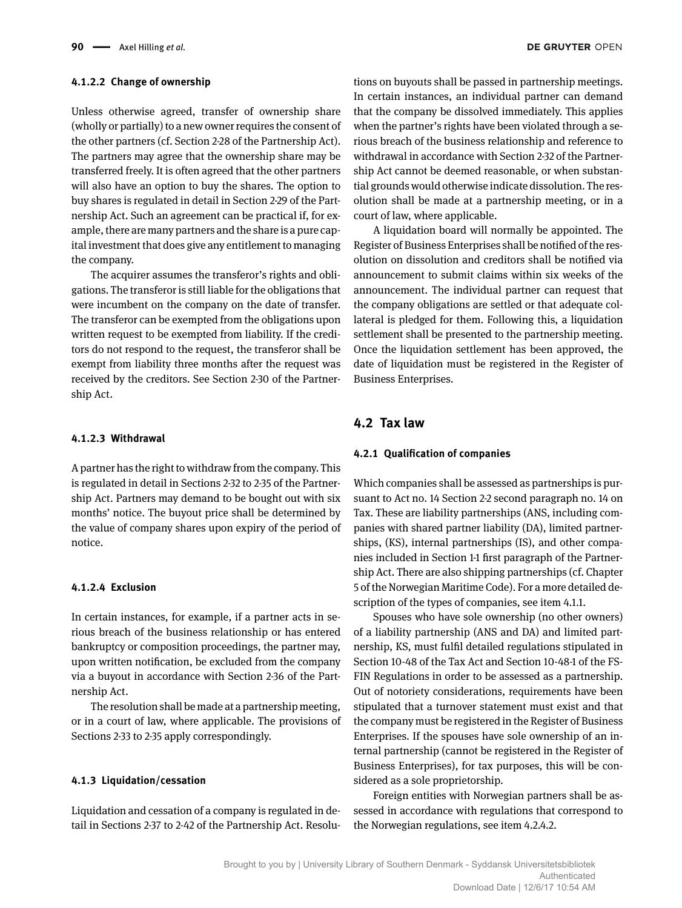## **4.1.2.2 Change of ownership**

Unless otherwise agreed, transfer of ownership share (wholly or partially) to a new owner requires the consent of the other partners (cf. Section 2-28 of the Partnership Act). The partners may agree that the ownership share may be transferred freely. It is often agreed that the other partners will also have an option to buy the shares. The option to buy shares is regulated in detail in Section 2-29 of the Partnership Act. Such an agreement can be practical if, for example, there are many partners and the share is a pure capital investment that does give any entitlement to managing the company.

The acquirer assumes the transferor's rights and obligations. The transferor is still liable for the obligations that were incumbent on the company on the date of transfer. The transferor can be exempted from the obligations upon written request to be exempted from liability. If the creditors do not respond to the request, the transferor shall be exempt from liability three months after the request was received by the creditors. See Section 2-30 of the Partnership Act.

#### **4.1.2.3 Withdrawal**

A partner has the right to withdraw from the company. This is regulated in detail in Sections 2-32 to 2-35 of the Partnership Act. Partners may demand to be bought out with six months' notice. The buyout price shall be determined by the value of company shares upon expiry of the period of notice.

#### **4.1.2.4 Exclusion**

In certain instances, for example, if a partner acts in serious breach of the business relationship or has entered bankruptcy or composition proceedings, the partner may, upon written notification, be excluded from the company via a buyout in accordance with Section 2-36 of the Partnership Act.

The resolution shall be made at a partnership meeting, or in a court of law, where applicable. The provisions of Sections 2-33 to 2-35 apply correspondingly.

#### **4.1.3 Liquidation/cessation**

Liquidation and cessation of a company is regulated in detail in Sections 2-37 to 2-42 of the Partnership Act. Resolu-

tions on buyouts shall be passed in partnership meetings. In certain instances, an individual partner can demand that the company be dissolved immediately. This applies when the partner's rights have been violated through a serious breach of the business relationship and reference to withdrawal in accordance with Section 2-32 of the Partnership Act cannot be deemed reasonable, or when substantial grounds would otherwise indicate dissolution. The resolution shall be made at a partnership meeting, or in a court of law, where applicable.

A liquidation board will normally be appointed. The Register of Business Enterprises shall be notified of the resolution on dissolution and creditors shall be notified via announcement to submit claims within six weeks of the announcement. The individual partner can request that the company obligations are settled or that adequate collateral is pledged for them. Following this, a liquidation settlement shall be presented to the partnership meeting. Once the liquidation settlement has been approved, the date of liquidation must be registered in the Register of Business Enterprises.

## **4.2 Tax law**

#### **4.2.1 Qualification of companies**

Which companies shall be assessed as partnerships is pursuant to Act no. 14 Section 2-2 second paragraph no. 14 on Tax. These are liability partnerships (ANS, including companies with shared partner liability (DA), limited partnerships, (KS), internal partnerships (IS), and other companies included in Section 1-1 first paragraph of the Partnership Act. There are also shipping partnerships (cf. Chapter 5 of the Norwegian Maritime Code). For a more detailed description of the types of companies, see item 4.1.1.

Spouses who have sole ownership (no other owners) of a liability partnership (ANS and DA) and limited partnership, KS, must fulfil detailed regulations stipulated in Section 10-48 of the Tax Act and Section 10-48-1 of the FS-FIN Regulations in order to be assessed as a partnership. Out of notoriety considerations, requirements have been stipulated that a turnover statement must exist and that the company must be registered in the Register of Business Enterprises. If the spouses have sole ownership of an internal partnership (cannot be registered in the Register of Business Enterprises), for tax purposes, this will be considered as a sole proprietorship.

Foreign entities with Norwegian partners shall be assessed in accordance with regulations that correspond to the Norwegian regulations, see item 4.2.4.2.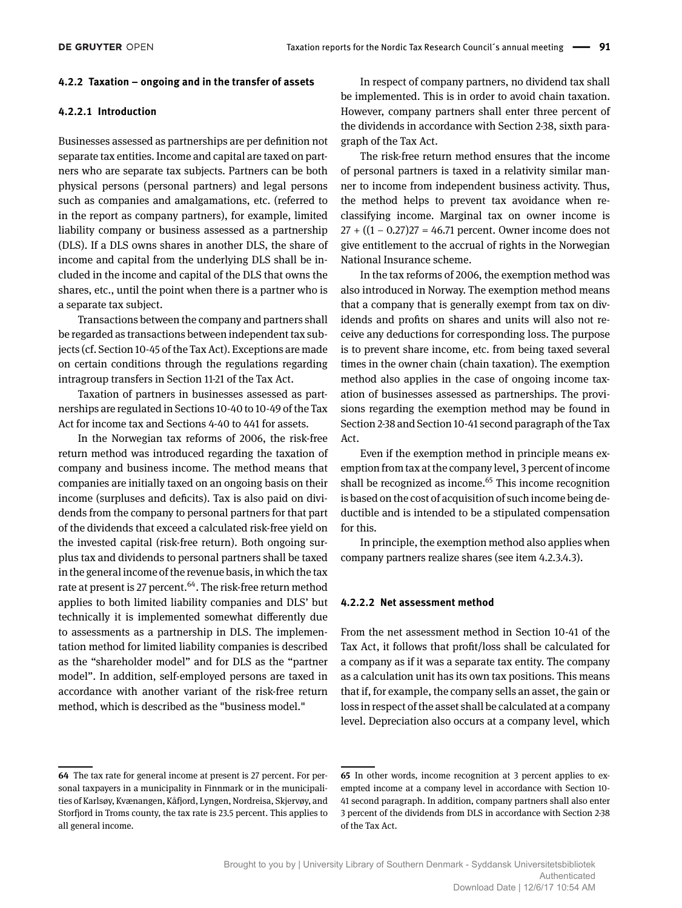#### **4.2.2 Taxation – ongoing and in the transfer of assets**

#### **4.2.2.1 Introduction**

Businesses assessed as partnerships are per definition not separate tax entities. Income and capital are taxed on partners who are separate tax subjects. Partners can be both physical persons (personal partners) and legal persons such as companies and amalgamations, etc. (referred to in the report as company partners), for example, limited liability company or business assessed as a partnership (DLS). If a DLS owns shares in another DLS, the share of income and capital from the underlying DLS shall be included in the income and capital of the DLS that owns the shares, etc., until the point when there is a partner who is a separate tax subject.

Transactions between the company and partners shall be regarded as transactions between independent tax subjects (cf. Section 10-45 of the Tax Act). Exceptions are made on certain conditions through the regulations regarding intragroup transfers in Section 11-21 of the Tax Act.

Taxation of partners in businesses assessed as partnerships are regulated in Sections 10-40 to 10-49 of the Tax Act for income tax and Sections 4-40 to 441 for assets.

In the Norwegian tax reforms of 2006, the risk-free return method was introduced regarding the taxation of company and business income. The method means that companies are initially taxed on an ongoing basis on their income (surpluses and deficits). Tax is also paid on dividends from the company to personal partners for that part of the dividends that exceed a calculated risk-free yield on the invested capital (risk-free return). Both ongoing surplus tax and dividends to personal partners shall be taxed in the general income of the revenue basis, in which the tax rate at present is 27 percent.<sup>64</sup>. The risk-free return method applies to both limited liability companies and DLS' but technically it is implemented somewhat differently due to assessments as a partnership in DLS. The implementation method for limited liability companies is described as the "shareholder model" and for DLS as the "partner model". In addition, self-employed persons are taxed in accordance with another variant of the risk-free return method, which is described as the "business model."

In respect of company partners, no dividend tax shall be implemented. This is in order to avoid chain taxation. However, company partners shall enter three percent of the dividends in accordance with Section 2-38, sixth paragraph of the Tax Act.

The risk-free return method ensures that the income of personal partners is taxed in a relativity similar manner to income from independent business activity. Thus, the method helps to prevent tax avoidance when reclassifying income. Marginal tax on owner income is 27 + ((1 − 0.27)27 = 46.71 percent. Owner income does not give entitlement to the accrual of rights in the Norwegian National Insurance scheme.

In the tax reforms of 2006, the exemption method was also introduced in Norway. The exemption method means that a company that is generally exempt from tax on dividends and profits on shares and units will also not receive any deductions for corresponding loss. The purpose is to prevent share income, etc. from being taxed several times in the owner chain (chain taxation). The exemption method also applies in the case of ongoing income taxation of businesses assessed as partnerships. The provisions regarding the exemption method may be found in Section 2-38 and Section 10-41 second paragraph of the Tax Act.

Even if the exemption method in principle means exemption from tax at the company level, 3 percent of income shall be recognized as income. $65$  This income recognition is based on the cost of acquisition of such income being deductible and is intended to be a stipulated compensation for this.

In principle, the exemption method also applies when company partners realize shares (see item 4.2.3.4.3).

#### **4.2.2.2 Net assessment method**

From the net assessment method in Section 10-41 of the Tax Act, it follows that profit/loss shall be calculated for a company as if it was a separate tax entity. The company as a calculation unit has its own tax positions. This means that if, for example, the company sells an asset, the gain or loss in respect of the asset shall be calculated at a company level. Depreciation also occurs at a company level, which

**<sup>64</sup>** The tax rate for general income at present is 27 percent. For personal taxpayers in a municipality in Finnmark or in the municipalities of Karlsøy, Kvænangen, Kåfjord, Lyngen, Nordreisa, Skjervøy, and Storfjord in Troms county, the tax rate is 23.5 percent. This applies to all general income.

**<sup>65</sup>** In other words, income recognition at 3 percent applies to exempted income at a company level in accordance with Section 10- 41 second paragraph. In addition, company partners shall also enter 3 percent of the dividends from DLS in accordance with Section 2-38 of the Tax Act.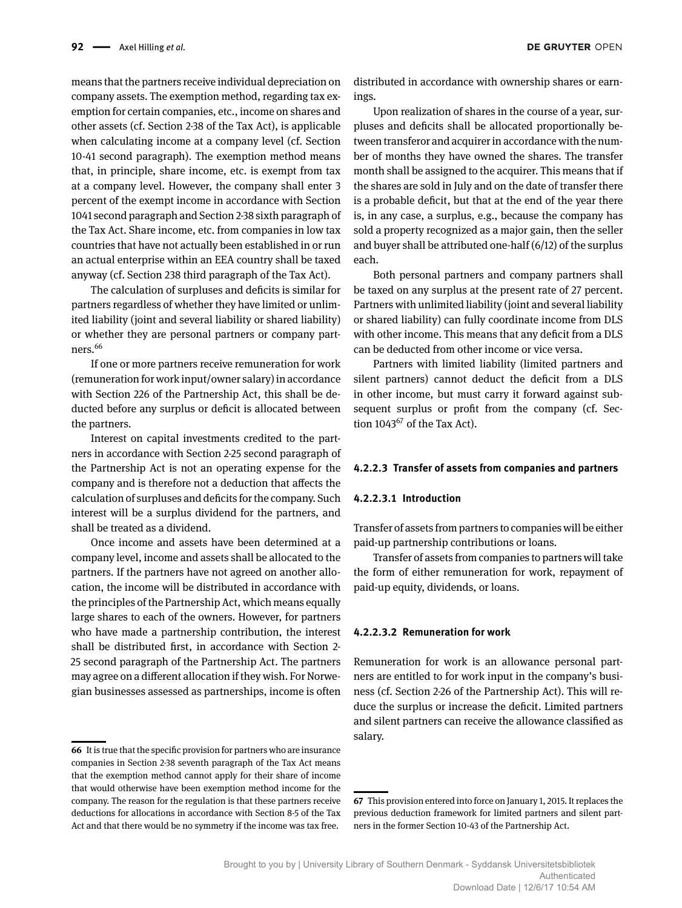means that the partners receive individual depreciation on company assets. The exemption method, regarding tax exemption for certain companies, etc., income on shares and other assets (cf. Section 2-38 of the Tax Act), is applicable when calculating income at a company level (cf. Section 10-41 second paragraph). The exemption method means that, in principle, share income, etc. is exempt from tax at a company level. However, the company shall enter 3 percent of the exempt income in accordance with Section 1041 second paragraph and Section 2-38 sixth paragraph of the Tax Act. Share income, etc. from companies in low tax countries that have not actually been established in or run an actual enterprise within an EEA country shall be taxed anyway (cf. Section 238 third paragraph of the Tax Act).

The calculation of surpluses and deficits is similar for partners regardless of whether they have limited or unlimited liability (joint and several liability or shared liability) or whether they are personal partners or company partners.66

If one or more partners receive remuneration for work (remuneration for work input/owner salary) in accordance with Section 226 of the Partnership Act, this shall be deducted before any surplus or deficit is allocated between the partners.

Interest on capital investments credited to the partners in accordance with Section 2-25 second paragraph of the Partnership Act is not an operating expense for the company and is therefore not a deduction that affects the calculation of surpluses and deficits for the company. Such interest will be a surplus dividend for the partners, and shall be treated as a dividend.

Once income and assets have been determined at a company level, income and assets shall be allocated to the partners. If the partners have not agreed on another allocation, the income will be distributed in accordance with the principles of the Partnership Act, which means equally large shares to each of the owners. However, for partners who have made a partnership contribution, the interest shall be distributed first, in accordance with Section 2- 25 second paragraph of the Partnership Act. The partners may agree on a different allocation if they wish. For Norwegian businesses assessed as partnerships, income is often

distributed in accordance with ownership shares or earnings.

Upon realization of shares in the course of a year, surpluses and deficits shall be allocated proportionally between transferor and acquirer in accordance with the number of months they have owned the shares. The transfer month shall be assigned to the acquirer. This means that if the shares are sold in July and on the date of transfer there is a probable deficit, but that at the end of the year there is, in any case, a surplus, e.g., because the company has sold a property recognized as a major gain, then the seller and buyer shall be attributed one-half (6/12) of the surplus each.

Both personal partners and company partners shall be taxed on any surplus at the present rate of 27 percent. Partners with unlimited liability (joint and several liability or shared liability) can fully coordinate income from DLS with other income. This means that any deficit from a DLS can be deducted from other income or vice versa.

Partners with limited liability (limited partners and silent partners) cannot deduct the deficit from a DLS in other income, but must carry it forward against subsequent surplus or profit from the company (cf. Section  $1043^{67}$  of the Tax Act).

#### **4.2.2.3 Transfer of assets from companies and partners**

#### **4.2.2.3.1 Introduction**

Transfer of assets from partners to companies will be either paid-up partnership contributions or loans.

Transfer of assets from companies to partners will take the form of either remuneration for work, repayment of paid-up equity, dividends, or loans.

#### **4.2.2.3.2 Remuneration for work**

Remuneration for work is an allowance personal partners are entitled to for work input in the company's business (cf. Section 2-26 of the Partnership Act). This will reduce the surplus or increase the deficit. Limited partners and silent partners can receive the allowance classified as salary.

**<sup>66</sup>** It is true that the specific provision for partners who are insurance companies in Section 2-38 seventh paragraph of the Tax Act means that the exemption method cannot apply for their share of income that would otherwise have been exemption method income for the company. The reason for the regulation is that these partners receive deductions for allocations in accordance with Section 8-5 of the Tax Act and that there would be no symmetry if the income was tax free.

**<sup>67</sup>** This provision entered into force on January 1, 2015. It replaces the previous deduction framework for limited partners and silent partners in the former Section 10-43 of the Partnership Act.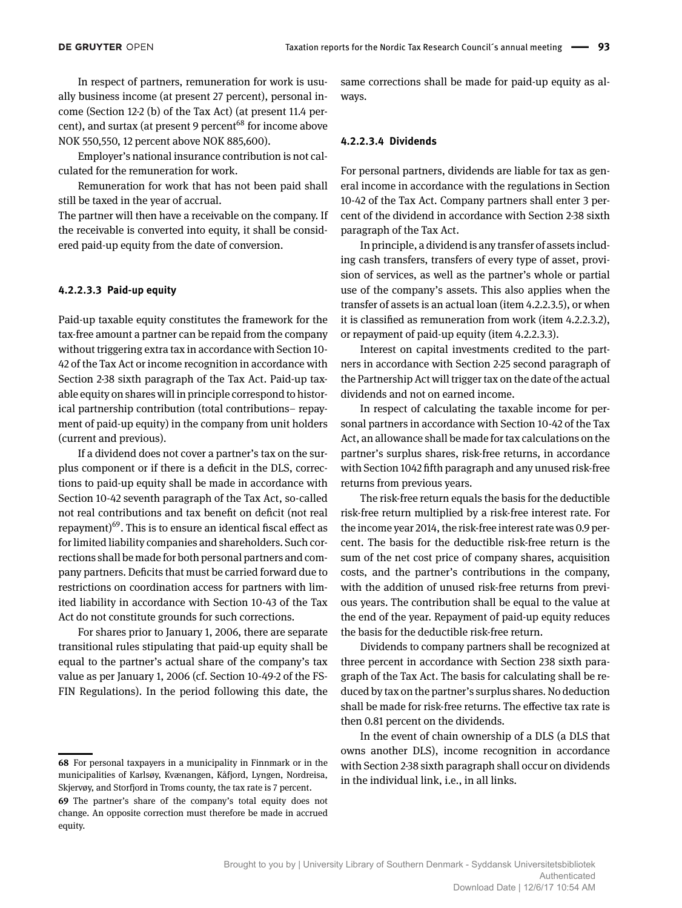In respect of partners, remuneration for work is usually business income (at present 27 percent), personal income (Section 12-2 (b) of the Tax Act) (at present 11.4 percent), and surtax (at present 9 percent<sup> $68$ </sup> for income above NOK 550,550, 12 percent above NOK 885,600).

Employer's national insurance contribution is not calculated for the remuneration for work.

Remuneration for work that has not been paid shall still be taxed in the year of accrual.

The partner will then have a receivable on the company. If the receivable is converted into equity, it shall be considered paid-up equity from the date of conversion.

#### **4.2.2.3.3 Paid-up equity**

Paid-up taxable equity constitutes the framework for the tax-free amount a partner can be repaid from the company without triggering extra tax in accordance with Section 10- 42 of the Tax Act or income recognition in accordance with Section 2-38 sixth paragraph of the Tax Act. Paid-up taxable equity on shares will in principle correspond to historical partnership contribution (total contributions– repayment of paid-up equity) in the company from unit holders (current and previous).

If a dividend does not cover a partner's tax on the surplus component or if there is a deficit in the DLS, corrections to paid-up equity shall be made in accordance with Section 10-42 seventh paragraph of the Tax Act, so-called not real contributions and tax benefit on deficit (not real repayment) $69$ . This is to ensure an identical fiscal effect as for limited liability companies and shareholders. Such corrections shall be made for both personal partners and company partners. Deficits that must be carried forward due to restrictions on coordination access for partners with limited liability in accordance with Section 10-43 of the Tax Act do not constitute grounds for such corrections.

For shares prior to January 1, 2006, there are separate transitional rules stipulating that paid-up equity shall be equal to the partner's actual share of the company's tax value as per January 1, 2006 (cf. Section 10-49-2 of the FS-FIN Regulations). In the period following this date, the same corrections shall be made for paid-up equity as always.

### **4.2.2.3.4 Dividends**

For personal partners, dividends are liable for tax as general income in accordance with the regulations in Section 10-42 of the Tax Act. Company partners shall enter 3 percent of the dividend in accordance with Section 2-38 sixth paragraph of the Tax Act.

In principle, a dividend is any transfer of assets including cash transfers, transfers of every type of asset, provision of services, as well as the partner's whole or partial use of the company's assets. This also applies when the transfer of assets is an actual loan (item 4.2.2.3.5), or when it is classified as remuneration from work (item 4.2.2.3.2), or repayment of paid-up equity (item 4.2.2.3.3).

Interest on capital investments credited to the partners in accordance with Section 2-25 second paragraph of the Partnership Act will trigger tax on the date of the actual dividends and not on earned income.

In respect of calculating the taxable income for personal partners in accordance with Section 10-42 of the Tax Act, an allowance shall be made for tax calculations on the partner's surplus shares, risk-free returns, in accordance with Section 1042 fifth paragraph and any unused risk-free returns from previous years.

The risk-free return equals the basis for the deductible risk-free return multiplied by a risk-free interest rate. For the income year 2014, the risk-free interest rate was 0.9 percent. The basis for the deductible risk-free return is the sum of the net cost price of company shares, acquisition costs, and the partner's contributions in the company, with the addition of unused risk-free returns from previous years. The contribution shall be equal to the value at the end of the year. Repayment of paid-up equity reduces the basis for the deductible risk-free return.

Dividends to company partners shall be recognized at three percent in accordance with Section 238 sixth paragraph of the Tax Act. The basis for calculating shall be reduced by tax on the partner's surplus shares. No deduction shall be made for risk-free returns. The effective tax rate is then 0.81 percent on the dividends.

In the event of chain ownership of a DLS (a DLS that owns another DLS), income recognition in accordance with Section 2-38 sixth paragraph shall occur on dividends in the individual link, i.e., in all links.

**<sup>68</sup>** For personal taxpayers in a municipality in Finnmark or in the municipalities of Karlsøy, Kvænangen, Kåfjord, Lyngen, Nordreisa, Skjervøy, and Storfjord in Troms county, the tax rate is 7 percent.

**<sup>69</sup>** The partner's share of the company's total equity does not change. An opposite correction must therefore be made in accrued equity.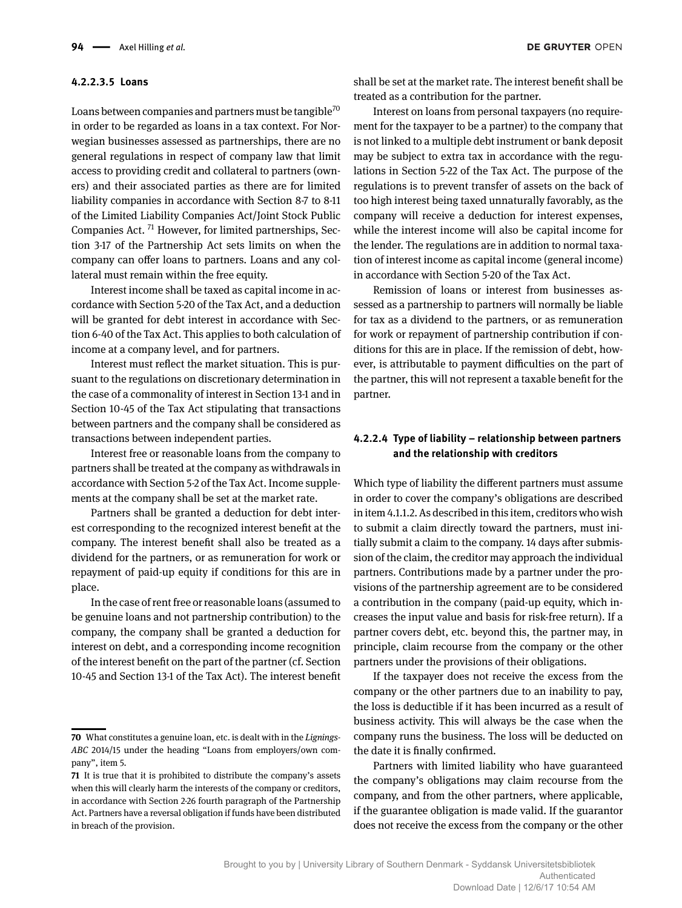#### **4.2.2.3.5 Loans**

Loans between companies and partners must be tangible<sup>70</sup> in order to be regarded as loans in a tax context. For Norwegian businesses assessed as partnerships, there are no general regulations in respect of company law that limit access to providing credit and collateral to partners (owners) and their associated parties as there are for limited liability companies in accordance with Section 8-7 to 8-11 of the Limited Liability Companies Act/Joint Stock Public Companies Act. 71 However, for limited partnerships, Section 3-17 of the Partnership Act sets limits on when the company can offer loans to partners. Loans and any collateral must remain within the free equity.

Interest income shall be taxed as capital income in accordance with Section 5-20 of the Tax Act, and a deduction will be granted for debt interest in accordance with Section 6-40 of the Tax Act. This applies to both calculation of income at a company level, and for partners.

Interest must reflect the market situation. This is pursuant to the regulations on discretionary determination in the case of a commonality of interest in Section 13-1 and in Section 10-45 of the Tax Act stipulating that transactions between partners and the company shall be considered as transactions between independent parties.

Interest free or reasonable loans from the company to partners shall be treated at the company as withdrawals in accordance with Section 5-2 of the Tax Act. Income supplements at the company shall be set at the market rate.

Partners shall be granted a deduction for debt interest corresponding to the recognized interest benefit at the company. The interest benefit shall also be treated as a dividend for the partners, or as remuneration for work or repayment of paid-up equity if conditions for this are in place.

In the case of rent free or reasonable loans (assumed to be genuine loans and not partnership contribution) to the company, the company shall be granted a deduction for interest on debt, and a corresponding income recognition of the interest benefit on the part of the partner (cf. Section 10-45 and Section 13-1 of the Tax Act). The interest benefit shall be set at the market rate. The interest benefit shall be treated as a contribution for the partner.

Interest on loans from personal taxpayers (no requirement for the taxpayer to be a partner) to the company that is not linked to a multiple debt instrument or bank deposit may be subject to extra tax in accordance with the regulations in Section 5-22 of the Tax Act. The purpose of the regulations is to prevent transfer of assets on the back of too high interest being taxed unnaturally favorably, as the company will receive a deduction for interest expenses, while the interest income will also be capital income for the lender. The regulations are in addition to normal taxation of interest income as capital income (general income) in accordance with Section 5-20 of the Tax Act.

Remission of loans or interest from businesses assessed as a partnership to partners will normally be liable for tax as a dividend to the partners, or as remuneration for work or repayment of partnership contribution if conditions for this are in place. If the remission of debt, however, is attributable to payment difficulties on the part of the partner, this will not represent a taxable benefit for the partner.

## **4.2.2.4 Type of liability – relationship between partners and the relationship with creditors**

Which type of liability the different partners must assume in order to cover the company's obligations are described in item 4.1.1.2. As described in this item, creditors who wish to submit a claim directly toward the partners, must initially submit a claim to the company. 14 days after submission of the claim, the creditor may approach the individual partners. Contributions made by a partner under the provisions of the partnership agreement are to be considered a contribution in the company (paid-up equity, which increases the input value and basis for risk-free return). If a partner covers debt, etc. beyond this, the partner may, in principle, claim recourse from the company or the other partners under the provisions of their obligations.

If the taxpayer does not receive the excess from the company or the other partners due to an inability to pay, the loss is deductible if it has been incurred as a result of business activity. This will always be the case when the company runs the business. The loss will be deducted on the date it is finally confirmed.

Partners with limited liability who have guaranteed the company's obligations may claim recourse from the company, and from the other partners, where applicable, if the guarantee obligation is made valid. If the guarantor does not receive the excess from the company or the other

**<sup>70</sup>** What constitutes a genuine loan, etc. is dealt with in the *Lignings-ABC* 2014/15 under the heading "Loans from employers/own company", item 5.

**<sup>71</sup>** It is true that it is prohibited to distribute the company's assets when this will clearly harm the interests of the company or creditors, in accordance with Section 2-26 fourth paragraph of the Partnership Act. Partners have a reversal obligation if funds have been distributed in breach of the provision.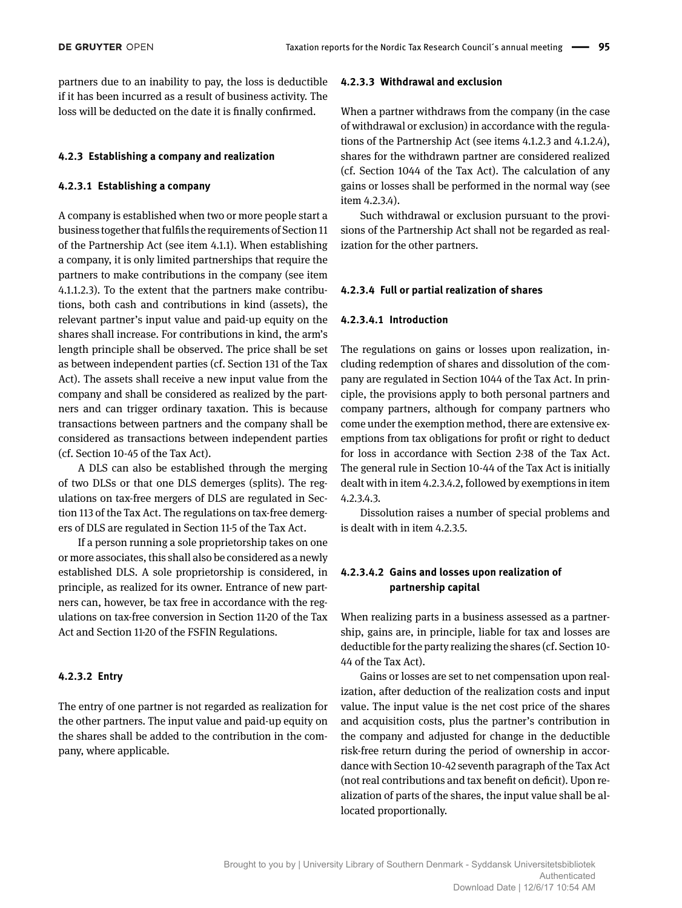partners due to an inability to pay, the loss is deductible if it has been incurred as a result of business activity. The loss will be deducted on the date it is finally confirmed.

## **4.2.3 Establishing a company and realization**

## **4.2.3.1 Establishing a company**

A company is established when two or more people start a business together that fulfils the requirements of Section 11 of the Partnership Act (see item 4.1.1). When establishing a company, it is only limited partnerships that require the partners to make contributions in the company (see item 4.1.1.2.3). To the extent that the partners make contributions, both cash and contributions in kind (assets), the relevant partner's input value and paid-up equity on the shares shall increase. For contributions in kind, the arm's length principle shall be observed. The price shall be set as between independent parties (cf. Section 131 of the Tax Act). The assets shall receive a new input value from the company and shall be considered as realized by the partners and can trigger ordinary taxation. This is because transactions between partners and the company shall be considered as transactions between independent parties (cf. Section 10-45 of the Tax Act).

A DLS can also be established through the merging of two DLSs or that one DLS demerges (splits). The regulations on tax-free mergers of DLS are regulated in Section 113 of the Tax Act. The regulations on tax-free demergers of DLS are regulated in Section 11-5 of the Tax Act.

If a person running a sole proprietorship takes on one or more associates, this shall also be considered as a newly established DLS. A sole proprietorship is considered, in principle, as realized for its owner. Entrance of new partners can, however, be tax free in accordance with the regulations on tax-free conversion in Section 11-20 of the Tax Act and Section 11-20 of the FSFIN Regulations.

## **4.2.3.2 Entry**

The entry of one partner is not regarded as realization for the other partners. The input value and paid-up equity on the shares shall be added to the contribution in the company, where applicable.

### **4.2.3.3 Withdrawal and exclusion**

When a partner withdraws from the company (in the case of withdrawal or exclusion) in accordance with the regulations of the Partnership Act (see items 4.1.2.3 and 4.1.2.4), shares for the withdrawn partner are considered realized (cf. Section 1044 of the Tax Act). The calculation of any gains or losses shall be performed in the normal way (see item 4.2.3.4).

Such withdrawal or exclusion pursuant to the provisions of the Partnership Act shall not be regarded as realization for the other partners.

### **4.2.3.4 Full or partial realization of shares**

### **4.2.3.4.1 Introduction**

The regulations on gains or losses upon realization, including redemption of shares and dissolution of the company are regulated in Section 1044 of the Tax Act. In principle, the provisions apply to both personal partners and company partners, although for company partners who come under the exemption method, there are extensive exemptions from tax obligations for profit or right to deduct for loss in accordance with Section 2-38 of the Tax Act. The general rule in Section 10-44 of the Tax Act is initially dealt with in item 4.2.3.4.2, followed by exemptions in item 4.2.3.4.3.

Dissolution raises a number of special problems and is dealt with in item 4.2.3.5.

## **4.2.3.4.2 Gains and losses upon realization of partnership capital**

When realizing parts in a business assessed as a partnership, gains are, in principle, liable for tax and losses are deductible for the party realizing the shares (cf. Section 10- 44 of the Tax Act).

Gains or losses are set to net compensation upon realization, after deduction of the realization costs and input value. The input value is the net cost price of the shares and acquisition costs, plus the partner's contribution in the company and adjusted for change in the deductible risk-free return during the period of ownership in accordance with Section 10-42 seventh paragraph of the Tax Act (not real contributions and tax benefit on deficit). Upon realization of parts of the shares, the input value shall be allocated proportionally.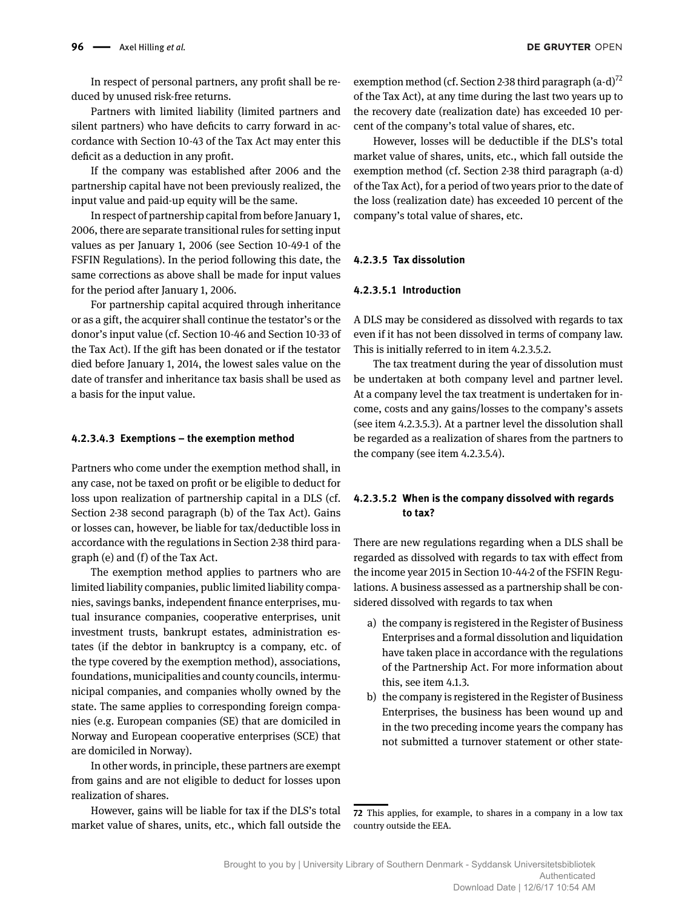In respect of personal partners, any profit shall be reduced by unused risk-free returns.

Partners with limited liability (limited partners and silent partners) who have deficits to carry forward in accordance with Section 10-43 of the Tax Act may enter this deficit as a deduction in any profit.

If the company was established after 2006 and the partnership capital have not been previously realized, the input value and paid-up equity will be the same.

In respect of partnership capital from before January 1, 2006, there are separate transitional rules for setting input values as per January 1, 2006 (see Section 10-49-1 of the FSFIN Regulations). In the period following this date, the same corrections as above shall be made for input values for the period after January 1, 2006.

For partnership capital acquired through inheritance or as a gift, the acquirer shall continue the testator's or the donor's input value (cf. Section 10-46 and Section 10-33 of the Tax Act). If the gift has been donated or if the testator died before January 1, 2014, the lowest sales value on the date of transfer and inheritance tax basis shall be used as a basis for the input value.

### **4.2.3.4.3 Exemptions – the exemption method**

Partners who come under the exemption method shall, in any case, not be taxed on profit or be eligible to deduct for loss upon realization of partnership capital in a DLS (cf. Section 2-38 second paragraph (b) of the Tax Act). Gains or losses can, however, be liable for tax/deductible loss in accordance with the regulations in Section 2-38 third paragraph (e) and (f) of the Tax Act.

The exemption method applies to partners who are limited liability companies, public limited liability companies, savings banks, independent finance enterprises, mutual insurance companies, cooperative enterprises, unit investment trusts, bankrupt estates, administration estates (if the debtor in bankruptcy is a company, etc. of the type covered by the exemption method), associations, foundations, municipalities and county councils, intermunicipal companies, and companies wholly owned by the state. The same applies to corresponding foreign companies (e.g. European companies (SE) that are domiciled in Norway and European cooperative enterprises (SCE) that are domiciled in Norway).

In other words, in principle, these partners are exempt from gains and are not eligible to deduct for losses upon realization of shares.

However, gains will be liable for tax if the DLS's total market value of shares, units, etc., which fall outside the exemption method (cf. Section 2-38 third paragraph  $(a-d)^{72}$ of the Tax Act), at any time during the last two years up to the recovery date (realization date) has exceeded 10 percent of the company's total value of shares, etc.

However, losses will be deductible if the DLS's total market value of shares, units, etc., which fall outside the exemption method (cf. Section 2-38 third paragraph (a-d) of the Tax Act), for a period of two years prior to the date of the loss (realization date) has exceeded 10 percent of the company's total value of shares, etc.

#### **4.2.3.5 Tax dissolution**

#### **4.2.3.5.1 Introduction**

A DLS may be considered as dissolved with regards to tax even if it has not been dissolved in terms of company law. This is initially referred to in item 4.2.3.5.2.

The tax treatment during the year of dissolution must be undertaken at both company level and partner level. At a company level the tax treatment is undertaken for income, costs and any gains/losses to the company's assets (see item 4.2.3.5.3). At a partner level the dissolution shall be regarded as a realization of shares from the partners to the company (see item 4.2.3.5.4).

## **4.2.3.5.2 When is the company dissolved with regards to tax?**

There are new regulations regarding when a DLS shall be regarded as dissolved with regards to tax with effect from the income year 2015 in Section 10-44-2 of the FSFIN Regulations. A business assessed as a partnership shall be considered dissolved with regards to tax when

- a) the company is registered in the Register of Business Enterprises and a formal dissolution and liquidation have taken place in accordance with the regulations of the Partnership Act. For more information about this, see item 4.1.3.
- b) the company is registered in the Register of Business Enterprises, the business has been wound up and in the two preceding income years the company has not submitted a turnover statement or other state-

**<sup>72</sup>** This applies, for example, to shares in a company in a low tax country outside the EEA.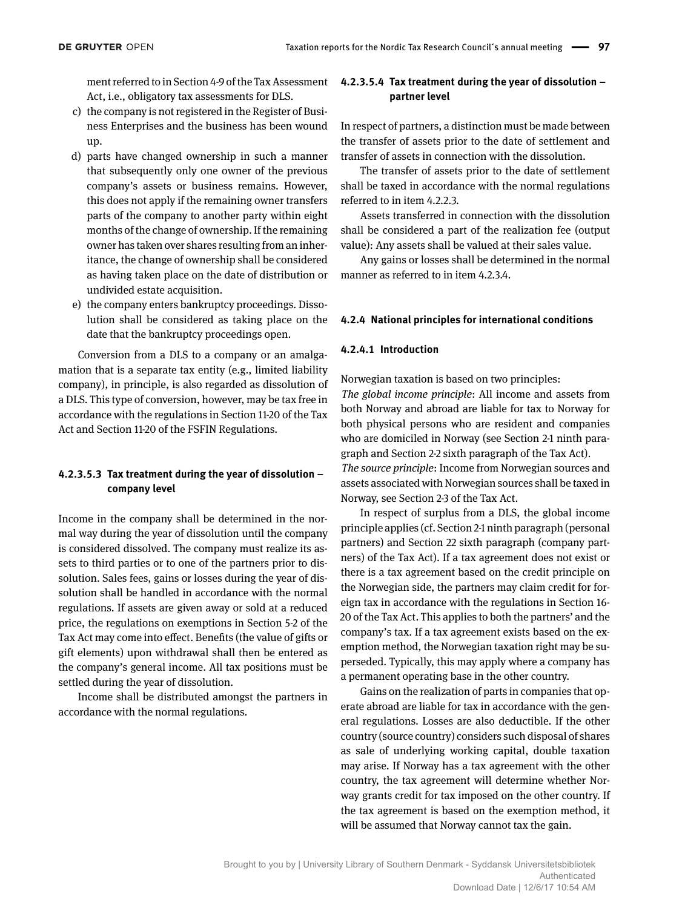ment referred to in Section 4-9 of the Tax Assessment Act, i.e., obligatory tax assessments for DLS.

- c) the company is not registered in the Register of Business Enterprises and the business has been wound up.
- d) parts have changed ownership in such a manner that subsequently only one owner of the previous company's assets or business remains. However, this does not apply if the remaining owner transfers parts of the company to another party within eight months of the change of ownership. If the remaining owner has taken over shares resulting from an inheritance, the change of ownership shall be considered as having taken place on the date of distribution or undivided estate acquisition.
- e) the company enters bankruptcy proceedings. Dissolution shall be considered as taking place on the date that the bankruptcy proceedings open.

Conversion from a DLS to a company or an amalgamation that is a separate tax entity (e.g., limited liability company), in principle, is also regarded as dissolution of a DLS. This type of conversion, however, may be tax free in accordance with the regulations in Section 11-20 of the Tax Act and Section 11-20 of the FSFIN Regulations.

## **4.2.3.5.3 Tax treatment during the year of dissolution – company level**

Income in the company shall be determined in the normal way during the year of dissolution until the company is considered dissolved. The company must realize its assets to third parties or to one of the partners prior to dissolution. Sales fees, gains or losses during the year of dissolution shall be handled in accordance with the normal regulations. If assets are given away or sold at a reduced price, the regulations on exemptions in Section 5-2 of the Tax Act may come into effect. Benefits (the value of gifts or gift elements) upon withdrawal shall then be entered as the company's general income. All tax positions must be settled during the year of dissolution.

Income shall be distributed amongst the partners in accordance with the normal regulations.

## **4.2.3.5.4 Tax treatment during the year of dissolution – partner level**

In respect of partners, a distinction must be made between the transfer of assets prior to the date of settlement and transfer of assets in connection with the dissolution.

The transfer of assets prior to the date of settlement shall be taxed in accordance with the normal regulations referred to in item 4.2.2.3.

Assets transferred in connection with the dissolution shall be considered a part of the realization fee (output value): Any assets shall be valued at their sales value.

Any gains or losses shall be determined in the normal manner as referred to in item 4.2.3.4.

#### **4.2.4 National principles for international conditions**

#### **4.2.4.1 Introduction**

Norwegian taxation is based on two principles:

*The global income principle*: All income and assets from both Norway and abroad are liable for tax to Norway for both physical persons who are resident and companies who are domiciled in Norway (see Section 2-1 ninth paragraph and Section 2-2 sixth paragraph of the Tax Act). *The source principle*: Income from Norwegian sources and assets associated with Norwegian sources shall be taxed in Norway, see Section 2-3 of the Tax Act.

In respect of surplus from a DLS, the global income principle applies (cf. Section 2-1 ninth paragraph (personal partners) and Section 22 sixth paragraph (company partners) of the Tax Act). If a tax agreement does not exist or there is a tax agreement based on the credit principle on the Norwegian side, the partners may claim credit for foreign tax in accordance with the regulations in Section 16- 20 of the Tax Act. This applies to both the partners' and the company's tax. If a tax agreement exists based on the exemption method, the Norwegian taxation right may be superseded. Typically, this may apply where a company has a permanent operating base in the other country.

Gains on the realization of parts in companies that operate abroad are liable for tax in accordance with the general regulations. Losses are also deductible. If the other country (source country) considers such disposal of shares as sale of underlying working capital, double taxation may arise. If Norway has a tax agreement with the other country, the tax agreement will determine whether Norway grants credit for tax imposed on the other country. If the tax agreement is based on the exemption method, it will be assumed that Norway cannot tax the gain.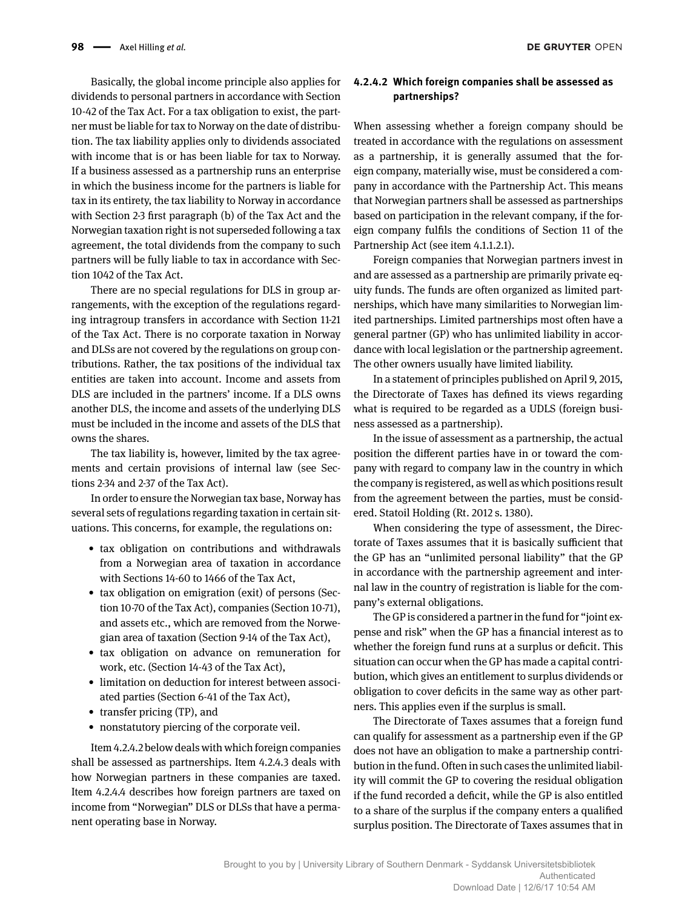Basically, the global income principle also applies for dividends to personal partners in accordance with Section 10-42 of the Tax Act. For a tax obligation to exist, the partner must be liable for tax to Norway on the date of distribution. The tax liability applies only to dividends associated with income that is or has been liable for tax to Norway. If a business assessed as a partnership runs an enterprise in which the business income for the partners is liable for tax in its entirety, the tax liability to Norway in accordance with Section 2-3 first paragraph (b) of the Tax Act and the Norwegian taxation right is not superseded following a tax agreement, the total dividends from the company to such partners will be fully liable to tax in accordance with Section 1042 of the Tax Act.

There are no special regulations for DLS in group arrangements, with the exception of the regulations regarding intragroup transfers in accordance with Section 11-21 of the Tax Act. There is no corporate taxation in Norway and DLSs are not covered by the regulations on group contributions. Rather, the tax positions of the individual tax entities are taken into account. Income and assets from DLS are included in the partners' income. If a DLS owns another DLS, the income and assets of the underlying DLS must be included in the income and assets of the DLS that owns the shares.

The tax liability is, however, limited by the tax agreements and certain provisions of internal law (see Sections 2-34 and 2-37 of the Tax Act).

In order to ensure the Norwegian tax base, Norway has several sets of regulations regarding taxation in certain situations. This concerns, for example, the regulations on:

- tax obligation on contributions and withdrawals from a Norwegian area of taxation in accordance with Sections 14-60 to 1466 of the Tax Act,
- tax obligation on emigration (exit) of persons (Section 10-70 of the Tax Act), companies (Section 10-71), and assets etc., which are removed from the Norwegian area of taxation (Section 9-14 of the Tax Act),
- tax obligation on advance on remuneration for work, etc. (Section 14-43 of the Tax Act),
- limitation on deduction for interest between associated parties (Section 6-41 of the Tax Act),
- transfer pricing (TP), and
- nonstatutory piercing of the corporate veil.

Item 4.2.4.2 below deals with which foreign companies shall be assessed as partnerships. Item 4.2.4.3 deals with how Norwegian partners in these companies are taxed. Item 4.2.4.4 describes how foreign partners are taxed on income from "Norwegian" DLS or DLSs that have a permanent operating base in Norway.

## **4.2.4.2 Which foreign companies shall be assessed as partnerships?**

When assessing whether a foreign company should be treated in accordance with the regulations on assessment as a partnership, it is generally assumed that the foreign company, materially wise, must be considered a company in accordance with the Partnership Act. This means that Norwegian partners shall be assessed as partnerships based on participation in the relevant company, if the foreign company fulfils the conditions of Section 11 of the Partnership Act (see item 4.1.1.2.1).

Foreign companies that Norwegian partners invest in and are assessed as a partnership are primarily private equity funds. The funds are often organized as limited partnerships, which have many similarities to Norwegian limited partnerships. Limited partnerships most often have a general partner (GP) who has unlimited liability in accordance with local legislation or the partnership agreement. The other owners usually have limited liability.

In a statement of principles published on April 9, 2015, the Directorate of Taxes has defined its views regarding what is required to be regarded as a UDLS (foreign business assessed as a partnership).

In the issue of assessment as a partnership, the actual position the different parties have in or toward the company with regard to company law in the country in which the company is registered, as well as which positions result from the agreement between the parties, must be considered. Statoil Holding (Rt. 2012 s. 1380).

When considering the type of assessment, the Directorate of Taxes assumes that it is basically sufficient that the GP has an "unlimited personal liability" that the GP in accordance with the partnership agreement and internal law in the country of registration is liable for the company's external obligations.

The GP is considered a partner in the fund for "joint expense and risk" when the GP has a financial interest as to whether the foreign fund runs at a surplus or deficit. This situation can occur when the GP has made a capital contribution, which gives an entitlement to surplus dividends or obligation to cover deficits in the same way as other partners. This applies even if the surplus is small.

The Directorate of Taxes assumes that a foreign fund can qualify for assessment as a partnership even if the GP does not have an obligation to make a partnership contribution in the fund. Often in such cases the unlimited liability will commit the GP to covering the residual obligation if the fund recorded a deficit, while the GP is also entitled to a share of the surplus if the company enters a qualified surplus position. The Directorate of Taxes assumes that in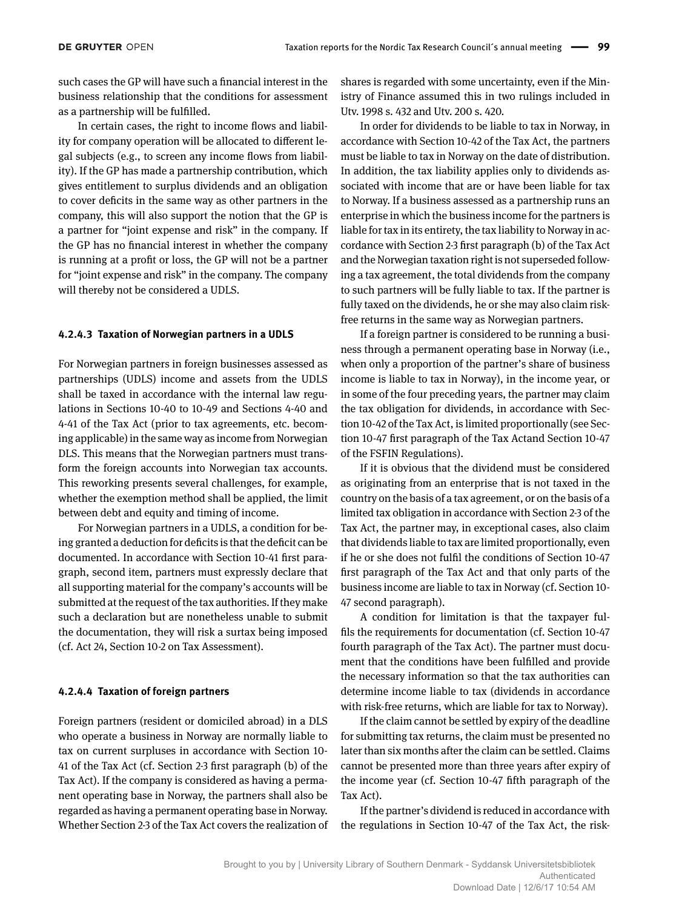such cases the GP will have such a financial interest in the business relationship that the conditions for assessment as a partnership will be fulfilled.

In certain cases, the right to income flows and liability for company operation will be allocated to different legal subjects (e.g., to screen any income flows from liability). If the GP has made a partnership contribution, which gives entitlement to surplus dividends and an obligation to cover deficits in the same way as other partners in the company, this will also support the notion that the GP is a partner for "joint expense and risk" in the company. If the GP has no financial interest in whether the company is running at a profit or loss, the GP will not be a partner for "joint expense and risk" in the company. The company will thereby not be considered a UDLS.

#### **4.2.4.3 Taxation of Norwegian partners in a UDLS**

For Norwegian partners in foreign businesses assessed as partnerships (UDLS) income and assets from the UDLS shall be taxed in accordance with the internal law regulations in Sections 10-40 to 10-49 and Sections 4-40 and 4-41 of the Tax Act (prior to tax agreements, etc. becoming applicable) in the same way as income from Norwegian DLS. This means that the Norwegian partners must transform the foreign accounts into Norwegian tax accounts. This reworking presents several challenges, for example, whether the exemption method shall be applied, the limit between debt and equity and timing of income.

For Norwegian partners in a UDLS, a condition for being granted a deduction for deficits is that the deficit can be documented. In accordance with Section 10-41 first paragraph, second item, partners must expressly declare that all supporting material for the company's accounts will be submitted at the request of the tax authorities. If they make such a declaration but are nonetheless unable to submit the documentation, they will risk a surtax being imposed (cf. Act 24, Section 10-2 on Tax Assessment).

#### **4.2.4.4 Taxation of foreign partners**

Foreign partners (resident or domiciled abroad) in a DLS who operate a business in Norway are normally liable to tax on current surpluses in accordance with Section 10- 41 of the Tax Act (cf. Section 2-3 first paragraph (b) of the Tax Act). If the company is considered as having a permanent operating base in Norway, the partners shall also be regarded as having a permanent operating base in Norway. Whether Section 2-3 of the Tax Act covers the realization of shares is regarded with some uncertainty, even if the Ministry of Finance assumed this in two rulings included in Utv. 1998 s. 432 and Utv. 200 s. 420.

In order for dividends to be liable to tax in Norway, in accordance with Section 10-42 of the Tax Act, the partners must be liable to tax in Norway on the date of distribution. In addition, the tax liability applies only to dividends associated with income that are or have been liable for tax to Norway. If a business assessed as a partnership runs an enterprise in which the business income for the partners is liable for tax in its entirety, the tax liability to Norway in accordance with Section 2-3 first paragraph (b) of the Tax Act and the Norwegian taxation right is not superseded following a tax agreement, the total dividends from the company to such partners will be fully liable to tax. If the partner is fully taxed on the dividends, he or she may also claim riskfree returns in the same way as Norwegian partners.

If a foreign partner is considered to be running a business through a permanent operating base in Norway (i.e., when only a proportion of the partner's share of business income is liable to tax in Norway), in the income year, or in some of the four preceding years, the partner may claim the tax obligation for dividends, in accordance with Section 10-42 of the Tax Act, is limited proportionally (see Section 10-47 first paragraph of the Tax Actand Section 10-47 of the FSFIN Regulations).

If it is obvious that the dividend must be considered as originating from an enterprise that is not taxed in the country on the basis of a tax agreement, or on the basis of a limited tax obligation in accordance with Section 2-3 of the Tax Act, the partner may, in exceptional cases, also claim that dividends liable to tax are limited proportionally, even if he or she does not fulfil the conditions of Section 10-47 first paragraph of the Tax Act and that only parts of the business income are liable to tax in Norway (cf. Section 10- 47 second paragraph).

A condition for limitation is that the taxpayer fulfils the requirements for documentation (cf. Section 10-47 fourth paragraph of the Tax Act). The partner must document that the conditions have been fulfilled and provide the necessary information so that the tax authorities can determine income liable to tax (dividends in accordance with risk-free returns, which are liable for tax to Norway).

If the claim cannot be settled by expiry of the deadline for submitting tax returns, the claim must be presented no later than six months after the claim can be settled. Claims cannot be presented more than three years after expiry of the income year (cf. Section 10-47 fifth paragraph of the Tax Act).

If the partner's dividend is reduced in accordance with the regulations in Section 10-47 of the Tax Act, the risk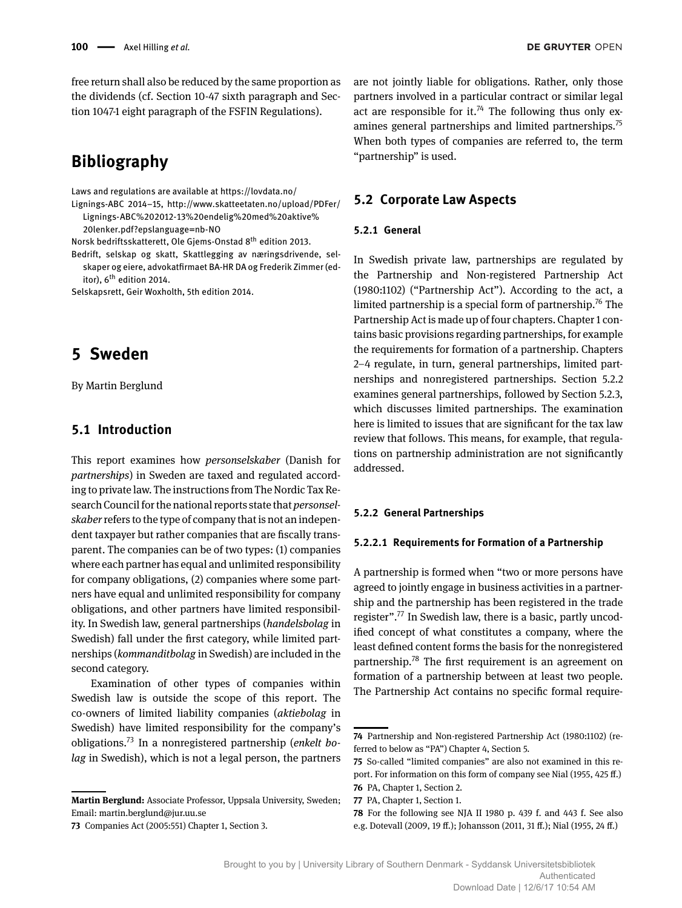free return shall also be reduced by the same proportion as the dividends (cf. Section 10-47 sixth paragraph and Section 1047-1 eight paragraph of the FSFIN Regulations).

## **Bibliography**

Laws and regulations are available at<https://lovdata.no/>

Lignings-ABC 2014–15, [http://www.skatteetaten.no/upload/PDFer/](http://www.skatteetaten.no/upload/PDFer/Lignings-ABC%202012-13%20endelig%20med%20aktive%20lenker.pdf?epslanguage=nb-NO) [Lignings-ABC%202012-13%20endelig%20med%20aktive%](http://www.skatteetaten.no/upload/PDFer/Lignings-ABC%202012-13%20endelig%20med%20aktive%20lenker.pdf?epslanguage=nb-NO) [20lenker.pdf?epslanguage=nb-NO](http://www.skatteetaten.no/upload/PDFer/Lignings-ABC%202012-13%20endelig%20med%20aktive%20lenker.pdf?epslanguage=nb-NO)

Norsk bedriftsskatterett, Ole Gjems-Onstad 8th edition 2013.

Bedrift, selskap og skatt, Skattlegging av næringsdrivende, selskaper og eiere, advokatfirmaet BA-HR DA og Frederik Zimmer (editor), 6<sup>th</sup> edition 2014.

Selskapsrett, Geir Woxholth, 5th edition 2014.

## **5 Sweden**

By Martin Berglund

## **5.1 Introduction**

This report examines how *personselskaber* (Danish for *partnerships*) in Sweden are taxed and regulated according to private law. The instructions from The Nordic Tax Research Council for the national reports state that *personselskaber*refers to the type of company that is not an independent taxpayer but rather companies that are fiscally transparent. The companies can be of two types: (1) companies where each partner has equal and unlimited responsibility for company obligations, (2) companies where some partners have equal and unlimited responsibility for company obligations, and other partners have limited responsibility. In Swedish law, general partnerships (*handelsbolag* in Swedish) fall under the first category, while limited partnerships (*kommanditbolag* in Swedish) are included in the second category.

Examination of other types of companies within Swedish law is outside the scope of this report. The co-owners of limited liability companies (*aktiebolag* in Swedish) have limited responsibility for the company's obligations.73 In a nonregistered partnership (*enkelt bolag* in Swedish), which is not a legal person, the partners

**Martin Berglund:** Associate Professor, Uppsala University, Sweden; Email: martin.berglund@jur.uu.se

are not jointly liable for obligations. Rather, only those partners involved in a particular contract or similar legal act are responsible for it.<sup>74</sup> The following thus only examines general partnerships and limited partnerships.<sup>75</sup> When both types of companies are referred to, the term "partnership" is used.

## **5.2 Corporate Law Aspects**

#### **5.2.1 General**

In Swedish private law, partnerships are regulated by the Partnership and Non-registered Partnership Act (1980:1102) ("Partnership Act"). According to the act, a limited partnership is a special form of partnership.<sup>76</sup> The Partnership Act is made up of four chapters. Chapter 1 contains basic provisions regarding partnerships, for example the requirements for formation of a partnership. Chapters 2–4 regulate, in turn, general partnerships, limited partnerships and nonregistered partnerships. Section 5.2.2 examines general partnerships, followed by Section 5.2.3, which discusses limited partnerships. The examination here is limited to issues that are significant for the tax law review that follows. This means, for example, that regulations on partnership administration are not significantly addressed.

#### **5.2.2 General Partnerships**

#### **5.2.2.1 Requirements for Formation of a Partnership**

A partnership is formed when "two or more persons have agreed to jointly engage in business activities in a partnership and the partnership has been registered in the trade register".<sup>77</sup> In Swedish law, there is a basic, partly uncodified concept of what constitutes a company, where the least defined content forms the basis for the nonregistered partnership.78 The first requirement is an agreement on formation of a partnership between at least two people. The Partnership Act contains no specific formal require-

**<sup>73</sup>** Companies Act (2005:551) Chapter 1, Section 3.

**<sup>74</sup>** Partnership and Non-registered Partnership Act (1980:1102) (referred to below as "PA") Chapter 4, Section 5.

**<sup>75</sup>** So-called "limited companies" are also not examined in this report. For information on this form of company see Nial (1955, 425 ff.) **76** PA, Chapter 1, Section 2.

**<sup>77</sup>** PA, Chapter 1, Section 1.

**<sup>78</sup>** For the following see NJA II 1980 p. 439 f. and 443 f. See also e.g. Dotevall (2009, 19 ff.); Johansson (2011, 31 ff.); Nial (1955, 24 ff.)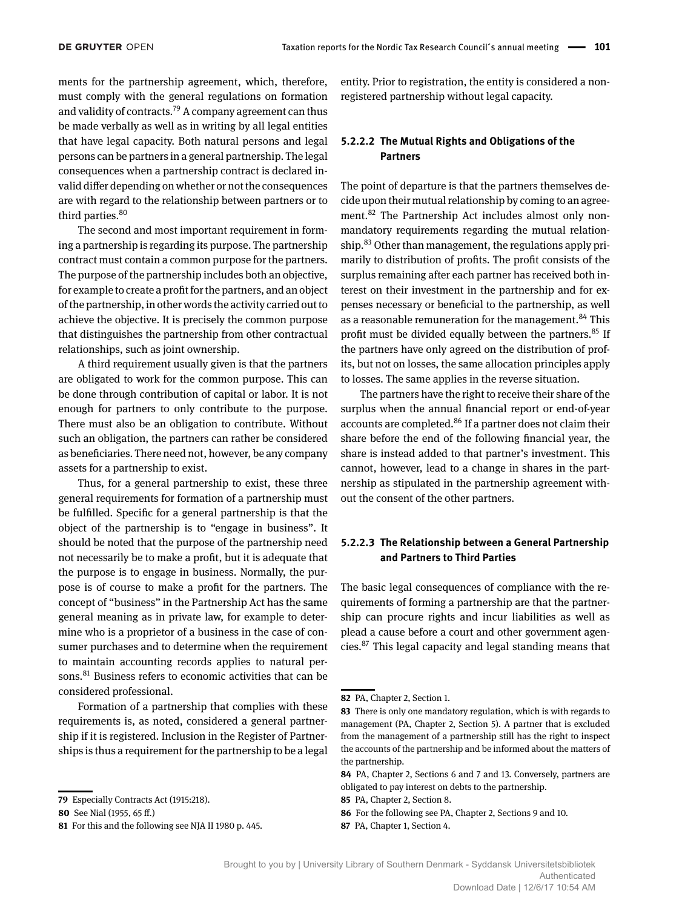ments for the partnership agreement, which, therefore, must comply with the general regulations on formation and validity of contracts.<sup>79</sup> A company agreement can thus be made verbally as well as in writing by all legal entities that have legal capacity. Both natural persons and legal persons can be partners in a general partnership. The legal consequences when a partnership contract is declared invalid differ depending on whether or not the consequences are with regard to the relationship between partners or to third parties.<sup>80</sup>

The second and most important requirement in forming a partnership is regarding its purpose. The partnership contract must contain a common purpose for the partners. The purpose of the partnership includes both an objective, for example to create a profit for the partners, and an object of the partnership, in other words the activity carried out to achieve the objective. It is precisely the common purpose that distinguishes the partnership from other contractual relationships, such as joint ownership.

A third requirement usually given is that the partners are obligated to work for the common purpose. This can be done through contribution of capital or labor. It is not enough for partners to only contribute to the purpose. There must also be an obligation to contribute. Without such an obligation, the partners can rather be considered as beneficiaries. There need not, however, be any company assets for a partnership to exist.

Thus, for a general partnership to exist, these three general requirements for formation of a partnership must be fulfilled. Specific for a general partnership is that the object of the partnership is to "engage in business". It should be noted that the purpose of the partnership need not necessarily be to make a profit, but it is adequate that the purpose is to engage in business. Normally, the purpose is of course to make a profit for the partners. The concept of "business" in the Partnership Act has the same general meaning as in private law, for example to determine who is a proprietor of a business in the case of consumer purchases and to determine when the requirement to maintain accounting records applies to natural persons.<sup>81</sup> Business refers to economic activities that can be considered professional.

Formation of a partnership that complies with these requirements is, as noted, considered a general partnership if it is registered. Inclusion in the Register of Partnerships is thus a requirement for the partnership to be a legal entity. Prior to registration, the entity is considered a nonregistered partnership without legal capacity.

## **5.2.2.2 The Mutual Rights and Obligations of the Partners**

The point of departure is that the partners themselves decide upon their mutual relationship by coming to an agreement.<sup>82</sup> The Partnership Act includes almost only nonmandatory requirements regarding the mutual relationship.<sup>83</sup> Other than management, the regulations apply primarily to distribution of profits. The profit consists of the surplus remaining after each partner has received both interest on their investment in the partnership and for expenses necessary or beneficial to the partnership, as well as a reasonable remuneration for the management.<sup>84</sup> This profit must be divided equally between the partners.<sup>85</sup> If the partners have only agreed on the distribution of profits, but not on losses, the same allocation principles apply to losses. The same applies in the reverse situation.

The partners have the right to receive their share of the surplus when the annual financial report or end-of-year accounts are completed.<sup>86</sup> If a partner does not claim their share before the end of the following financial year, the share is instead added to that partner's investment. This cannot, however, lead to a change in shares in the partnership as stipulated in the partnership agreement without the consent of the other partners.

## **5.2.2.3 The Relationship between a General Partnership and Partners to Third Parties**

The basic legal consequences of compliance with the requirements of forming a partnership are that the partnership can procure rights and incur liabilities as well as plead a cause before a court and other government agencies.87 This legal capacity and legal standing means that

**<sup>79</sup>** Especially Contracts Act (1915:218).

**<sup>80</sup>** See Nial (1955, 65 ff.)

**<sup>81</sup>** For this and the following see NJA II 1980 p. 445.

**<sup>82</sup>** PA, Chapter 2, Section 1.

**<sup>83</sup>** There is only one mandatory regulation, which is with regards to management (PA, Chapter 2, Section 5). A partner that is excluded from the management of a partnership still has the right to inspect the accounts of the partnership and be informed about the matters of the partnership.

**<sup>84</sup>** PA, Chapter 2, Sections 6 and 7 and 13. Conversely, partners are obligated to pay interest on debts to the partnership.

**<sup>85</sup>** PA, Chapter 2, Section 8.

**<sup>86</sup>** For the following see PA, Chapter 2, Sections 9 and 10.

**<sup>87</sup>** PA, Chapter 1, Section 4.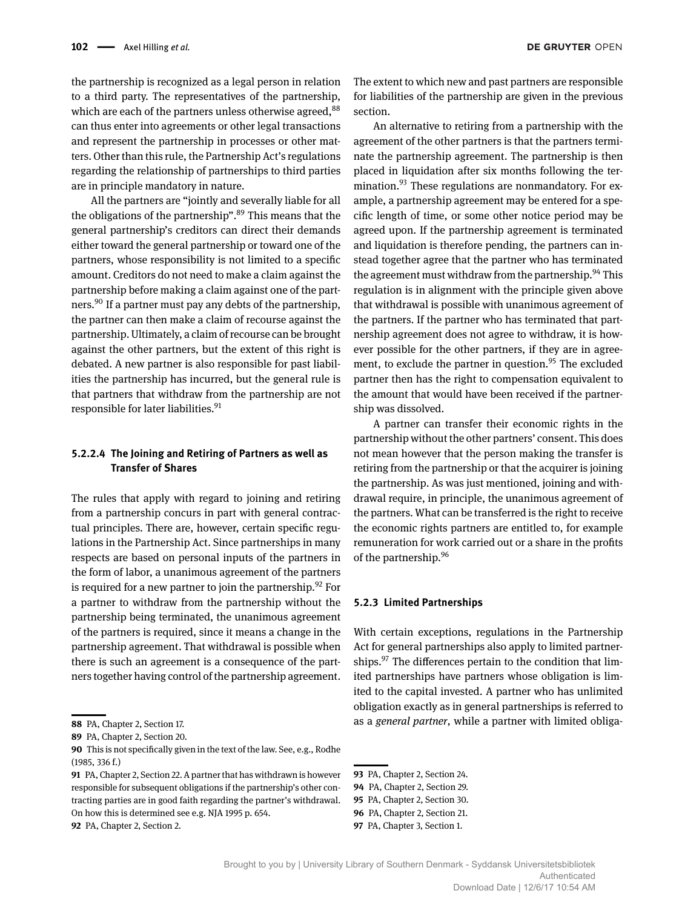the partnership is recognized as a legal person in relation to a third party. The representatives of the partnership, which are each of the partners unless otherwise agreed.<sup>88</sup> can thus enter into agreements or other legal transactions and represent the partnership in processes or other matters. Other than this rule, the Partnership Act's regulations regarding the relationship of partnerships to third parties are in principle mandatory in nature.

All the partners are "jointly and severally liable for all the obligations of the partnership". $89$  This means that the general partnership's creditors can direct their demands either toward the general partnership or toward one of the partners, whose responsibility is not limited to a specific amount. Creditors do not need to make a claim against the partnership before making a claim against one of the partners.<sup>90</sup> If a partner must pay any debts of the partnership, the partner can then make a claim of recourse against the partnership. Ultimately, a claim of recourse can be brought against the other partners, but the extent of this right is debated. A new partner is also responsible for past liabilities the partnership has incurred, but the general rule is that partners that withdraw from the partnership are not responsible for later liabilities. $91$ 

## **5.2.2.4 The Joining and Retiring of Partners as well as Transfer of Shares**

The rules that apply with regard to joining and retiring from a partnership concurs in part with general contractual principles. There are, however, certain specific regulations in the Partnership Act. Since partnerships in many respects are based on personal inputs of the partners in the form of labor, a unanimous agreement of the partners is required for a new partner to join the partnership.  $92$  For a partner to withdraw from the partnership without the partnership being terminated, the unanimous agreement of the partners is required, since it means a change in the partnership agreement. That withdrawal is possible when there is such an agreement is a consequence of the partners together having control of the partnership agreement.

**92** PA, Chapter 2, Section 2.

The extent to which new and past partners are responsible for liabilities of the partnership are given in the previous section.

An alternative to retiring from a partnership with the agreement of the other partners is that the partners terminate the partnership agreement. The partnership is then placed in liquidation after six months following the termination.<sup>93</sup> These regulations are nonmandatory. For example, a partnership agreement may be entered for a specific length of time, or some other notice period may be agreed upon. If the partnership agreement is terminated and liquidation is therefore pending, the partners can instead together agree that the partner who has terminated the agreement must withdraw from the partnership.  $94$  This regulation is in alignment with the principle given above that withdrawal is possible with unanimous agreement of the partners. If the partner who has terminated that partnership agreement does not agree to withdraw, it is however possible for the other partners, if they are in agreement, to exclude the partner in question.<sup>95</sup> The excluded partner then has the right to compensation equivalent to the amount that would have been received if the partnership was dissolved.

A partner can transfer their economic rights in the partnership without the other partners' consent. This does not mean however that the person making the transfer is retiring from the partnership or that the acquirer is joining the partnership. As was just mentioned, joining and withdrawal require, in principle, the unanimous agreement of the partners. What can be transferred is the right to receive the economic rights partners are entitled to, for example remuneration for work carried out or a share in the profits of the partnership.96

#### **5.2.3 Limited Partnerships**

With certain exceptions, regulations in the Partnership Act for general partnerships also apply to limited partnerships. $97$  The differences pertain to the condition that limited partnerships have partners whose obligation is limited to the capital invested. A partner who has unlimited obligation exactly as in general partnerships is referred to as a *general partner*, while a partner with limited obliga-

- **95** PA, Chapter 2, Section 30.
- **96** PA, Chapter 2, Section 21.

**<sup>88</sup>** PA, Chapter 2, Section 17.

**<sup>89</sup>** PA, Chapter 2, Section 20.

**<sup>90</sup>** This is not specifically given in the text of the law. See, e.g., Rodhe (1985, 336 f.)

**<sup>91</sup>** PA, Chapter 2, Section 22. A partner that has withdrawn is however responsible for subsequent obligations if the partnership's other contracting parties are in good faith regarding the partner's withdrawal. On how this is determined see e.g. NJA 1995 p. 654.

**<sup>93</sup>** PA, Chapter 2, Section 24.

**<sup>94</sup>** PA, Chapter 2, Section 29.

**<sup>97</sup>** PA, Chapter 3, Section 1.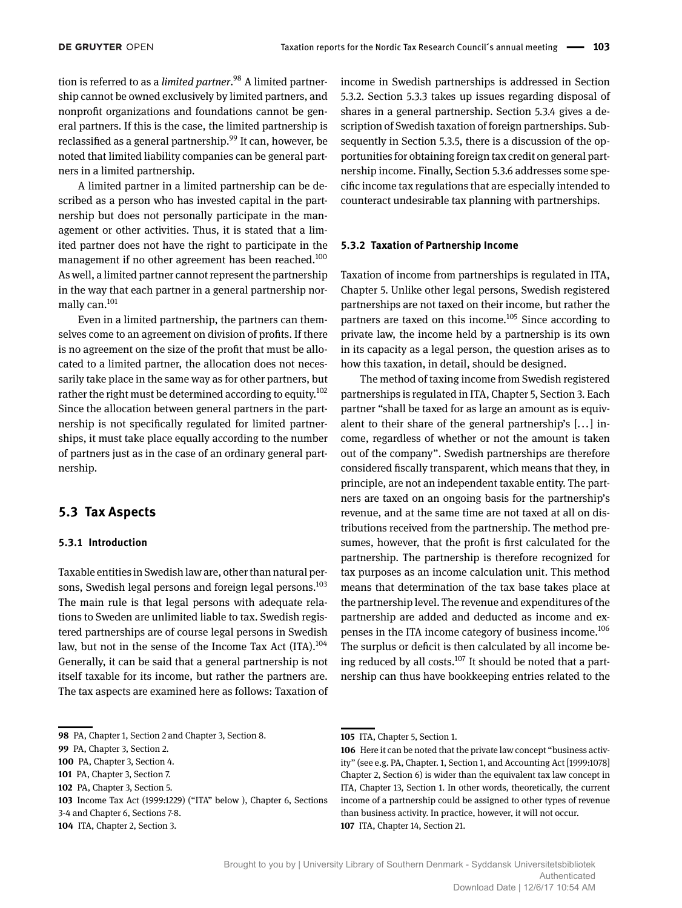tion is referred to as a *limited partner*. 98 A limited partnership cannot be owned exclusively by limited partners, and nonprofit organizations and foundations cannot be general partners. If this is the case, the limited partnership is reclassified as a general partnership.<sup>99</sup> It can, however, be noted that limited liability companies can be general partners in a limited partnership.

A limited partner in a limited partnership can be described as a person who has invested capital in the partnership but does not personally participate in the management or other activities. Thus, it is stated that a limited partner does not have the right to participate in the management if no other agreement has been reached.<sup>100</sup> As well, a limited partner cannot represent the partnership in the way that each partner in a general partnership normally can.<sup>101</sup>

Even in a limited partnership, the partners can themselves come to an agreement on division of profits. If there is no agreement on the size of the profit that must be allocated to a limited partner, the allocation does not necessarily take place in the same way as for other partners, but rather the right must be determined according to equity.<sup>102</sup> Since the allocation between general partners in the partnership is not specifically regulated for limited partnerships, it must take place equally according to the number of partners just as in the case of an ordinary general partnership.

## **5.3 Tax Aspects**

## **5.3.1 Introduction**

Taxable entities in Swedish law are, other than natural persons, Swedish legal persons and foreign legal persons.<sup>103</sup> The main rule is that legal persons with adequate relations to Sweden are unlimited liable to tax. Swedish registered partnerships are of course legal persons in Swedish law, but not in the sense of the Income Tax Act (ITA).<sup>104</sup> Generally, it can be said that a general partnership is not itself taxable for its income, but rather the partners are. The tax aspects are examined here as follows: Taxation of

3-4 and Chapter 6, Sections 7-8.

**104** ITA, Chapter 2, Section 3.

income in Swedish partnerships is addressed in Section 5.3.2. Section 5.3.3 takes up issues regarding disposal of shares in a general partnership. Section 5.3.4 gives a description of Swedish taxation of foreign partnerships. Subsequently in Section 5.3.5, there is a discussion of the opportunities for obtaining foreign tax credit on general partnership income. Finally, Section 5.3.6 addresses some specific income tax regulations that are especially intended to counteract undesirable tax planning with partnerships.

#### **5.3.2 Taxation of Partnership Income**

Taxation of income from partnerships is regulated in ITA, Chapter 5. Unlike other legal persons, Swedish registered partnerships are not taxed on their income, but rather the partners are taxed on this income.<sup>105</sup> Since according to private law, the income held by a partnership is its own in its capacity as a legal person, the question arises as to how this taxation, in detail, should be designed.

The method of taxing income from Swedish registered partnerships is regulated in ITA, Chapter 5, Section 3. Each partner "shall be taxed for as large an amount as is equivalent to their share of the general partnership's [... ] income, regardless of whether or not the amount is taken out of the company". Swedish partnerships are therefore considered fiscally transparent, which means that they, in principle, are not an independent taxable entity. The partners are taxed on an ongoing basis for the partnership's revenue, and at the same time are not taxed at all on distributions received from the partnership. The method presumes, however, that the profit is first calculated for the partnership. The partnership is therefore recognized for tax purposes as an income calculation unit. This method means that determination of the tax base takes place at the partnership level. The revenue and expenditures of the partnership are added and deducted as income and expenses in the ITA income category of business income.<sup>106</sup> The surplus or deficit is then calculated by all income being reduced by all costs. $107$  It should be noted that a partnership can thus have bookkeeping entries related to the

**<sup>98</sup>** PA, Chapter 1, Section 2 and Chapter 3, Section 8.

**<sup>99</sup>** PA, Chapter 3, Section 2.

**<sup>100</sup>** PA, Chapter 3, Section 4.

**<sup>101</sup>** PA, Chapter 3, Section 7.

**<sup>102</sup>** PA, Chapter 3, Section 5.

**<sup>103</sup>** Income Tax Act (1999:1229) ("ITA" below ), Chapter 6, Sections

**<sup>105</sup>** ITA, Chapter 5, Section 1.

**<sup>106</sup>** Here it can be noted that the private law concept "business activity" (see e.g. PA, Chapter. 1, Section 1, and Accounting Act [1999:1078] Chapter 2, Section 6) is wider than the equivalent tax law concept in ITA, Chapter 13, Section 1. In other words, theoretically, the current income of a partnership could be assigned to other types of revenue than business activity. In practice, however, it will not occur. **107** ITA, Chapter 14, Section 21.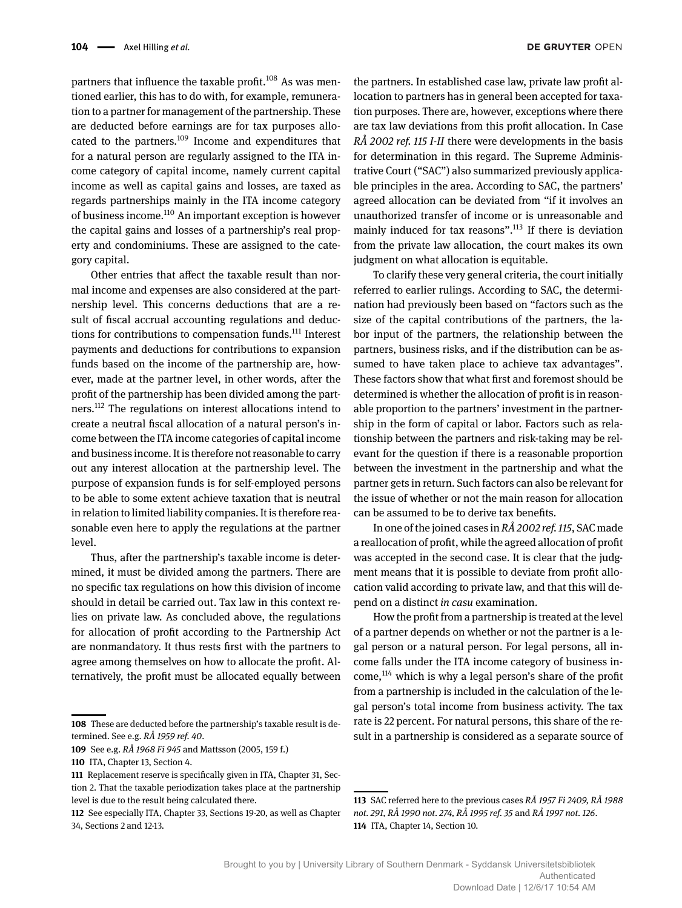partners that influence the taxable profit.<sup>108</sup> As was mentioned earlier, this has to do with, for example, remuneration to a partner for management of the partnership. These are deducted before earnings are for tax purposes allocated to the partners.109 Income and expenditures that for a natural person are regularly assigned to the ITA income category of capital income, namely current capital income as well as capital gains and losses, are taxed as regards partnerships mainly in the ITA income category of business income.110 An important exception is however the capital gains and losses of a partnership's real property and condominiums. These are assigned to the category capital.

Other entries that affect the taxable result than normal income and expenses are also considered at the partnership level. This concerns deductions that are a result of fiscal accrual accounting regulations and deductions for contributions to compensation funds.<sup>111</sup> Interest payments and deductions for contributions to expansion funds based on the income of the partnership are, however, made at the partner level, in other words, after the profit of the partnership has been divided among the partners.112 The regulations on interest allocations intend to create a neutral fiscal allocation of a natural person's income between the ITA income categories of capital income and business income. It is therefore not reasonable to carry out any interest allocation at the partnership level. The purpose of expansion funds is for self-employed persons to be able to some extent achieve taxation that is neutral in relation to limited liability companies. It is therefore reasonable even here to apply the regulations at the partner level.

Thus, after the partnership's taxable income is determined, it must be divided among the partners. There are no specific tax regulations on how this division of income should in detail be carried out. Tax law in this context relies on private law. As concluded above, the regulations for allocation of profit according to the Partnership Act are nonmandatory. It thus rests first with the partners to agree among themselves on how to allocate the profit. Alternatively, the profit must be allocated equally between

the partners. In established case law, private law profit allocation to partners has in general been accepted for taxation purposes. There are, however, exceptions where there are tax law deviations from this profit allocation. In Case *RÅ 2002 ref. 115 I-II* there were developments in the basis for determination in this regard. The Supreme Administrative Court ("SAC") also summarized previously applicable principles in the area. According to SAC, the partners' agreed allocation can be deviated from "if it involves an unauthorized transfer of income or is unreasonable and mainly induced for tax reasons".<sup>113</sup> If there is deviation from the private law allocation, the court makes its own judgment on what allocation is equitable.

To clarify these very general criteria, the court initially referred to earlier rulings. According to SAC, the determination had previously been based on "factors such as the size of the capital contributions of the partners, the labor input of the partners, the relationship between the partners, business risks, and if the distribution can be assumed to have taken place to achieve tax advantages". These factors show that what first and foremost should be determined is whether the allocation of profit is in reasonable proportion to the partners' investment in the partnership in the form of capital or labor. Factors such as relationship between the partners and risk-taking may be relevant for the question if there is a reasonable proportion between the investment in the partnership and what the partner gets in return. Such factors can also be relevant for the issue of whether or not the main reason for allocation can be assumed to be to derive tax benefits.

In one of the joined cases in *RÅ 2002 ref. 115*, SAC made a reallocation of profit, while the agreed allocation of profit was accepted in the second case. It is clear that the judgment means that it is possible to deviate from profit allocation valid according to private law, and that this will depend on a distinct *in casu* examination.

How the profit from a partnership is treated at the level of a partner depends on whether or not the partner is a legal person or a natural person. For legal persons, all income falls under the ITA income category of business income,114 which is why a legal person's share of the profit from a partnership is included in the calculation of the legal person's total income from business activity. The tax rate is 22 percent. For natural persons, this share of the result in a partnership is considered as a separate source of

**<sup>108</sup>** These are deducted before the partnership's taxable result is determined. See e.g. *RÅ 1959 ref. 40*.

**<sup>109</sup>** See e.g. *RÅ 1968 Fi 945* and Mattsson (2005, 159 f.)

**<sup>110</sup>** ITA, Chapter 13, Section 4.

**<sup>111</sup>** Replacement reserve is specifically given in ITA, Chapter 31, Section 2. That the taxable periodization takes place at the partnership level is due to the result being calculated there.

**<sup>112</sup>** See especially ITA, Chapter 33, Sections 19-20, as well as Chapter 34, Sections 2 and 12-13.

**<sup>113</sup>** SAC referred here to the previous cases *RÅ 1957 Fi 2409, RÅ 1988 not. 291, RÅ 1990 not. 274, RÅ 1995 ref. 35* and *RÅ 1997 not. 126*. **114** ITA, Chapter 14, Section 10.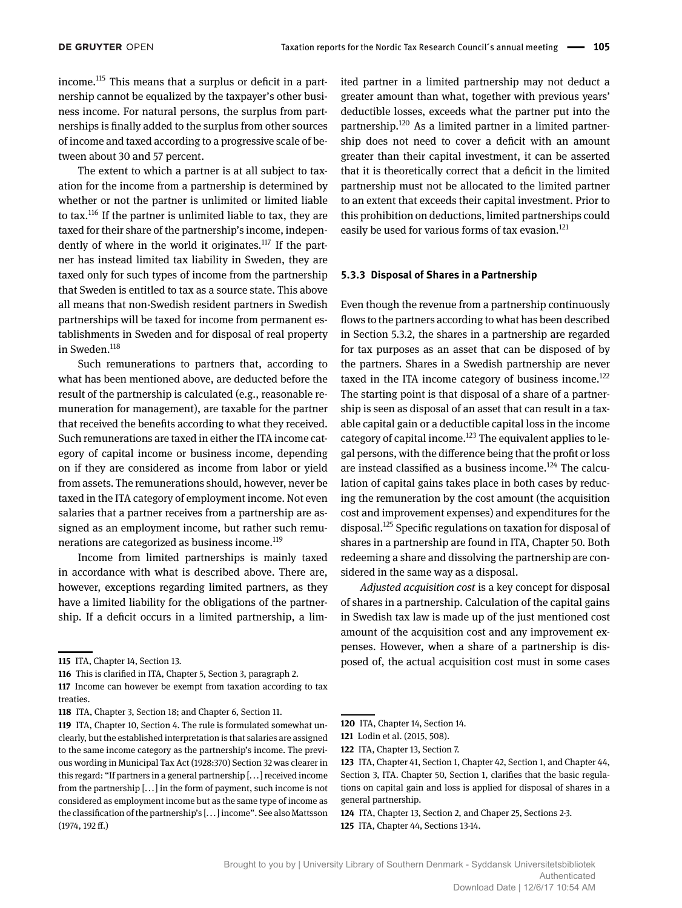income.115 This means that a surplus or deficit in a partnership cannot be equalized by the taxpayer's other business income. For natural persons, the surplus from partnerships is finally added to the surplus from other sources of income and taxed according to a progressive scale of between about 30 and 57 percent.

The extent to which a partner is at all subject to taxation for the income from a partnership is determined by whether or not the partner is unlimited or limited liable to tax.116 If the partner is unlimited liable to tax, they are taxed for their share of the partnership's income, independently of where in the world it originates.<sup>117</sup> If the partner has instead limited tax liability in Sweden, they are taxed only for such types of income from the partnership that Sweden is entitled to tax as a source state. This above all means that non-Swedish resident partners in Swedish partnerships will be taxed for income from permanent establishments in Sweden and for disposal of real property in Sweden.<sup>118</sup>

Such remunerations to partners that, according to what has been mentioned above, are deducted before the result of the partnership is calculated (e.g., reasonable remuneration for management), are taxable for the partner that received the benefits according to what they received. Such remunerations are taxed in either the ITA income category of capital income or business income, depending on if they are considered as income from labor or yield from assets. The remunerations should, however, never be taxed in the ITA category of employment income. Not even salaries that a partner receives from a partnership are assigned as an employment income, but rather such remunerations are categorized as business income.<sup>119</sup>

Income from limited partnerships is mainly taxed in accordance with what is described above. There are, however, exceptions regarding limited partners, as they have a limited liability for the obligations of the partnership. If a deficit occurs in a limited partnership, a limited partner in a limited partnership may not deduct a greater amount than what, together with previous years' deductible losses, exceeds what the partner put into the partnership.<sup>120</sup> As a limited partner in a limited partnership does not need to cover a deficit with an amount greater than their capital investment, it can be asserted that it is theoretically correct that a deficit in the limited partnership must not be allocated to the limited partner to an extent that exceeds their capital investment. Prior to this prohibition on deductions, limited partnerships could easily be used for various forms of tax evasion.<sup>121</sup>

#### **5.3.3 Disposal of Shares in a Partnership**

Even though the revenue from a partnership continuously flows to the partners according to what has been described in Section 5.3.2, the shares in a partnership are regarded for tax purposes as an asset that can be disposed of by the partners. Shares in a Swedish partnership are never taxed in the ITA income category of business income.<sup>122</sup> The starting point is that disposal of a share of a partnership is seen as disposal of an asset that can result in a taxable capital gain or a deductible capital loss in the income category of capital income.<sup>123</sup> The equivalent applies to legal persons, with the difference being that the profit or loss are instead classified as a business income.<sup>124</sup> The calculation of capital gains takes place in both cases by reducing the remuneration by the cost amount (the acquisition cost and improvement expenses) and expenditures for the disposal.<sup>125</sup> Specific regulations on taxation for disposal of shares in a partnership are found in ITA, Chapter 50. Both redeeming a share and dissolving the partnership are considered in the same way as a disposal.

*Adjusted acquisition cost* is a key concept for disposal of shares in a partnership. Calculation of the capital gains in Swedish tax law is made up of the just mentioned cost amount of the acquisition cost and any improvement expenses. However, when a share of a partnership is disposed of, the actual acquisition cost must in some cases

**<sup>115</sup>** ITA, Chapter 14, Section 13.

**<sup>116</sup>** This is clarified in ITA, Chapter 5, Section 3, paragraph 2.

**<sup>117</sup>** Income can however be exempt from taxation according to tax treaties.

**<sup>118</sup>** ITA, Chapter 3, Section 18; and Chapter 6, Section 11.

**<sup>119</sup>** ITA, Chapter 10, Section 4. The rule is formulated somewhat unclearly, but the established interpretation is that salaries are assigned to the same income category as the partnership's income. The previous wording in Municipal Tax Act (1928:370) Section 32 was clearer in this regard: "If partners in a general partnership [... ] received income from the partnership [... ] in the form of payment, such income is not considered as employment income but as the same type of income as the classification of the partnership's [... ] income". See also Mattsson (1974, 192 ff.)

**<sup>120</sup>** ITA, Chapter 14, Section 14.

**<sup>121</sup>** Lodin et al. (2015, 508).

**<sup>122</sup>** ITA, Chapter 13, Section 7.

**<sup>123</sup>** ITA, Chapter 41, Section 1, Chapter 42, Section 1, and Chapter 44, Section 3, ITA. Chapter 50, Section 1, clarifies that the basic regulations on capital gain and loss is applied for disposal of shares in a general partnership.

**<sup>124</sup>** ITA, Chapter 13, Section 2, and Chaper 25, Sections 2-3.

**<sup>125</sup>** ITA, Chapter 44, Sections 13-14.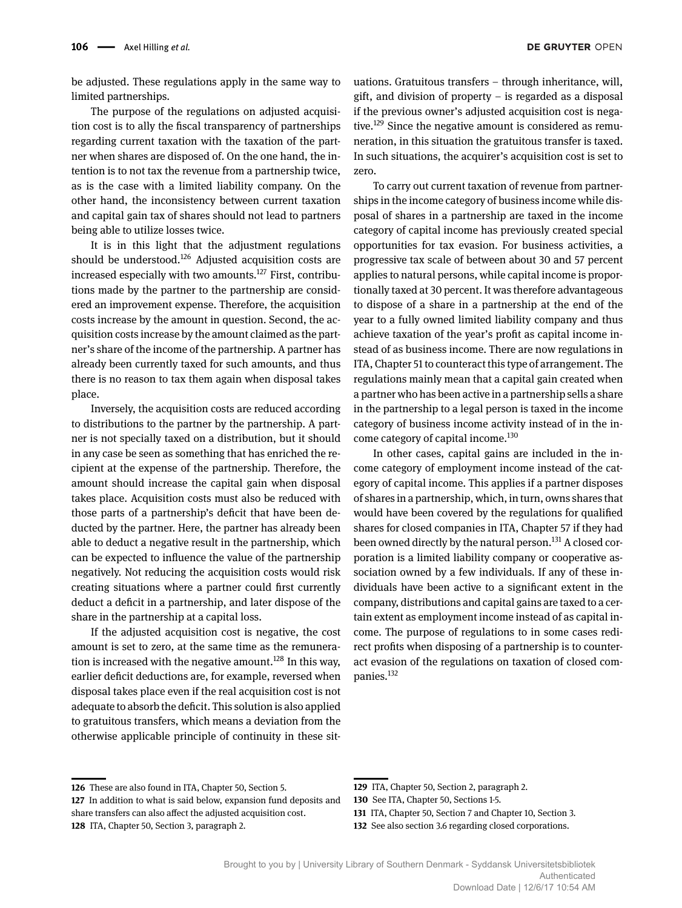be adjusted. These regulations apply in the same way to limited partnerships.

The purpose of the regulations on adjusted acquisition cost is to ally the fiscal transparency of partnerships regarding current taxation with the taxation of the partner when shares are disposed of. On the one hand, the intention is to not tax the revenue from a partnership twice, as is the case with a limited liability company. On the other hand, the inconsistency between current taxation and capital gain tax of shares should not lead to partners being able to utilize losses twice.

It is in this light that the adjustment regulations should be understood.<sup>126</sup> Adjusted acquisition costs are increased especially with two amounts.<sup>127</sup> First, contributions made by the partner to the partnership are considered an improvement expense. Therefore, the acquisition costs increase by the amount in question. Second, the acquisition costs increase by the amount claimed as the partner's share of the income of the partnership. A partner has already been currently taxed for such amounts, and thus there is no reason to tax them again when disposal takes place.

Inversely, the acquisition costs are reduced according to distributions to the partner by the partnership. A partner is not specially taxed on a distribution, but it should in any case be seen as something that has enriched the recipient at the expense of the partnership. Therefore, the amount should increase the capital gain when disposal takes place. Acquisition costs must also be reduced with those parts of a partnership's deficit that have been deducted by the partner. Here, the partner has already been able to deduct a negative result in the partnership, which can be expected to influence the value of the partnership negatively. Not reducing the acquisition costs would risk creating situations where a partner could first currently deduct a deficit in a partnership, and later dispose of the share in the partnership at a capital loss.

If the adjusted acquisition cost is negative, the cost amount is set to zero, at the same time as the remuneration is increased with the negative amount.<sup>128</sup> In this way, earlier deficit deductions are, for example, reversed when disposal takes place even if the real acquisition cost is not adequate to absorb the deficit. This solution is also applied to gratuitous transfers, which means a deviation from the otherwise applicable principle of continuity in these situations. Gratuitous transfers – through inheritance, will, gift, and division of property – is regarded as a disposal if the previous owner's adjusted acquisition cost is negative.<sup>129</sup> Since the negative amount is considered as remuneration, in this situation the gratuitous transfer is taxed. In such situations, the acquirer's acquisition cost is set to zero.

To carry out current taxation of revenue from partnerships in the income category of business income while disposal of shares in a partnership are taxed in the income category of capital income has previously created special opportunities for tax evasion. For business activities, a progressive tax scale of between about 30 and 57 percent applies to natural persons, while capital income is proportionally taxed at 30 percent. It was therefore advantageous to dispose of a share in a partnership at the end of the year to a fully owned limited liability company and thus achieve taxation of the year's profit as capital income instead of as business income. There are now regulations in ITA, Chapter 51 to counteract this type of arrangement. The regulations mainly mean that a capital gain created when a partner who has been active in a partnership sells a share in the partnership to a legal person is taxed in the income category of business income activity instead of in the income category of capital income.<sup>130</sup>

In other cases, capital gains are included in the income category of employment income instead of the category of capital income. This applies if a partner disposes of shares in a partnership, which, in turn, owns shares that would have been covered by the regulations for qualified shares for closed companies in ITA, Chapter 57 if they had been owned directly by the natural person.<sup>131</sup> A closed corporation is a limited liability company or cooperative association owned by a few individuals. If any of these individuals have been active to a significant extent in the company, distributions and capital gains are taxed to a certain extent as employment income instead of as capital income. The purpose of regulations to in some cases redirect profits when disposing of a partnership is to counteract evasion of the regulations on taxation of closed companies.132

**<sup>126</sup>** These are also found in ITA, Chapter 50, Section 5.

**<sup>127</sup>** In addition to what is said below, expansion fund deposits and share transfers can also affect the adjusted acquisition cost. **128** ITA, Chapter 50, Section 3, paragraph 2.

**<sup>129</sup>** ITA, Chapter 50, Section 2, paragraph 2.

**<sup>130</sup>** See ITA, Chapter 50, Sections 1-5.

**<sup>131</sup>** ITA, Chapter 50, Section 7 and Chapter 10, Section 3.

**<sup>132</sup>** See also section 3.6 regarding closed corporations.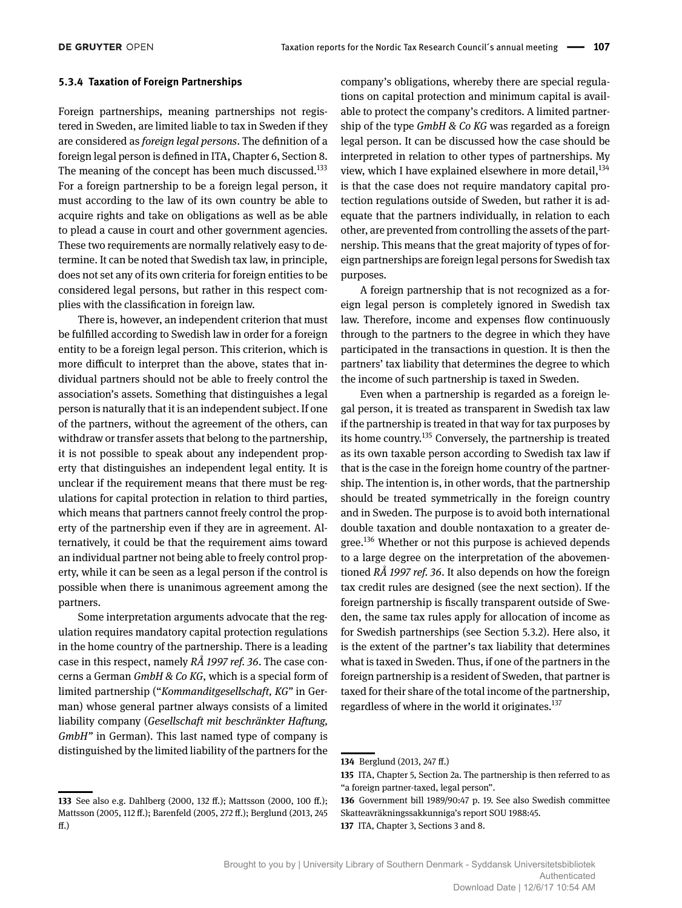#### **5.3.4 Taxation of Foreign Partnerships**

Foreign partnerships, meaning partnerships not registered in Sweden, are limited liable to tax in Sweden if they are considered as *foreign legal persons*. The definition of a foreign legal person is defined in ITA, Chapter 6, Section 8. The meaning of the concept has been much discussed.<sup>133</sup> For a foreign partnership to be a foreign legal person, it must according to the law of its own country be able to acquire rights and take on obligations as well as be able to plead a cause in court and other government agencies. These two requirements are normally relatively easy to determine. It can be noted that Swedish tax law, in principle, does not set any of its own criteria for foreign entities to be considered legal persons, but rather in this respect complies with the classification in foreign law.

There is, however, an independent criterion that must be fulfilled according to Swedish law in order for a foreign entity to be a foreign legal person. This criterion, which is more difficult to interpret than the above, states that individual partners should not be able to freely control the association's assets. Something that distinguishes a legal person is naturally that it is an independent subject. If one of the partners, without the agreement of the others, can withdraw or transfer assets that belong to the partnership, it is not possible to speak about any independent property that distinguishes an independent legal entity. It is unclear if the requirement means that there must be regulations for capital protection in relation to third parties, which means that partners cannot freely control the property of the partnership even if they are in agreement. Alternatively, it could be that the requirement aims toward an individual partner not being able to freely control property, while it can be seen as a legal person if the control is possible when there is unanimous agreement among the partners.

Some interpretation arguments advocate that the regulation requires mandatory capital protection regulations in the home country of the partnership. There is a leading case in this respect, namely *RÅ 1997 ref. 36*. The case concerns a German *GmbH & Co KG*, which is a special form of limited partnership ("*Kommanditgesellschaft, KG"* in German) whose general partner always consists of a limited liability company (*Gesellschaft mit beschränkter Haftung, GmbH"* in German). This last named type of company is distinguished by the limited liability of the partners for the company's obligations, whereby there are special regulations on capital protection and minimum capital is available to protect the company's creditors. A limited partnership of the type *GmbH & Co KG* was regarded as a foreign legal person. It can be discussed how the case should be interpreted in relation to other types of partnerships. My view, which I have explained elsewhere in more detail,  $134$ is that the case does not require mandatory capital protection regulations outside of Sweden, but rather it is adequate that the partners individually, in relation to each other, are prevented from controlling the assets of the partnership. This means that the great majority of types of foreign partnerships are foreign legal persons for Swedish tax purposes.

A foreign partnership that is not recognized as a foreign legal person is completely ignored in Swedish tax law. Therefore, income and expenses flow continuously through to the partners to the degree in which they have participated in the transactions in question. It is then the partners' tax liability that determines the degree to which the income of such partnership is taxed in Sweden.

Even when a partnership is regarded as a foreign legal person, it is treated as transparent in Swedish tax law if the partnership is treated in that way for tax purposes by its home country.135 Conversely, the partnership is treated as its own taxable person according to Swedish tax law if that is the case in the foreign home country of the partnership. The intention is, in other words, that the partnership should be treated symmetrically in the foreign country and in Sweden. The purpose is to avoid both international double taxation and double nontaxation to a greater degree.136 Whether or not this purpose is achieved depends to a large degree on the interpretation of the abovementioned *RÅ 1997 ref. 36*. It also depends on how the foreign tax credit rules are designed (see the next section). If the foreign partnership is fiscally transparent outside of Sweden, the same tax rules apply for allocation of income as for Swedish partnerships (see Section 5.3.2). Here also, it is the extent of the partner's tax liability that determines what is taxed in Sweden. Thus, if one of the partners in the foreign partnership is a resident of Sweden, that partner is taxed for their share of the total income of the partnership, regardless of where in the world it originates.<sup>137</sup>

**<sup>133</sup>** See also e.g. Dahlberg (2000, 132 ff.); Mattsson (2000, 100 ff.); Mattsson (2005, 112 ff.); Barenfeld (2005, 272 ff.); Berglund (2013, 245 ff.)

**<sup>134</sup>** Berglund (2013, 247 ff.)

**<sup>135</sup>** ITA, Chapter 5, Section 2a. The partnership is then referred to as "a foreign partner-taxed, legal person".

**<sup>136</sup>** Government bill 1989/90:47 p. 19. See also Swedish committee Skatteavräkningssakkunniga's report SOU 1988:45.

**<sup>137</sup>** ITA, Chapter 3, Sections 3 and 8.